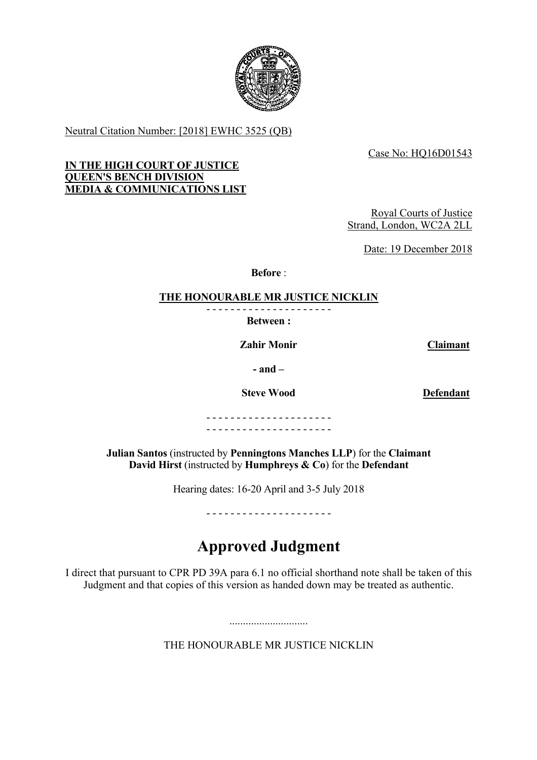

Neutral Citation Number: [2018] EWHC 3525 (QB)

Case No: HQ16D01543

## **IN THE HIGH COURT OF JUSTICE QUEEN'S BENCH DIVISION MEDIA & COMMUNICATIONS LIST**

Royal Courts of Justice Strand, London, WC2A 2LL

Date: 19 December 2018

**Before** :

# **THE HONOURABLE MR JUSTICE NICKLIN**

- - - - - - - - - - - - - - - - - - - - - **Between :**

**Zahir Monir Claimant**

**- and –**

**Steve Wood Defendant**

- - - - - - - - - - - - - - - - - - - - - - - - - - - - - - - - - - - - - - - - - -

**Julian Santos** (instructed by **Penningtons Manches LLP**) for the **Claimant David Hirst** (instructed by **Humphreys & Co**) for the **Defendant**

Hearing dates: 16-20 April and 3-5 July 2018

- - - - - - - - - - - - - - - - - - - - -

# **Approved Judgment**

I direct that pursuant to CPR PD 39A para 6.1 no official shorthand note shall be taken of this Judgment and that copies of this version as handed down may be treated as authentic.

THE HONOURABLE MR JUSTICE NICKLIN

.............................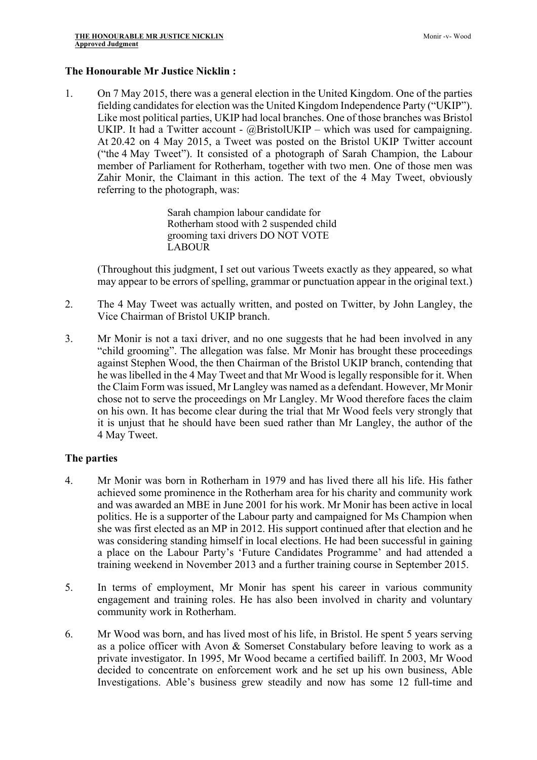#### **The Honourable Mr Justice Nicklin :**

1. On 7 May 2015, there was a general election in the United Kingdom. One of the parties fielding candidates for election was the United Kingdom Independence Party ("UKIP"). Like most political parties, UKIP had local branches. One of those branches was Bristol UKIP. It had a Twitter account -  $@BristolUKIP$  – which was used for campaigning. At 20.42 on 4 May 2015, a Tweet was posted on the Bristol UKIP Twitter account ("the 4 May Tweet"). It consisted of a photograph of Sarah Champion, the Labour member of Parliament for Rotherham, together with two men. One of those men was Zahir Monir, the Claimant in this action. The text of the 4 May Tweet, obviously referring to the photograph, was:

> Sarah champion labour candidate for Rotherham stood with 2 suspended child grooming taxi drivers DO NOT VOTE LABOUR

(Throughout this judgment, I set out various Tweets exactly as they appeared, so what may appear to be errors of spelling, grammar or punctuation appear in the original text.)

- 2. The 4 May Tweet was actually written, and posted on Twitter, by John Langley, the Vice Chairman of Bristol UKIP branch.
- 3. Mr Monir is not a taxi driver, and no one suggests that he had been involved in any "child grooming". The allegation was false. Mr Monir has brought these proceedings against Stephen Wood, the then Chairman of the Bristol UKIP branch, contending that he was libelled in the 4 May Tweet and that Mr Wood is legally responsible for it. When the Claim Form was issued, Mr Langley was named as a defendant. However, Mr Monir chose not to serve the proceedings on Mr Langley. Mr Wood therefore faces the claim on his own. It has become clear during the trial that Mr Wood feels very strongly that it is unjust that he should have been sued rather than Mr Langley, the author of the 4 May Tweet.

#### **The parties**

- 4. Mr Monir was born in Rotherham in 1979 and has lived there all his life. His father achieved some prominence in the Rotherham area for his charity and community work and was awarded an MBE in June 2001 for his work. Mr Monir has been active in local politics. He is a supporter of the Labour party and campaigned for Ms Champion when she was first elected as an MP in 2012. His support continued after that election and he was considering standing himself in local elections. He had been successful in gaining a place on the Labour Party's 'Future Candidates Programme' and had attended a training weekend in November 2013 and a further training course in September 2015.
- 5. In terms of employment, Mr Monir has spent his career in various community engagement and training roles. He has also been involved in charity and voluntary community work in Rotherham.
- 6. Mr Wood was born, and has lived most of his life, in Bristol. He spent 5 years serving as a police officer with Avon & Somerset Constabulary before leaving to work as a private investigator. In 1995, Mr Wood became a certified bailiff. In 2003, Mr Wood decided to concentrate on enforcement work and he set up his own business, Able Investigations. Able's business grew steadily and now has some 12 full-time and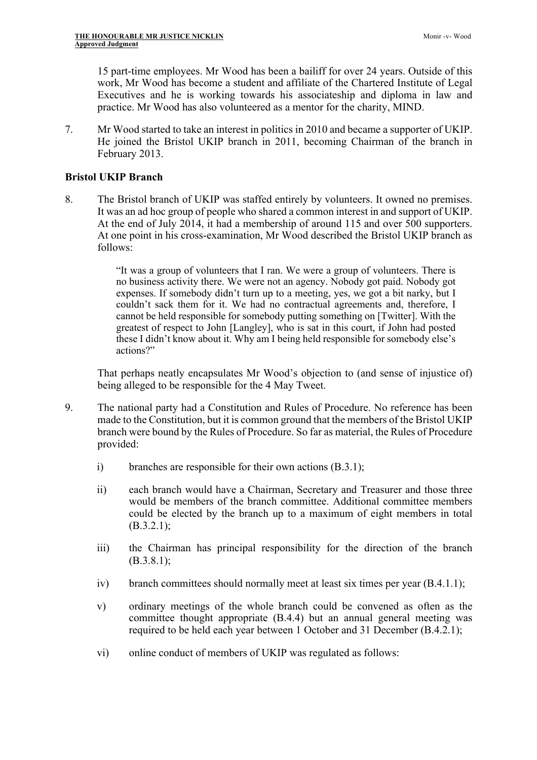15 part-time employees. Mr Wood has been a bailiff for over 24 years. Outside of this work, Mr Wood has become a student and affiliate of the Chartered Institute of Legal Executives and he is working towards his associateship and diploma in law and practice. Mr Wood has also volunteered as a mentor for the charity, MIND.

7. Mr Wood started to take an interest in politics in 2010 and became a supporter of UKIP. He joined the Bristol UKIP branch in 2011, becoming Chairman of the branch in February 2013.

# **Bristol UKIP Branch**

8. The Bristol branch of UKIP was staffed entirely by volunteers. It owned no premises. It was an ad hoc group of people who shared a common interest in and support of UKIP. At the end of July 2014, it had a membership of around 115 and over 500 supporters. At one point in his cross-examination, Mr Wood described the Bristol UKIP branch as follows:

> "It was a group of volunteers that I ran. We were a group of volunteers. There is no business activity there. We were not an agency. Nobody got paid. Nobody got expenses. If somebody didn't turn up to a meeting, yes, we got a bit narky, but I couldn't sack them for it. We had no contractual agreements and, therefore, I cannot be held responsible for somebody putting something on [Twitter]. With the greatest of respect to John [Langley], who is sat in this court, if John had posted these I didn't know about it. Why am I being held responsible for somebody else's actions?"

That perhaps neatly encapsulates Mr Wood's objection to (and sense of injustice of) being alleged to be responsible for the 4 May Tweet.

- 9. The national party had a Constitution and Rules of Procedure. No reference has been made to the Constitution, but it is common ground that the members of the Bristol UKIP branch were bound by the Rules of Procedure. So far as material, the Rules of Procedure provided:
	- i) branches are responsible for their own actions (B.3.1);
	- ii) each branch would have a Chairman, Secretary and Treasurer and those three would be members of the branch committee. Additional committee members could be elected by the branch up to a maximum of eight members in total (B.3.2.1);
	- iii) the Chairman has principal responsibility for the direction of the branch (B.3.8.1);
	- iv) branch committees should normally meet at least six times per year (B.4.1.1);
	- v) ordinary meetings of the whole branch could be convened as often as the committee thought appropriate (B.4.4) but an annual general meeting was required to be held each year between 1 October and 31 December (B.4.2.1);
	- vi) online conduct of members of UKIP was regulated as follows: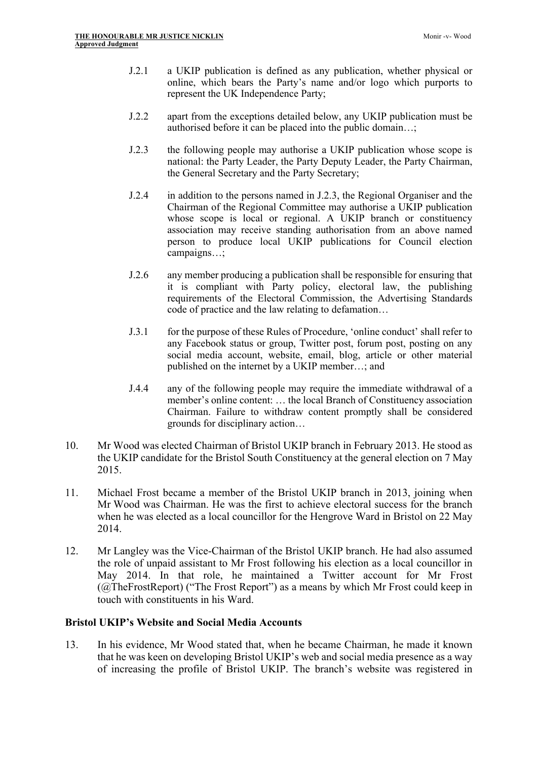- J.2.1 a UKIP publication is defined as any publication, whether physical or online, which bears the Party's name and/or logo which purports to represent the UK Independence Party;
- J.2.2 apart from the exceptions detailed below, any UKIP publication must be authorised before it can be placed into the public domain…;
- J.2.3 the following people may authorise a UKIP publication whose scope is national: the Party Leader, the Party Deputy Leader, the Party Chairman, the General Secretary and the Party Secretary;
- J.2.4 in addition to the persons named in J.2.3, the Regional Organiser and the Chairman of the Regional Committee may authorise a UKIP publication whose scope is local or regional. A UKIP branch or constituency association may receive standing authorisation from an above named person to produce local UKIP publications for Council election campaigns…;
- J.2.6 any member producing a publication shall be responsible for ensuring that it is compliant with Party policy, electoral law, the publishing requirements of the Electoral Commission, the Advertising Standards code of practice and the law relating to defamation…
- J.3.1 for the purpose of these Rules of Procedure, 'online conduct' shall refer to any Facebook status or group, Twitter post, forum post, posting on any social media account, website, email, blog, article or other material published on the internet by a UKIP member…; and
- J.4.4 any of the following people may require the immediate withdrawal of a member's online content: … the local Branch of Constituency association Chairman. Failure to withdraw content promptly shall be considered grounds for disciplinary action…
- 10. Mr Wood was elected Chairman of Bristol UKIP branch in February 2013. He stood as the UKIP candidate for the Bristol South Constituency at the general election on 7 May 2015.
- 11. Michael Frost became a member of the Bristol UKIP branch in 2013, joining when Mr Wood was Chairman. He was the first to achieve electoral success for the branch when he was elected as a local councillor for the Hengrove Ward in Bristol on 22 May 2014.
- 12. Mr Langley was the Vice-Chairman of the Bristol UKIP branch. He had also assumed the role of unpaid assistant to Mr Frost following his election as a local councillor in May 2014. In that role, he maintained a Twitter account for Mr Frost (@TheFrostReport) ("The Frost Report") as a means by which Mr Frost could keep in touch with constituents in his Ward.

## **Bristol UKIP's Website and Social Media Accounts**

13. In his evidence, Mr Wood stated that, when he became Chairman, he made it known that he was keen on developing Bristol UKIP's web and social media presence as a way of increasing the profile of Bristol UKIP. The branch's website was registered in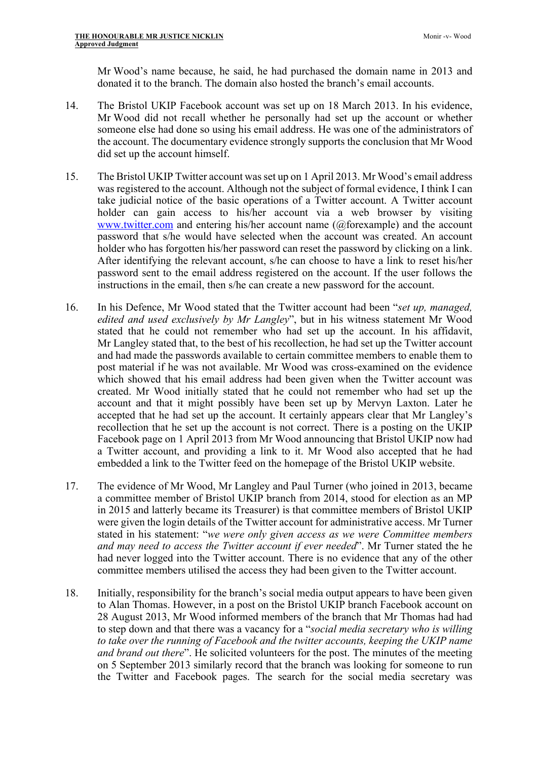Mr Wood's name because, he said, he had purchased the domain name in 2013 and donated it to the branch. The domain also hosted the branch's email accounts.

- 14. The Bristol UKIP Facebook account was set up on 18 March 2013. In his evidence, Mr Wood did not recall whether he personally had set up the account or whether someone else had done so using his email address. He was one of the administrators of the account. The documentary evidence strongly supports the conclusion that Mr Wood did set up the account himself.
- 15. The Bristol UKIP Twitter account was set up on 1 April 2013. Mr Wood's email address was registered to the account. Although not the subject of formal evidence, I think I can take judicial notice of the basic operations of a Twitter account. A Twitter account holder can gain access to his/her account via a web browser by visiting www.twitter.com and entering his/her account name (@forexample) and the account password that s/he would have selected when the account was created. An account holder who has forgotten his/her password can reset the password by clicking on a link. After identifying the relevant account, s/he can choose to have a link to reset his/her password sent to the email address registered on the account. If the user follows the instructions in the email, then s/he can create a new password for the account.
- 16. In his Defence, Mr Wood stated that the Twitter account had been "*set up, managed, edited and used exclusively by Mr Langley*", but in his witness statement Mr Wood stated that he could not remember who had set up the account. In his affidavit, Mr Langley stated that, to the best of his recollection, he had set up the Twitter account and had made the passwords available to certain committee members to enable them to post material if he was not available. Mr Wood was cross-examined on the evidence which showed that his email address had been given when the Twitter account was created. Mr Wood initially stated that he could not remember who had set up the account and that it might possibly have been set up by Mervyn Laxton. Later he accepted that he had set up the account. It certainly appears clear that Mr Langley's recollection that he set up the account is not correct. There is a posting on the UKIP Facebook page on 1 April 2013 from Mr Wood announcing that Bristol UKIP now had a Twitter account, and providing a link to it. Mr Wood also accepted that he had embedded a link to the Twitter feed on the homepage of the Bristol UKIP website.
- 17. The evidence of Mr Wood, Mr Langley and Paul Turner (who joined in 2013, became a committee member of Bristol UKIP branch from 2014, stood for election as an MP in 2015 and latterly became its Treasurer) is that committee members of Bristol UKIP were given the login details of the Twitter account for administrative access. Mr Turner stated in his statement: "*we were only given access as we were Committee members and may need to access the Twitter account if ever needed*". Mr Turner stated the he had never logged into the Twitter account. There is no evidence that any of the other committee members utilised the access they had been given to the Twitter account.
- 18. Initially, responsibility for the branch's social media output appears to have been given to Alan Thomas. However, in a post on the Bristol UKIP branch Facebook account on 28 August 2013, Mr Wood informed members of the branch that Mr Thomas had had to step down and that there was a vacancy for a "*social media secretary who is willing to take over the running of Facebook and the twitter accounts, keeping the UKIP name and brand out there*". He solicited volunteers for the post. The minutes of the meeting on 5 September 2013 similarly record that the branch was looking for someone to run the Twitter and Facebook pages. The search for the social media secretary was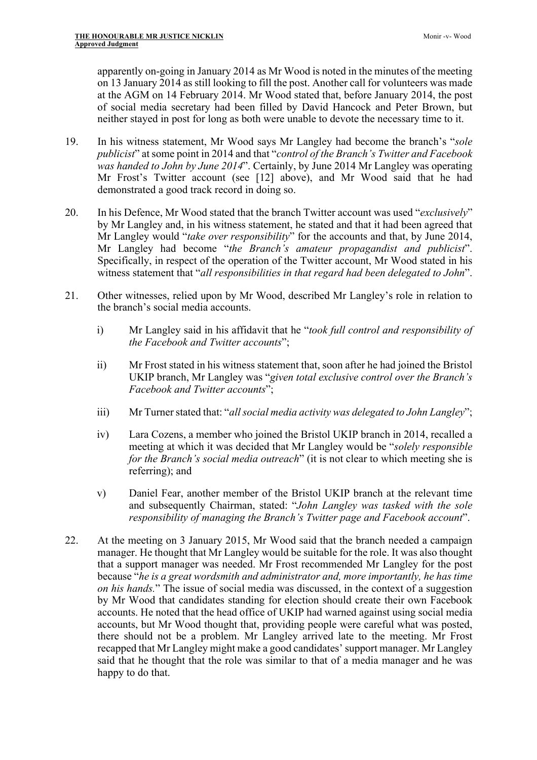apparently on-going in January 2014 as Mr Wood is noted in the minutes of the meeting on 13 January 2014 as still looking to fill the post. Another call for volunteers was made at the AGM on 14 February 2014. Mr Wood stated that, before January 2014, the post of social media secretary had been filled by David Hancock and Peter Brown, but neither stayed in post for long as both were unable to devote the necessary time to it.

- 19. In his witness statement, Mr Wood says Mr Langley had become the branch's "*sole publicist*" at some point in 2014 and that "*control of the Branch's Twitter and Facebook was handed to John by June 2014*". Certainly, by June 2014 Mr Langley was operating Mr Frost's Twitter account (see [12] above), and Mr Wood said that he had demonstrated a good track record in doing so.
- 20. In his Defence, Mr Wood stated that the branch Twitter account was used "*exclusively*" by Mr Langley and, in his witness statement, he stated and that it had been agreed that Mr Langley would "*take over responsibility*" for the accounts and that, by June 2014, Mr Langley had become "*the Branch's amateur propagandist and publicist*". Specifically, in respect of the operation of the Twitter account, Mr Wood stated in his witness statement that "*all responsibilities in that regard had been delegated to John*".
- 21. Other witnesses, relied upon by Mr Wood, described Mr Langley's role in relation to the branch's social media accounts.
	- i) Mr Langley said in his affidavit that he "*took full control and responsibility of the Facebook and Twitter accounts*";
	- ii) Mr Frost stated in his witness statement that, soon after he had joined the Bristol UKIP branch, Mr Langley was "*given total exclusive control over the Branch's Facebook and Twitter accounts*";
	- iii) Mr Turner stated that: "*all social media activity was delegated to John Langley*";
	- iv) Lara Cozens, a member who joined the Bristol UKIP branch in 2014, recalled a meeting at which it was decided that Mr Langley would be "*solely responsible for the Branch's social media outreach*" (it is not clear to which meeting she is referring); and
	- v) Daniel Fear, another member of the Bristol UKIP branch at the relevant time and subsequently Chairman, stated: "*John Langley was tasked with the sole responsibility of managing the Branch's Twitter page and Facebook account*".
- 22. At the meeting on 3 January 2015, Mr Wood said that the branch needed a campaign manager. He thought that Mr Langley would be suitable for the role. It was also thought that a support manager was needed. Mr Frost recommended Mr Langley for the post because "*he is a great wordsmith and administrator and, more importantly, he has time on his hands.*" The issue of social media was discussed, in the context of a suggestion by Mr Wood that candidates standing for election should create their own Facebook accounts. He noted that the head office of UKIP had warned against using social media accounts, but Mr Wood thought that, providing people were careful what was posted, there should not be a problem. Mr Langley arrived late to the meeting. Mr Frost recapped that Mr Langley might make a good candidates' support manager. Mr Langley said that he thought that the role was similar to that of a media manager and he was happy to do that.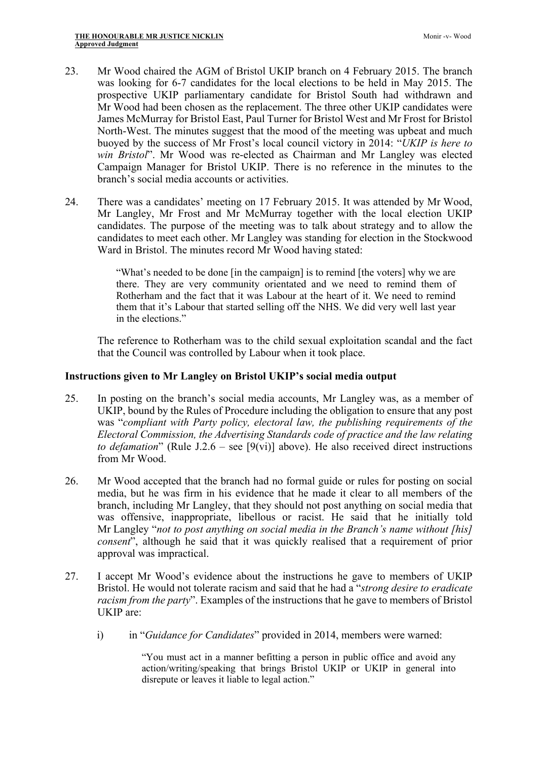- 23. Mr Wood chaired the AGM of Bristol UKIP branch on 4 February 2015. The branch was looking for 6-7 candidates for the local elections to be held in May 2015. The prospective UKIP parliamentary candidate for Bristol South had withdrawn and Mr Wood had been chosen as the replacement. The three other UKIP candidates were James McMurray for Bristol East, Paul Turner for Bristol West and Mr Frost for Bristol North-West. The minutes suggest that the mood of the meeting was upbeat and much buoyed by the success of Mr Frost's local council victory in 2014: "*UKIP is here to win Bristol*". Mr Wood was re-elected as Chairman and Mr Langley was elected Campaign Manager for Bristol UKIP. There is no reference in the minutes to the branch's social media accounts or activities.
- 24. There was a candidates' meeting on 17 February 2015. It was attended by Mr Wood, Mr Langley, Mr Frost and Mr McMurray together with the local election UKIP candidates. The purpose of the meeting was to talk about strategy and to allow the candidates to meet each other. Mr Langley was standing for election in the Stockwood Ward in Bristol. The minutes record Mr Wood having stated:

"What's needed to be done [in the campaign] is to remind [the voters] why we are there. They are very community orientated and we need to remind them of Rotherham and the fact that it was Labour at the heart of it. We need to remind them that it's Labour that started selling off the NHS. We did very well last year in the elections."

The reference to Rotherham was to the child sexual exploitation scandal and the fact that the Council was controlled by Labour when it took place.

## **Instructions given to Mr Langley on Bristol UKIP's social media output**

- 25. In posting on the branch's social media accounts, Mr Langley was, as a member of UKIP, bound by the Rules of Procedure including the obligation to ensure that any post was "*compliant with Party policy, electoral law, the publishing requirements of the Electoral Commission, the Advertising Standards code of practice and the law relating to defamation*" (Rule J.2.6 – see [9(vi)] above). He also received direct instructions from Mr Wood.
- 26. Mr Wood accepted that the branch had no formal guide or rules for posting on social media, but he was firm in his evidence that he made it clear to all members of the branch, including Mr Langley, that they should not post anything on social media that was offensive, inappropriate, libellous or racist. He said that he initially told Mr Langley "*not to post anything on social media in the Branch's name without [his] consent*", although he said that it was quickly realised that a requirement of prior approval was impractical.
- 27. I accept Mr Wood's evidence about the instructions he gave to members of UKIP Bristol. He would not tolerate racism and said that he had a "*strong desire to eradicate racism from the party*". Examples of the instructions that he gave to members of Bristol UKIP are:
	- i) in "*Guidance for Candidates*" provided in 2014, members were warned:

"You must act in a manner befitting a person in public office and avoid any action/writing/speaking that brings Bristol UKIP or UKIP in general into disrepute or leaves it liable to legal action."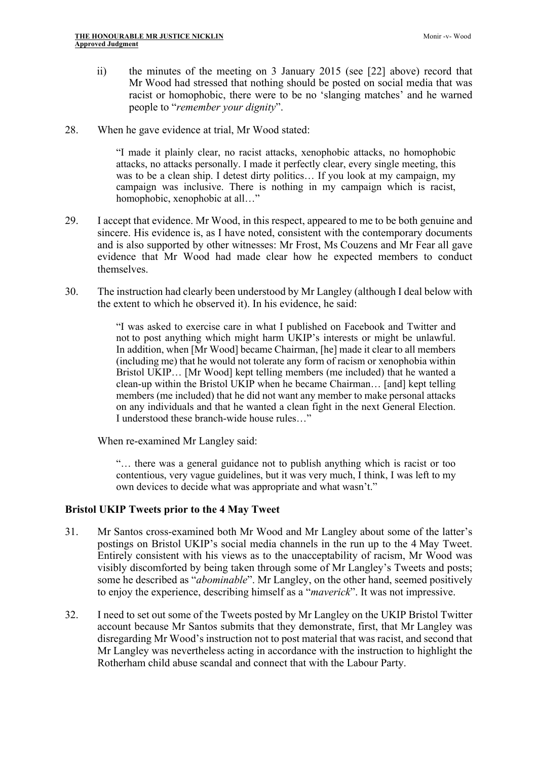- ii) the minutes of the meeting on 3 January 2015 (see [22] above) record that Mr Wood had stressed that nothing should be posted on social media that was racist or homophobic, there were to be no 'slanging matches' and he warned people to "*remember your dignity*".
- 28. When he gave evidence at trial, Mr Wood stated:

"I made it plainly clear, no racist attacks, xenophobic attacks, no homophobic attacks, no attacks personally. I made it perfectly clear, every single meeting, this was to be a clean ship. I detest dirty politics… If you look at my campaign, my campaign was inclusive. There is nothing in my campaign which is racist, homophobic, xenophobic at all..."

- 29. I accept that evidence. Mr Wood, in this respect, appeared to me to be both genuine and sincere. His evidence is, as I have noted, consistent with the contemporary documents and is also supported by other witnesses: Mr Frost, Ms Couzens and Mr Fear all gave evidence that Mr Wood had made clear how he expected members to conduct themselves.
- 30. The instruction had clearly been understood by Mr Langley (although I deal below with the extent to which he observed it). In his evidence, he said:

"I was asked to exercise care in what I published on Facebook and Twitter and not to post anything which might harm UKIP's interests or might be unlawful. In addition, when [Mr Wood] became Chairman, [he] made it clear to all members (including me) that he would not tolerate any form of racism or xenophobia within Bristol UKIP… [Mr Wood] kept telling members (me included) that he wanted a clean-up within the Bristol UKIP when he became Chairman… [and] kept telling members (me included) that he did not want any member to make personal attacks on any individuals and that he wanted a clean fight in the next General Election. I understood these branch-wide house rules…"

When re-examined Mr Langley said:

"… there was a general guidance not to publish anything which is racist or too contentious, very vague guidelines, but it was very much, I think, I was left to my own devices to decide what was appropriate and what wasn't."

## **Bristol UKIP Tweets prior to the 4 May Tweet**

- 31. Mr Santos cross-examined both Mr Wood and Mr Langley about some of the latter's postings on Bristol UKIP's social media channels in the run up to the 4 May Tweet. Entirely consistent with his views as to the unacceptability of racism, Mr Wood was visibly discomforted by being taken through some of Mr Langley's Tweets and posts; some he described as "*abominable*". Mr Langley, on the other hand, seemed positively to enjoy the experience, describing himself as a "*maverick*". It was not impressive.
- 32. I need to set out some of the Tweets posted by Mr Langley on the UKIP Bristol Twitter account because Mr Santos submits that they demonstrate, first, that Mr Langley was disregarding Mr Wood's instruction not to post material that was racist, and second that Mr Langley was nevertheless acting in accordance with the instruction to highlight the Rotherham child abuse scandal and connect that with the Labour Party.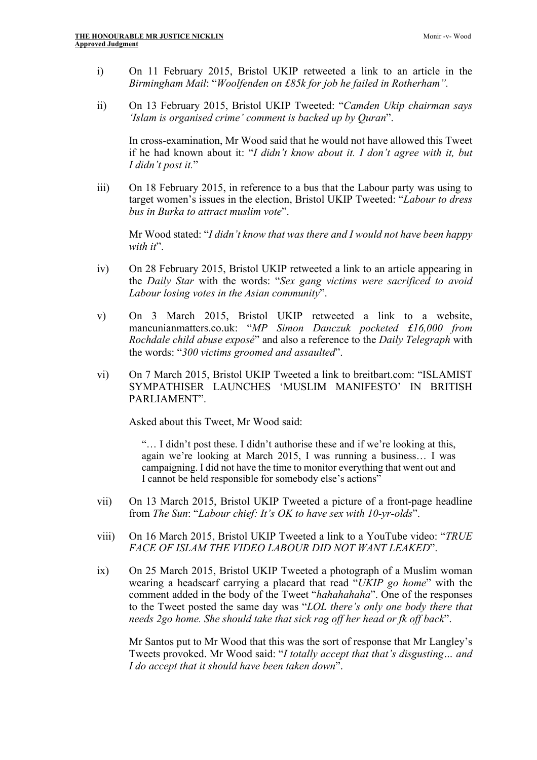- i) On 11 February 2015, Bristol UKIP retweeted a link to an article in the *Birmingham Mail*: "*Woolfenden on £85k for job he failed in Rotherham".*
- ii) On 13 February 2015, Bristol UKIP Tweeted: "*Camden Ukip chairman says 'Islam is organised crime' comment is backed up by Quran*".

In cross-examination, Mr Wood said that he would not have allowed this Tweet if he had known about it: "*I didn't know about it. I don't agree with it, but I didn't post it.*"

iii) On 18 February 2015, in reference to a bus that the Labour party was using to target women's issues in the election, Bristol UKIP Tweeted: "*Labour to dress bus in Burka to attract muslim vote*".

Mr Wood stated: "*I didn't know that was there and I would not have been happy*  with it".

- iv) On 28 February 2015, Bristol UKIP retweeted a link to an article appearing in the *Daily Star* with the words: "*Sex gang victims were sacrificed to avoid Labour losing votes in the Asian community*".
- v) On 3 March 2015, Bristol UKIP retweeted a link to a website, mancunianmatters.co.uk: "*MP Simon Danczuk pocketed £16,000 from Rochdale child abuse exposé*" and also a reference to the *Daily Telegraph* with the words: "*300 victims groomed and assaulted*".
- vi) On 7 March 2015, Bristol UKIP Tweeted a link to breitbart.com: "ISLAMIST SYMPATHISER LAUNCHES 'MUSLIM MANIFESTO' IN BRITISH PARLIAMENT".

Asked about this Tweet, Mr Wood said:

"… I didn't post these. I didn't authorise these and if we're looking at this, again we're looking at March 2015, I was running a business… I was campaigning. I did not have the time to monitor everything that went out and I cannot be held responsible for somebody else's actions"

- vii) On 13 March 2015, Bristol UKIP Tweeted a picture of a front-page headline from *The Sun*: "*Labour chief: It's OK to have sex with 10-yr-olds*".
- viii) On 16 March 2015, Bristol UKIP Tweeted a link to a YouTube video: "*TRUE*  FACE OF ISLAM THE VIDEO LABOUR DID NOT WANT LEAKED".
- ix) On 25 March 2015, Bristol UKIP Tweeted a photograph of a Muslim woman wearing a headscarf carrying a placard that read "*UKIP go home*" with the comment added in the body of the Tweet "*hahahahaha*". One of the responses to the Tweet posted the same day was "*LOL there's only one body there that needs 2go home. She should take that sick rag off her head or fk off back*".

Mr Santos put to Mr Wood that this was the sort of response that Mr Langley's Tweets provoked. Mr Wood said: "*I totally accept that that's disgusting… and I do accept that it should have been taken down*".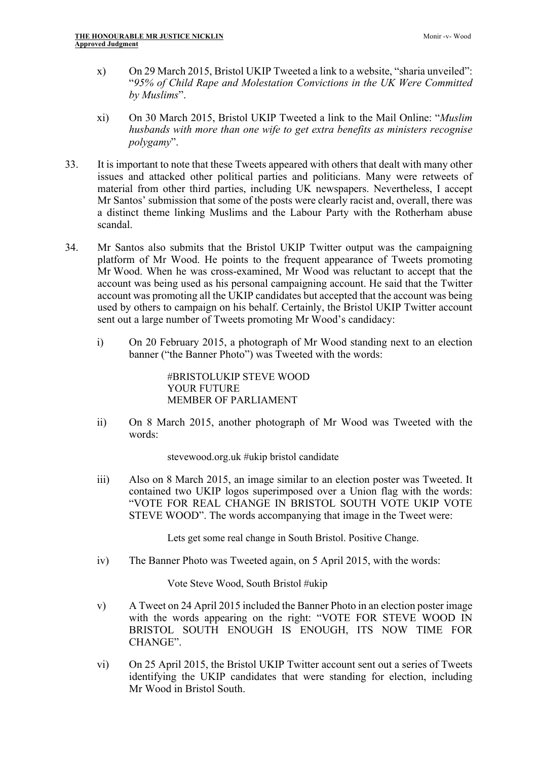- x) On 29 March 2015, Bristol UKIP Tweeted a link to a website, "sharia unveiled": "*95% of Child Rape and Molestation Convictions in the UK Were Committed by Muslims*".
- xi) On 30 March 2015, Bristol UKIP Tweeted a link to the Mail Online: "*Muslim husbands with more than one wife to get extra benefits as ministers recognise polygamy*".
- 33. It is important to note that these Tweets appeared with others that dealt with many other issues and attacked other political parties and politicians. Many were retweets of material from other third parties, including UK newspapers. Nevertheless, I accept Mr Santos' submission that some of the posts were clearly racist and, overall, there was a distinct theme linking Muslims and the Labour Party with the Rotherham abuse scandal.
- 34. Mr Santos also submits that the Bristol UKIP Twitter output was the campaigning platform of Mr Wood. He points to the frequent appearance of Tweets promoting Mr Wood. When he was cross-examined, Mr Wood was reluctant to accept that the account was being used as his personal campaigning account. He said that the Twitter account was promoting all the UKIP candidates but accepted that the account was being used by others to campaign on his behalf. Certainly, the Bristol UKIP Twitter account sent out a large number of Tweets promoting Mr Wood's candidacy:
	- i) On 20 February 2015, a photograph of Mr Wood standing next to an election banner ("the Banner Photo") was Tweeted with the words:

#BRISTOLUKIP STEVE WOOD YOUR FUTURE MEMBER OF PARLIAMENT

ii) On 8 March 2015, another photograph of Mr Wood was Tweeted with the words:

stevewood.org.uk #ukip bristol candidate

iii) Also on 8 March 2015, an image similar to an election poster was Tweeted. It contained two UKIP logos superimposed over a Union flag with the words: "VOTE FOR REAL CHANGE IN BRISTOL SOUTH VOTE UKIP VOTE STEVE WOOD". The words accompanying that image in the Tweet were:

Lets get some real change in South Bristol. Positive Change.

iv) The Banner Photo was Tweeted again, on 5 April 2015, with the words:

Vote Steve Wood, South Bristol #ukip

- v) A Tweet on 24 April 2015 included the Banner Photo in an election poster image with the words appearing on the right: "VOTE FOR STEVE WOOD IN BRISTOL SOUTH ENOUGH IS ENOUGH, ITS NOW TIME FOR CHANGE".
- vi) On 25 April 2015, the Bristol UKIP Twitter account sent out a series of Tweets identifying the UKIP candidates that were standing for election, including Mr Wood in Bristol South.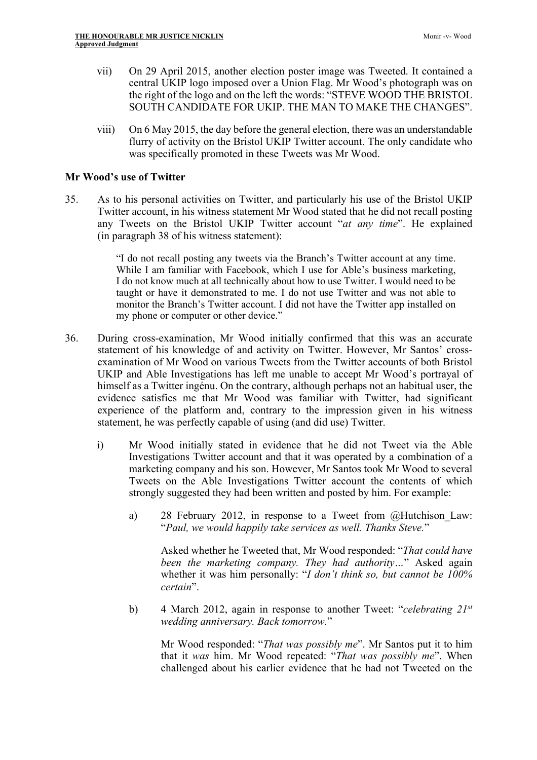- vii) On 29 April 2015, another election poster image was Tweeted. It contained a central UKIP logo imposed over a Union Flag. Mr Wood's photograph was on the right of the logo and on the left the words: "STEVE WOOD THE BRISTOL SOUTH CANDIDATE FOR UKIP. THE MAN TO MAKE THE CHANGES".
- viii) On 6 May 2015, the day before the general election, there was an understandable flurry of activity on the Bristol UKIP Twitter account. The only candidate who was specifically promoted in these Tweets was Mr Wood.

## **Mr Wood's use of Twitter**

35. As to his personal activities on Twitter, and particularly his use of the Bristol UKIP Twitter account, in his witness statement Mr Wood stated that he did not recall posting any Tweets on the Bristol UKIP Twitter account "*at any time*". He explained (in paragraph 38 of his witness statement):

> "I do not recall posting any tweets via the Branch's Twitter account at any time. While I am familiar with Facebook, which I use for Able's business marketing, I do not know much at all technically about how to use Twitter. I would need to be taught or have it demonstrated to me. I do not use Twitter and was not able to monitor the Branch's Twitter account. I did not have the Twitter app installed on my phone or computer or other device."

- 36. During cross-examination, Mr Wood initially confirmed that this was an accurate statement of his knowledge of and activity on Twitter. However, Mr Santos' crossexamination of Mr Wood on various Tweets from the Twitter accounts of both Bristol UKIP and Able Investigations has left me unable to accept Mr Wood's portrayal of himself as a Twitter ingénu. On the contrary, although perhaps not an habitual user, the evidence satisfies me that Mr Wood was familiar with Twitter, had significant experience of the platform and, contrary to the impression given in his witness statement, he was perfectly capable of using (and did use) Twitter.
	- i) Mr Wood initially stated in evidence that he did not Tweet via the Able Investigations Twitter account and that it was operated by a combination of a marketing company and his son. However, Mr Santos took Mr Wood to several Tweets on the Able Investigations Twitter account the contents of which strongly suggested they had been written and posted by him. For example:
		- a) 28 February 2012, in response to a Tweet from @Hutchison\_Law: "*Paul, we would happily take services as well. Thanks Steve.*"

Asked whether he Tweeted that, Mr Wood responded: "*That could have been the marketing company. They had authority…*" Asked again whether it was him personally: "*I don't think so, but cannot be 100% certain*".

b) 4 March 2012, again in response to another Tweet: "*celebrating 21st wedding anniversary. Back tomorrow.*"

Mr Wood responded: "*That was possibly me*". Mr Santos put it to him that it *was* him. Mr Wood repeated: "*That was possibly me*". When challenged about his earlier evidence that he had not Tweeted on the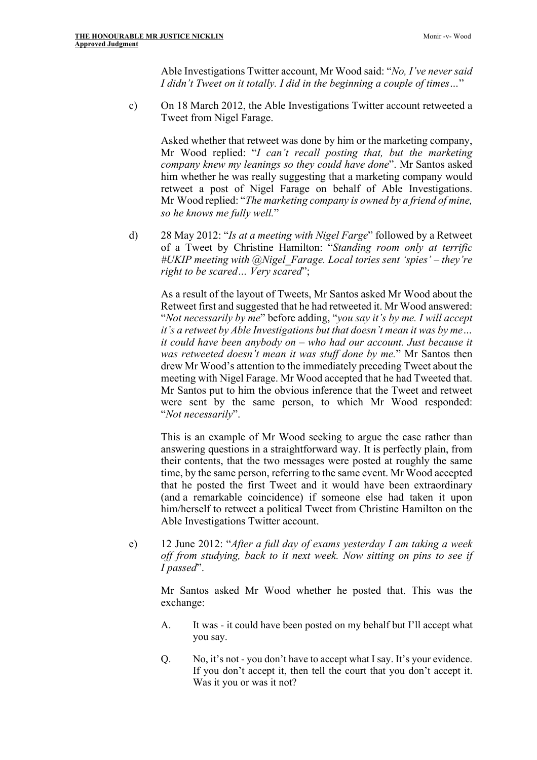Able Investigations Twitter account, Mr Wood said: "*No, I've never said I didn't Tweet on it totally. I did in the beginning a couple of times…*"

c) On 18 March 2012, the Able Investigations Twitter account retweeted a Tweet from Nigel Farage.

Asked whether that retweet was done by him or the marketing company, Mr Wood replied: "*I can't recall posting that, but the marketing company knew my leanings so they could have done*". Mr Santos asked him whether he was really suggesting that a marketing company would retweet a post of Nigel Farage on behalf of Able Investigations. Mr Wood replied: "*The marketing company is owned by a friend of mine, so he knows me fully well.*"

d) 28 May 2012: "*Is at a meeting with Nigel Farge*" followed by a Retweet of a Tweet by Christine Hamilton: "*Standing room only at terrific #UKIP meeting with @Nigel\_Farage. Local tories sent 'spies' – they're right to be scared… Very scared*";

As a result of the layout of Tweets, Mr Santos asked Mr Wood about the Retweet first and suggested that he had retweeted it. Mr Wood answered: "*Not necessarily by me*" before adding, "*you say it's by me. I will accept it's a retweet by Able Investigations but that doesn't mean it was by me… it could have been anybody on – who had our account. Just because it was retweeted doesn't mean it was stuff done by me.*" Mr Santos then drew Mr Wood's attention to the immediately preceding Tweet about the meeting with Nigel Farage. Mr Wood accepted that he had Tweeted that. Mr Santos put to him the obvious inference that the Tweet and retweet were sent by the same person, to which Mr Wood responded: "*Not necessarily*".

This is an example of Mr Wood seeking to argue the case rather than answering questions in a straightforward way. It is perfectly plain, from their contents, that the two messages were posted at roughly the same time, by the same person, referring to the same event. Mr Wood accepted that he posted the first Tweet and it would have been extraordinary (and a remarkable coincidence) if someone else had taken it upon him/herself to retweet a political Tweet from Christine Hamilton on the Able Investigations Twitter account.

e) 12 June 2012: "*After a full day of exams yesterday I am taking a week off from studying, back to it next week. Now sitting on pins to see if I passed*".

Mr Santos asked Mr Wood whether he posted that. This was the exchange:

- A. It was it could have been posted on my behalf but I'll accept what you say.
- Q. No, it's not you don't have to accept what I say. It's your evidence. If you don't accept it, then tell the court that you don't accept it. Was it you or was it not?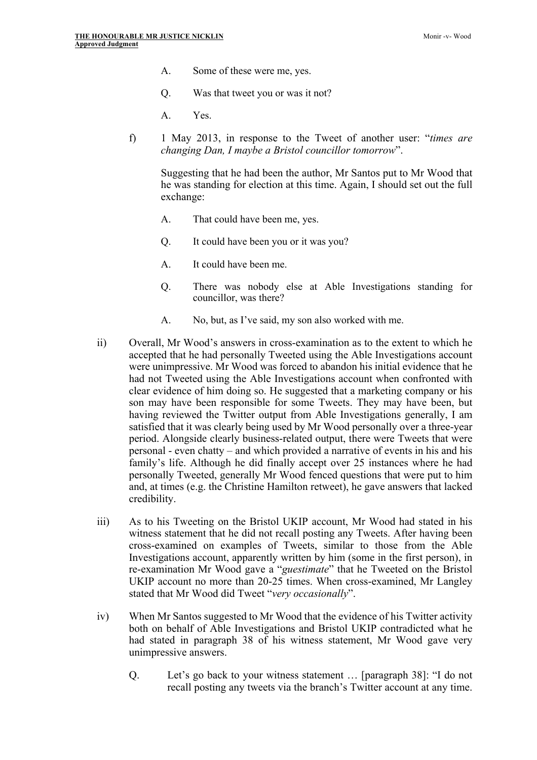- A. Some of these were me, yes.
- Q. Was that tweet you or was it not?
- A. Yes.
- f) 1 May 2013, in response to the Tweet of another user: "*times are changing Dan, I maybe a Bristol councillor tomorrow*".

Suggesting that he had been the author, Mr Santos put to Mr Wood that he was standing for election at this time. Again, I should set out the full exchange:

- A. That could have been me, yes.
- Q. It could have been you or it was you?
- A. It could have been me.
- Q. There was nobody else at Able Investigations standing for councillor, was there?
- A. No, but, as I've said, my son also worked with me.
- ii) Overall, Mr Wood's answers in cross-examination as to the extent to which he accepted that he had personally Tweeted using the Able Investigations account were unimpressive. Mr Wood was forced to abandon his initial evidence that he had not Tweeted using the Able Investigations account when confronted with clear evidence of him doing so. He suggested that a marketing company or his son may have been responsible for some Tweets. They may have been, but having reviewed the Twitter output from Able Investigations generally, I am satisfied that it was clearly being used by Mr Wood personally over a three-year period. Alongside clearly business-related output, there were Tweets that were personal - even chatty – and which provided a narrative of events in his and his family's life. Although he did finally accept over 25 instances where he had personally Tweeted, generally Mr Wood fenced questions that were put to him and, at times (e.g. the Christine Hamilton retweet), he gave answers that lacked credibility.
- iii) As to his Tweeting on the Bristol UKIP account, Mr Wood had stated in his witness statement that he did not recall posting any Tweets. After having been cross-examined on examples of Tweets, similar to those from the Able Investigations account, apparently written by him (some in the first person), in re-examination Mr Wood gave a "*guestimate*" that he Tweeted on the Bristol UKIP account no more than 20-25 times. When cross-examined, Mr Langley stated that Mr Wood did Tweet "*very occasionally*".
- iv) When Mr Santos suggested to Mr Wood that the evidence of his Twitter activity both on behalf of Able Investigations and Bristol UKIP contradicted what he had stated in paragraph 38 of his witness statement, Mr Wood gave very unimpressive answers.
	- Q. Let's go back to your witness statement … [paragraph 38]: "I do not recall posting any tweets via the branch's Twitter account at any time.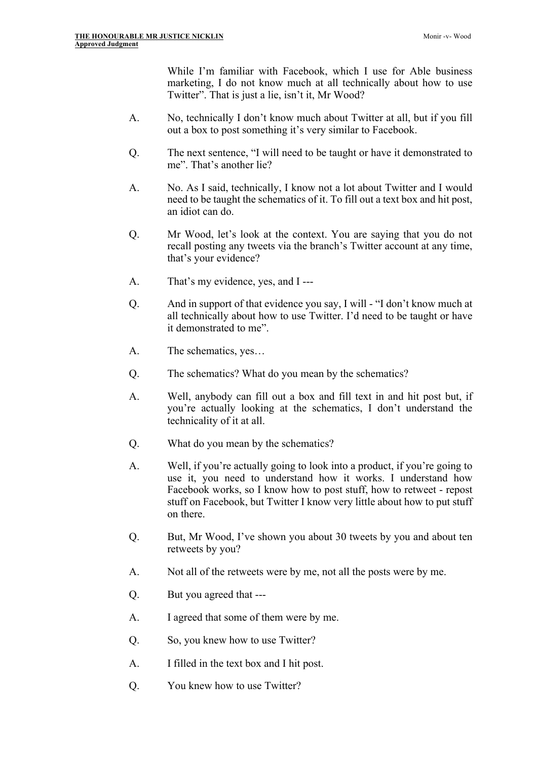While I'm familiar with Facebook, which I use for Able business marketing, I do not know much at all technically about how to use Twitter". That is just a lie, isn't it, Mr Wood?

- A. No, technically I don't know much about Twitter at all, but if you fill out a box to post something it's very similar to Facebook.
- Q. The next sentence, "I will need to be taught or have it demonstrated to me". That's another lie?
- A. No. As I said, technically, I know not a lot about Twitter and I would need to be taught the schematics of it. To fill out a text box and hit post, an idiot can do.
- Q. Mr Wood, let's look at the context. You are saying that you do not recall posting any tweets via the branch's Twitter account at any time, that's your evidence?
- A. That's my evidence, yes, and I ---
- Q. And in support of that evidence you say, I will "I don't know much at all technically about how to use Twitter. I'd need to be taught or have it demonstrated to me".
- A. The schematics, yes…
- Q. The schematics? What do you mean by the schematics?
- A. Well, anybody can fill out a box and fill text in and hit post but, if you're actually looking at the schematics, I don't understand the technicality of it at all.
- Q. What do you mean by the schematics?
- A. Well, if you're actually going to look into a product, if you're going to use it, you need to understand how it works. I understand how Facebook works, so I know how to post stuff, how to retweet - repost stuff on Facebook, but Twitter I know very little about how to put stuff on there.
- Q. But, Mr Wood, I've shown you about 30 tweets by you and about ten retweets by you?
- A. Not all of the retweets were by me, not all the posts were by me.
- Q. But you agreed that ---
- A. I agreed that some of them were by me.
- Q. So, you knew how to use Twitter?
- A. I filled in the text box and I hit post.
- Q. You knew how to use Twitter?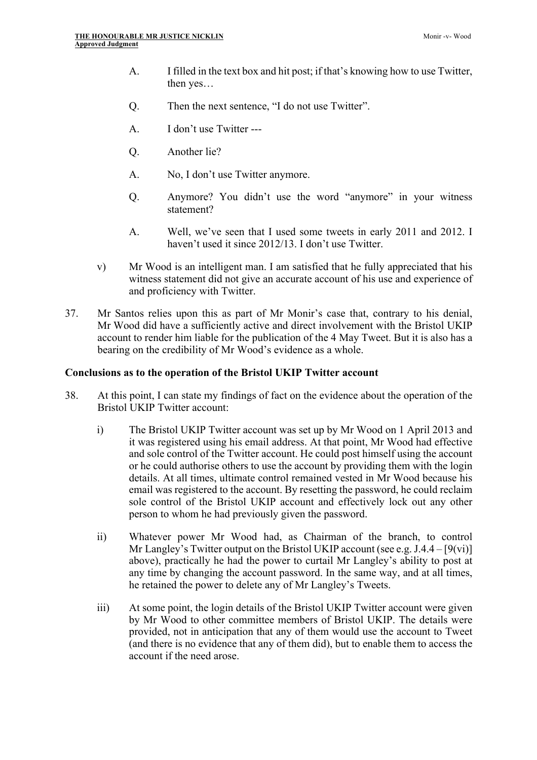- A. I filled in the text box and hit post; if that's knowing how to use Twitter, then yes…
- Q. Then the next sentence, "I do not use Twitter".
- A. I don't use Twitter ---
- Q. Another lie?
- A. No, I don't use Twitter anymore.
- Q. Anymore? You didn't use the word "anymore" in your witness statement?
- A. Well, we've seen that I used some tweets in early 2011 and 2012. I haven't used it since 2012/13. I don't use Twitter.
- v) Mr Wood is an intelligent man. I am satisfied that he fully appreciated that his witness statement did not give an accurate account of his use and experience of and proficiency with Twitter.
- 37. Mr Santos relies upon this as part of Mr Monir's case that, contrary to his denial, Mr Wood did have a sufficiently active and direct involvement with the Bristol UKIP account to render him liable for the publication of the 4 May Tweet. But it is also has a bearing on the credibility of Mr Wood's evidence as a whole.

#### **Conclusions as to the operation of the Bristol UKIP Twitter account**

- 38. At this point, I can state my findings of fact on the evidence about the operation of the Bristol UKIP Twitter account:
	- i) The Bristol UKIP Twitter account was set up by Mr Wood on 1 April 2013 and it was registered using his email address. At that point, Mr Wood had effective and sole control of the Twitter account. He could post himself using the account or he could authorise others to use the account by providing them with the login details. At all times, ultimate control remained vested in Mr Wood because his email was registered to the account. By resetting the password, he could reclaim sole control of the Bristol UKIP account and effectively lock out any other person to whom he had previously given the password.
	- ii) Whatever power Mr Wood had, as Chairman of the branch, to control Mr Langley's Twitter output on the Bristol UKIP account (see e.g. J.4.4 – [9(vi)] above), practically he had the power to curtail Mr Langley's ability to post at any time by changing the account password. In the same way, and at all times, he retained the power to delete any of Mr Langley's Tweets.
	- iii) At some point, the login details of the Bristol UKIP Twitter account were given by Mr Wood to other committee members of Bristol UKIP. The details were provided, not in anticipation that any of them would use the account to Tweet (and there is no evidence that any of them did), but to enable them to access the account if the need arose.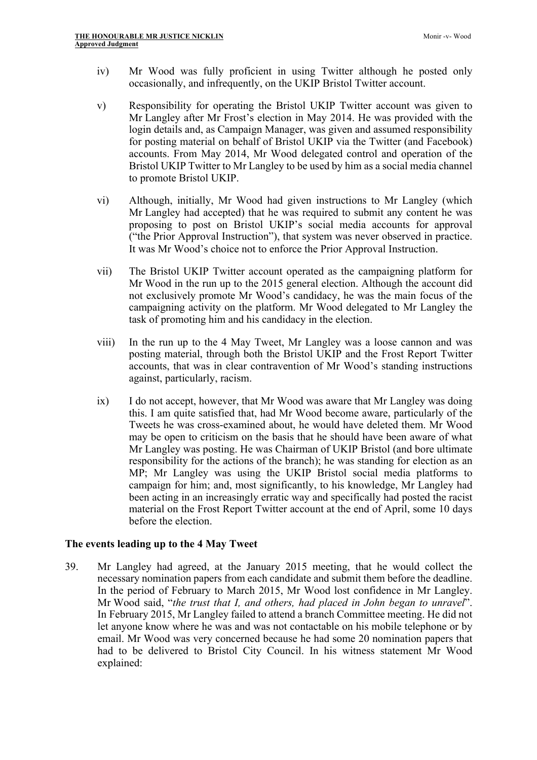- iv) Mr Wood was fully proficient in using Twitter although he posted only occasionally, and infrequently, on the UKIP Bristol Twitter account.
- v) Responsibility for operating the Bristol UKIP Twitter account was given to Mr Langley after Mr Frost's election in May 2014. He was provided with the login details and, as Campaign Manager, was given and assumed responsibility for posting material on behalf of Bristol UKIP via the Twitter (and Facebook) accounts. From May 2014, Mr Wood delegated control and operation of the Bristol UKIP Twitter to Mr Langley to be used by him as a social media channel to promote Bristol UKIP.
- vi) Although, initially, Mr Wood had given instructions to Mr Langley (which Mr Langley had accepted) that he was required to submit any content he was proposing to post on Bristol UKIP's social media accounts for approval ("the Prior Approval Instruction"), that system was never observed in practice. It was Mr Wood's choice not to enforce the Prior Approval Instruction.
- vii) The Bristol UKIP Twitter account operated as the campaigning platform for Mr Wood in the run up to the 2015 general election. Although the account did not exclusively promote Mr Wood's candidacy, he was the main focus of the campaigning activity on the platform. Mr Wood delegated to Mr Langley the task of promoting him and his candidacy in the election.
- viii) In the run up to the 4 May Tweet, Mr Langley was a loose cannon and was posting material, through both the Bristol UKIP and the Frost Report Twitter accounts, that was in clear contravention of Mr Wood's standing instructions against, particularly, racism.
- ix) I do not accept, however, that Mr Wood was aware that Mr Langley was doing this. I am quite satisfied that, had Mr Wood become aware, particularly of the Tweets he was cross-examined about, he would have deleted them. Mr Wood may be open to criticism on the basis that he should have been aware of what Mr Langley was posting. He was Chairman of UKIP Bristol (and bore ultimate responsibility for the actions of the branch); he was standing for election as an MP; Mr Langley was using the UKIP Bristol social media platforms to campaign for him; and, most significantly, to his knowledge, Mr Langley had been acting in an increasingly erratic way and specifically had posted the racist material on the Frost Report Twitter account at the end of April, some 10 days before the election.

#### **The events leading up to the 4 May Tweet**

39. Mr Langley had agreed, at the January 2015 meeting, that he would collect the necessary nomination papers from each candidate and submit them before the deadline. In the period of February to March 2015, Mr Wood lost confidence in Mr Langley. Mr Wood said, "*the trust that I, and others, had placed in John began to unravel*". In February 2015, Mr Langley failed to attend a branch Committee meeting. He did not let anyone know where he was and was not contactable on his mobile telephone or by email. Mr Wood was very concerned because he had some 20 nomination papers that had to be delivered to Bristol City Council. In his witness statement Mr Wood explained: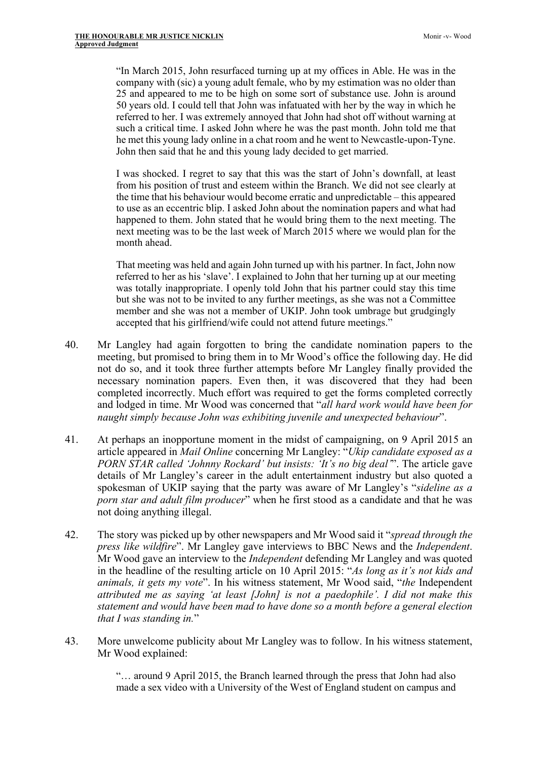"In March 2015, John resurfaced turning up at my offices in Able. He was in the company with (sic) a young adult female, who by my estimation was no older than 25 and appeared to me to be high on some sort of substance use. John is around 50 years old. I could tell that John was infatuated with her by the way in which he referred to her. I was extremely annoyed that John had shot off without warning at such a critical time. I asked John where he was the past month. John told me that he met this young lady online in a chat room and he went to Newcastle-upon-Tyne. John then said that he and this young lady decided to get married.

I was shocked. I regret to say that this was the start of John's downfall, at least from his position of trust and esteem within the Branch. We did not see clearly at the time that his behaviour would become erratic and unpredictable – this appeared to use as an eccentric blip. I asked John about the nomination papers and what had happened to them. John stated that he would bring them to the next meeting. The next meeting was to be the last week of March 2015 where we would plan for the month ahead.

That meeting was held and again John turned up with his partner. In fact, John now referred to her as his 'slave'. I explained to John that her turning up at our meeting was totally inappropriate. I openly told John that his partner could stay this time but she was not to be invited to any further meetings, as she was not a Committee member and she was not a member of UKIP. John took umbrage but grudgingly accepted that his girlfriend/wife could not attend future meetings."

- 40. Mr Langley had again forgotten to bring the candidate nomination papers to the meeting, but promised to bring them in to Mr Wood's office the following day. He did not do so, and it took three further attempts before Mr Langley finally provided the necessary nomination papers. Even then, it was discovered that they had been completed incorrectly. Much effort was required to get the forms completed correctly and lodged in time. Mr Wood was concerned that "*all hard work would have been for naught simply because John was exhibiting juvenile and unexpected behaviour*".
- 41. At perhaps an inopportune moment in the midst of campaigning, on 9 April 2015 an article appeared in *Mail Online* concerning Mr Langley: "*Ukip candidate exposed as a PORN STAR called 'Johnny Rockard' but insists: 'It's no big deal'*". The article gave details of Mr Langley's career in the adult entertainment industry but also quoted a spokesman of UKIP saying that the party was aware of Mr Langley's "*sideline as a porn star and adult film producer*" when he first stood as a candidate and that he was not doing anything illegal.
- 42. The story was picked up by other newspapers and Mr Wood said it "*spread through the press like wildfire*". Mr Langley gave interviews to BBC News and the *Independent*. Mr Wood gave an interview to the *Independent* defending Mr Langley and was quoted in the headline of the resulting article on 10 April 2015: "*As long as it's not kids and animals, it gets my vote*". In his witness statement, Mr Wood said, "*the* Independent *attributed me as saying 'at least [John] is not a paedophile'. I did not make this statement and would have been mad to have done so a month before a general election that I was standing in.*"
- 43. More unwelcome publicity about Mr Langley was to follow. In his witness statement, Mr Wood explained:

"… around 9 April 2015, the Branch learned through the press that John had also made a sex video with a University of the West of England student on campus and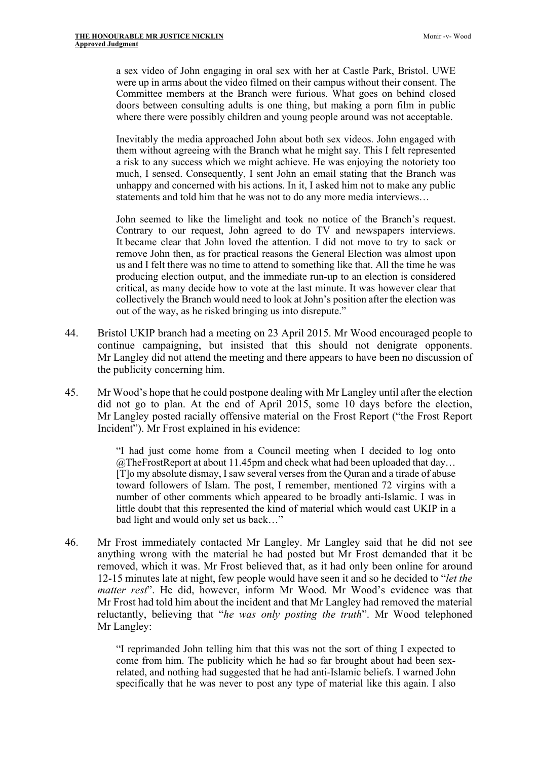a sex video of John engaging in oral sex with her at Castle Park, Bristol. UWE were up in arms about the video filmed on their campus without their consent. The Committee members at the Branch were furious. What goes on behind closed doors between consulting adults is one thing, but making a porn film in public where there were possibly children and young people around was not acceptable.

Inevitably the media approached John about both sex videos. John engaged with them without agreeing with the Branch what he might say. This I felt represented a risk to any success which we might achieve. He was enjoying the notoriety too much, I sensed. Consequently, I sent John an email stating that the Branch was unhappy and concerned with his actions. In it, I asked him not to make any public statements and told him that he was not to do any more media interviews…

John seemed to like the limelight and took no notice of the Branch's request. Contrary to our request, John agreed to do TV and newspapers interviews. It became clear that John loved the attention. I did not move to try to sack or remove John then, as for practical reasons the General Election was almost upon us and I felt there was no time to attend to something like that. All the time he was producing election output, and the immediate run-up to an election is considered critical, as many decide how to vote at the last minute. It was however clear that collectively the Branch would need to look at John's position after the election was out of the way, as he risked bringing us into disrepute."

- 44. Bristol UKIP branch had a meeting on 23 April 2015. Mr Wood encouraged people to continue campaigning, but insisted that this should not denigrate opponents. Mr Langley did not attend the meeting and there appears to have been no discussion of the publicity concerning him.
- 45. Mr Wood's hope that he could postpone dealing with Mr Langley until after the election did not go to plan. At the end of April 2015, some 10 days before the election, Mr Langley posted racially offensive material on the Frost Report ("the Frost Report Incident"). Mr Frost explained in his evidence:

"I had just come home from a Council meeting when I decided to log onto  $@$ TheFrostReport at about 11.45pm and check what had been uploaded that day... [T]o my absolute dismay, I saw several verses from the Quran and a tirade of abuse toward followers of Islam. The post, I remember, mentioned 72 virgins with a number of other comments which appeared to be broadly anti-Islamic. I was in little doubt that this represented the kind of material which would cast UKIP in a bad light and would only set us back…"

46. Mr Frost immediately contacted Mr Langley. Mr Langley said that he did not see anything wrong with the material he had posted but Mr Frost demanded that it be removed, which it was. Mr Frost believed that, as it had only been online for around 12-15 minutes late at night, few people would have seen it and so he decided to "*let the matter rest*". He did, however, inform Mr Wood. Mr Wood's evidence was that Mr Frost had told him about the incident and that Mr Langley had removed the material reluctantly, believing that "*he was only posting the truth*". Mr Wood telephoned Mr Langley:

> "I reprimanded John telling him that this was not the sort of thing I expected to come from him. The publicity which he had so far brought about had been sexrelated, and nothing had suggested that he had anti-Islamic beliefs. I warned John specifically that he was never to post any type of material like this again. I also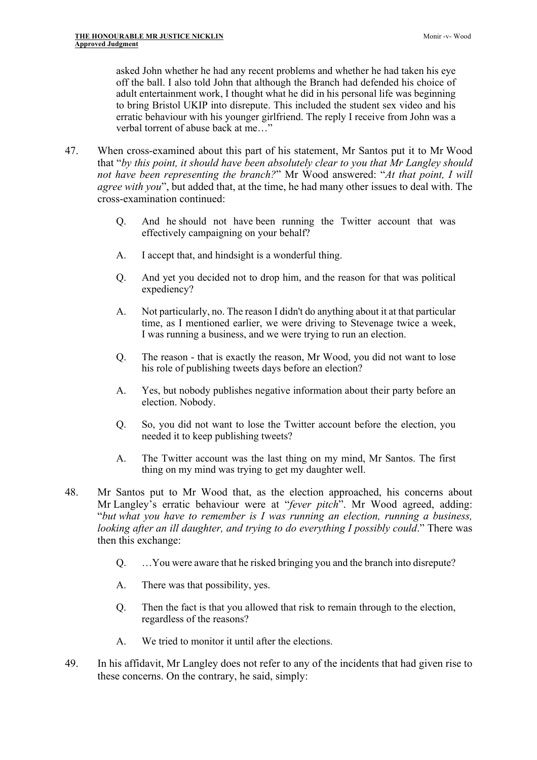asked John whether he had any recent problems and whether he had taken his eye off the ball. I also told John that although the Branch had defended his choice of adult entertainment work, I thought what he did in his personal life was beginning to bring Bristol UKIP into disrepute. This included the student sex video and his erratic behaviour with his younger girlfriend. The reply I receive from John was a verbal torrent of abuse back at me…"

- 47. When cross-examined about this part of his statement, Mr Santos put it to Mr Wood that "*by this point, it should have been absolutely clear to you that Mr Langley should not have been representing the branch?*" Mr Wood answered: "*At that point, I will agree with you*", but added that, at the time, he had many other issues to deal with. The cross-examination continued:
	- Q. And he should not have been running the Twitter account that was effectively campaigning on your behalf?
	- A. I accept that, and hindsight is a wonderful thing.
	- Q. And yet you decided not to drop him, and the reason for that was political expediency?
	- A. Not particularly, no. The reason I didn't do anything about it at that particular time, as I mentioned earlier, we were driving to Stevenage twice a week, I was running a business, and we were trying to run an election.
	- Q. The reason that is exactly the reason, Mr Wood, you did not want to lose his role of publishing tweets days before an election?
	- A. Yes, but nobody publishes negative information about their party before an election. Nobody.
	- Q. So, you did not want to lose the Twitter account before the election, you needed it to keep publishing tweets?
	- A. The Twitter account was the last thing on my mind, Mr Santos. The first thing on my mind was trying to get my daughter well.
- 48. Mr Santos put to Mr Wood that, as the election approached, his concerns about Mr Langley's erratic behaviour were at "*fever pitch*". Mr Wood agreed, adding: "*but what you have to remember is I was running an election, running a business, looking after an ill daughter, and trying to do everything I possibly could*." There was then this exchange:
	- Q. …You were aware that he risked bringing you and the branch into disrepute?
	- A. There was that possibility, yes.
	- Q. Then the fact is that you allowed that risk to remain through to the election, regardless of the reasons?
	- A. We tried to monitor it until after the elections.
- 49. In his affidavit, Mr Langley does not refer to any of the incidents that had given rise to these concerns. On the contrary, he said, simply: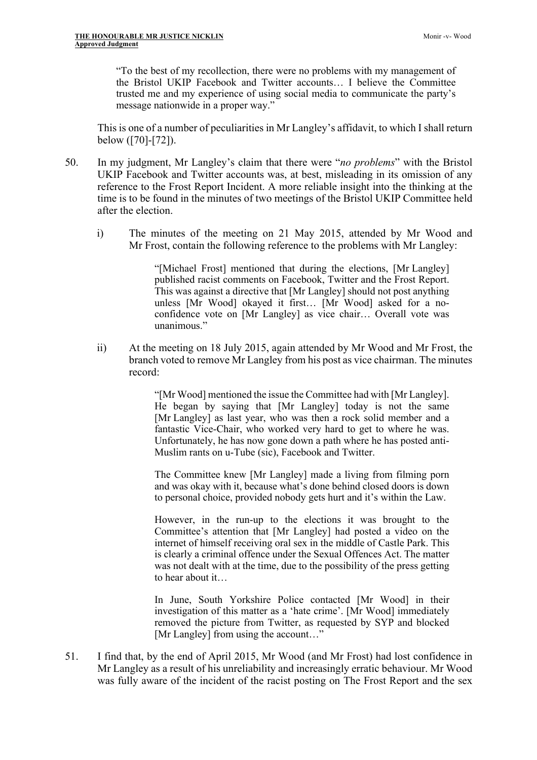"To the best of my recollection, there were no problems with my management of the Bristol UKIP Facebook and Twitter accounts… I believe the Committee trusted me and my experience of using social media to communicate the party's message nationwide in a proper way."

This is one of a number of peculiarities in Mr Langley's affidavit, to which I shall return below ([70]-[72]).

- 50. In my judgment, Mr Langley's claim that there were "*no problems*" with the Bristol UKIP Facebook and Twitter accounts was, at best, misleading in its omission of any reference to the Frost Report Incident. A more reliable insight into the thinking at the time is to be found in the minutes of two meetings of the Bristol UKIP Committee held after the election.
	- i) The minutes of the meeting on 21 May 2015, attended by Mr Wood and Mr Frost, contain the following reference to the problems with Mr Langley:

"[Michael Frost] mentioned that during the elections, [Mr Langley] published racist comments on Facebook, Twitter and the Frost Report. This was against a directive that [Mr Langley] should not post anything unless [Mr Wood] okayed it first… [Mr Wood] asked for a noconfidence vote on [Mr Langley] as vice chair… Overall vote was unanimous."

ii) At the meeting on 18 July 2015, again attended by Mr Wood and Mr Frost, the branch voted to remove Mr Langley from his post as vice chairman. The minutes record:

> "[Mr Wood] mentioned the issue the Committee had with [Mr Langley]. He began by saying that [Mr Langley] today is not the same [Mr Langley] as last year, who was then a rock solid member and a fantastic Vice-Chair, who worked very hard to get to where he was. Unfortunately, he has now gone down a path where he has posted anti-Muslim rants on u-Tube (sic), Facebook and Twitter.

> The Committee knew [Mr Langley] made a living from filming porn and was okay with it, because what's done behind closed doors is down to personal choice, provided nobody gets hurt and it's within the Law.

> However, in the run-up to the elections it was brought to the Committee's attention that [Mr Langley] had posted a video on the internet of himself receiving oral sex in the middle of Castle Park. This is clearly a criminal offence under the Sexual Offences Act. The matter was not dealt with at the time, due to the possibility of the press getting to hear about it…

> In June, South Yorkshire Police contacted [Mr Wood] in their investigation of this matter as a 'hate crime'. [Mr Wood] immediately removed the picture from Twitter, as requested by SYP and blocked [Mr Langley] from using the account…"

51. I find that, by the end of April 2015, Mr Wood (and Mr Frost) had lost confidence in Mr Langley as a result of his unreliability and increasingly erratic behaviour. Mr Wood was fully aware of the incident of the racist posting on The Frost Report and the sex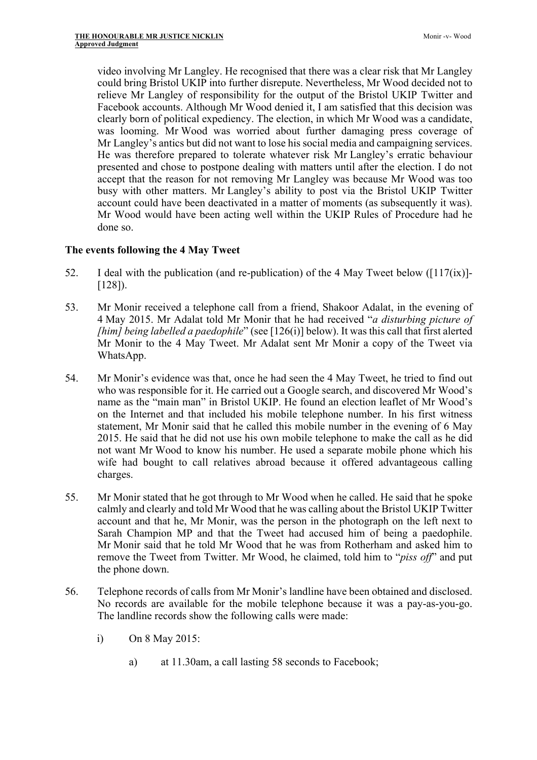video involving Mr Langley. He recognised that there was a clear risk that Mr Langley could bring Bristol UKIP into further disrepute. Nevertheless, Mr Wood decided not to relieve Mr Langley of responsibility for the output of the Bristol UKIP Twitter and Facebook accounts. Although Mr Wood denied it, I am satisfied that this decision was clearly born of political expediency. The election, in which Mr Wood was a candidate, was looming. Mr Wood was worried about further damaging press coverage of Mr Langley's antics but did not want to lose his social media and campaigning services. He was therefore prepared to tolerate whatever risk Mr Langley's erratic behaviour presented and chose to postpone dealing with matters until after the election. I do not accept that the reason for not removing Mr Langley was because Mr Wood was too busy with other matters. Mr Langley's ability to post via the Bristol UKIP Twitter account could have been deactivated in a matter of moments (as subsequently it was). Mr Wood would have been acting well within the UKIP Rules of Procedure had he done so.

## **The events following the 4 May Tweet**

- 52. I deal with the publication (and re-publication) of the 4 May Tweet below ( $[117(ix)]$ -[128]).
- 53. Mr Monir received a telephone call from a friend, Shakoor Adalat, in the evening of 4 May 2015. Mr Adalat told Mr Monir that he had received "*a disturbing picture of [him] being labelled a paedophile*" (see [126(i)] below). It was this call that first alerted Mr Monir to the 4 May Tweet. Mr Adalat sent Mr Monir a copy of the Tweet via WhatsApp.
- 54. Mr Monir's evidence was that, once he had seen the 4 May Tweet, he tried to find out who was responsible for it. He carried out a Google search, and discovered Mr Wood's name as the "main man" in Bristol UKIP. He found an election leaflet of Mr Wood's on the Internet and that included his mobile telephone number. In his first witness statement, Mr Monir said that he called this mobile number in the evening of 6 May 2015. He said that he did not use his own mobile telephone to make the call as he did not want Mr Wood to know his number. He used a separate mobile phone which his wife had bought to call relatives abroad because it offered advantageous calling charges.
- 55. Mr Monir stated that he got through to Mr Wood when he called. He said that he spoke calmly and clearly and told Mr Wood that he was calling about the Bristol UKIP Twitter account and that he, Mr Monir, was the person in the photograph on the left next to Sarah Champion MP and that the Tweet had accused him of being a paedophile. Mr Monir said that he told Mr Wood that he was from Rotherham and asked him to remove the Tweet from Twitter. Mr Wood, he claimed, told him to "*piss off*" and put the phone down.
- 56. Telephone records of calls from Mr Monir's landline have been obtained and disclosed. No records are available for the mobile telephone because it was a pay-as-you-go. The landline records show the following calls were made:
	- i) On 8 May 2015:
		- a) at 11.30am, a call lasting 58 seconds to Facebook;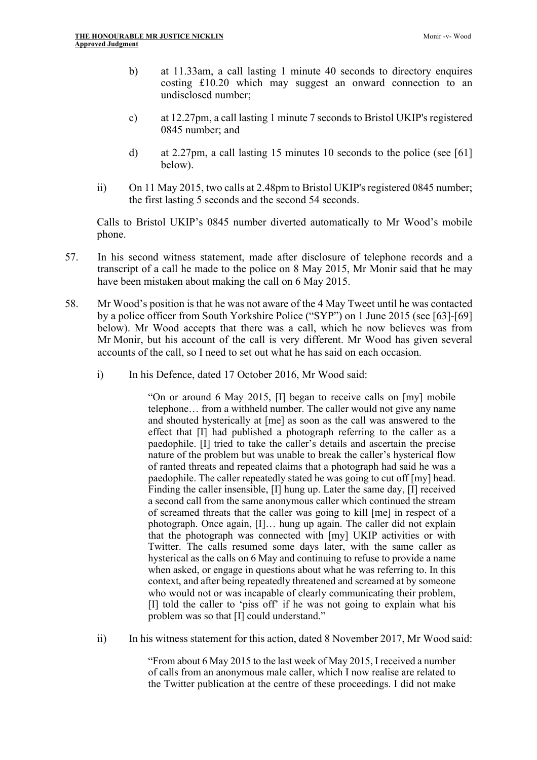- b) at 11.33am, a call lasting 1 minute 40 seconds to directory enquires costing £10.20 which may suggest an onward connection to an undisclosed number;
- c) at 12.27pm, a call lasting 1 minute 7 seconds to Bristol UKIP's registered 0845 number; and
- d) at 2.27pm, a call lasting 15 minutes 10 seconds to the police (see [61] below).
- ii) On 11 May 2015, two calls at 2.48pm to Bristol UKIP's registered 0845 number; the first lasting 5 seconds and the second 54 seconds.

Calls to Bristol UKIP's 0845 number diverted automatically to Mr Wood's mobile phone.

- 57. In his second witness statement, made after disclosure of telephone records and a transcript of a call he made to the police on 8 May 2015, Mr Monir said that he may have been mistaken about making the call on 6 May 2015.
- 58. Mr Wood's position is that he was not aware of the 4 May Tweet until he was contacted by a police officer from South Yorkshire Police ("SYP") on 1 June 2015 (see [63]-[69] below). Mr Wood accepts that there was a call, which he now believes was from Mr Monir, but his account of the call is very different. Mr Wood has given several accounts of the call, so I need to set out what he has said on each occasion.
	- i) In his Defence, dated 17 October 2016, Mr Wood said:

"On or around 6 May 2015, [I] began to receive calls on [my] mobile telephone… from a withheld number. The caller would not give any name and shouted hysterically at [me] as soon as the call was answered to the effect that [I] had published a photograph referring to the caller as a paedophile. [I] tried to take the caller's details and ascertain the precise nature of the problem but was unable to break the caller's hysterical flow of ranted threats and repeated claims that a photograph had said he was a paedophile. The caller repeatedly stated he was going to cut off [my] head. Finding the caller insensible, [I] hung up. Later the same day, [I] received a second call from the same anonymous caller which continued the stream of screamed threats that the caller was going to kill [me] in respect of a photograph. Once again, [I]… hung up again. The caller did not explain that the photograph was connected with [my] UKIP activities or with Twitter. The calls resumed some days later, with the same caller as hysterical as the calls on 6 May and continuing to refuse to provide a name when asked, or engage in questions about what he was referring to. In this context, and after being repeatedly threatened and screamed at by someone who would not or was incapable of clearly communicating their problem, [I] told the caller to 'piss off' if he was not going to explain what his problem was so that [I] could understand."

ii) In his witness statement for this action, dated 8 November 2017, Mr Wood said:

"From about 6 May 2015 to the last week of May 2015, I received a number of calls from an anonymous male caller, which I now realise are related to the Twitter publication at the centre of these proceedings. I did not make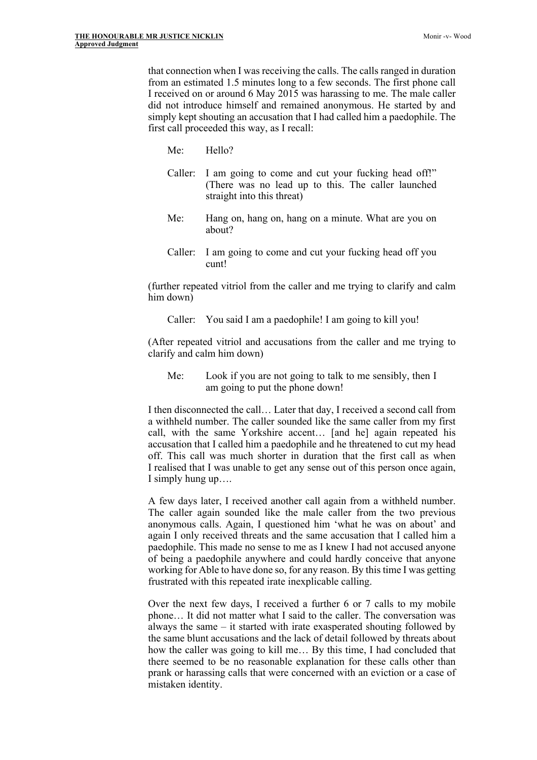that connection when I was receiving the calls. The calls ranged in duration from an estimated 1.5 minutes long to a few seconds. The first phone call I received on or around 6 May 2015 was harassing to me. The male caller did not introduce himself and remained anonymous. He started by and simply kept shouting an accusation that I had called him a paedophile. The first call proceeded this way, as I recall:

- Me: Hello?
- Caller: I am going to come and cut your fucking head off!" (There was no lead up to this. The caller launched straight into this threat)
- Me: Hang on, hang on, hang on a minute. What are you on about?
- Caller: I am going to come and cut your fucking head off you cunt!

(further repeated vitriol from the caller and me trying to clarify and calm him down)

Caller: You said I am a paedophile! I am going to kill you!

(After repeated vitriol and accusations from the caller and me trying to clarify and calm him down)

Me: Look if you are not going to talk to me sensibly, then I am going to put the phone down!

I then disconnected the call… Later that day, I received a second call from a withheld number. The caller sounded like the same caller from my first call, with the same Yorkshire accent… [and he] again repeated his accusation that I called him a paedophile and he threatened to cut my head off. This call was much shorter in duration that the first call as when I realised that I was unable to get any sense out of this person once again, I simply hung up….

A few days later, I received another call again from a withheld number. The caller again sounded like the male caller from the two previous anonymous calls. Again, I questioned him 'what he was on about' and again I only received threats and the same accusation that I called him a paedophile. This made no sense to me as I knew I had not accused anyone of being a paedophile anywhere and could hardly conceive that anyone working for Able to have done so, for any reason. By this time I was getting frustrated with this repeated irate inexplicable calling.

Over the next few days, I received a further 6 or 7 calls to my mobile phone… It did not matter what I said to the caller. The conversation was always the same – it started with irate exasperated shouting followed by the same blunt accusations and the lack of detail followed by threats about how the caller was going to kill me… By this time, I had concluded that there seemed to be no reasonable explanation for these calls other than prank or harassing calls that were concerned with an eviction or a case of mistaken identity.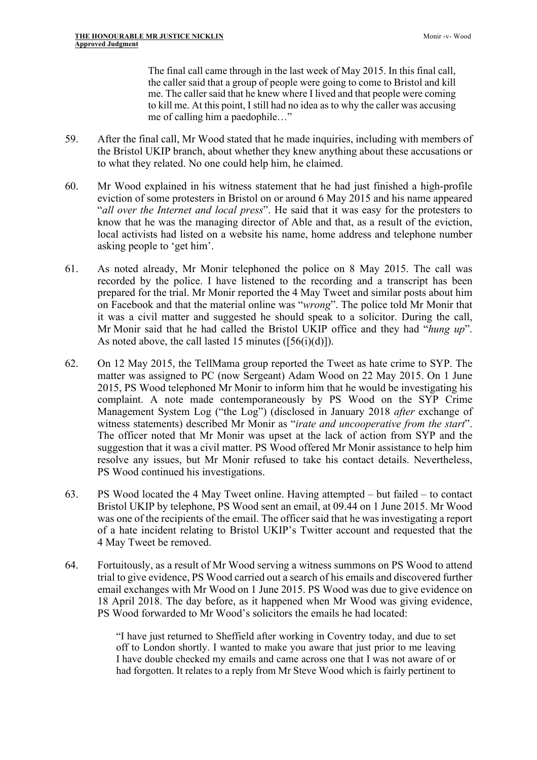The final call came through in the last week of May 2015. In this final call, the caller said that a group of people were going to come to Bristol and kill me. The caller said that he knew where I lived and that people were coming to kill me. At this point, I still had no idea as to why the caller was accusing me of calling him a paedophile…"

- 59. After the final call, Mr Wood stated that he made inquiries, including with members of the Bristol UKIP branch, about whether they knew anything about these accusations or to what they related. No one could help him, he claimed.
- 60. Mr Wood explained in his witness statement that he had just finished a high-profile eviction of some protesters in Bristol on or around 6 May 2015 and his name appeared "*all over the Internet and local press*". He said that it was easy for the protesters to know that he was the managing director of Able and that, as a result of the eviction, local activists had listed on a website his name, home address and telephone number asking people to 'get him'.
- 61. As noted already, Mr Monir telephoned the police on 8 May 2015. The call was recorded by the police. I have listened to the recording and a transcript has been prepared for the trial. Mr Monir reported the 4 May Tweet and similar posts about him on Facebook and that the material online was "*wrong*". The police told Mr Monir that it was a civil matter and suggested he should speak to a solicitor. During the call, Mr Monir said that he had called the Bristol UKIP office and they had "*hung up*". As noted above, the call lasted 15 minutes ([56(i)(d)]).
- 62. On 12 May 2015, the TellMama group reported the Tweet as hate crime to SYP. The matter was assigned to PC (now Sergeant) Adam Wood on 22 May 2015. On 1 June 2015, PS Wood telephoned Mr Monir to inform him that he would be investigating his complaint. A note made contemporaneously by PS Wood on the SYP Crime Management System Log ("the Log") (disclosed in January 2018 *after* exchange of witness statements) described Mr Monir as "*irate and uncooperative from the start*". The officer noted that Mr Monir was upset at the lack of action from SYP and the suggestion that it was a civil matter. PS Wood offered Mr Monir assistance to help him resolve any issues, but Mr Monir refused to take his contact details. Nevertheless, PS Wood continued his investigations.
- 63. PS Wood located the 4 May Tweet online. Having attempted but failed to contact Bristol UKIP by telephone, PS Wood sent an email, at 09.44 on 1 June 2015. Mr Wood was one of the recipients of the email. The officer said that he was investigating a report of a hate incident relating to Bristol UKIP's Twitter account and requested that the 4 May Tweet be removed.
- 64. Fortuitously, as a result of Mr Wood serving a witness summons on PS Wood to attend trial to give evidence, PS Wood carried out a search of his emails and discovered further email exchanges with Mr Wood on 1 June 2015. PS Wood was due to give evidence on 18 April 2018. The day before, as it happened when Mr Wood was giving evidence, PS Wood forwarded to Mr Wood's solicitors the emails he had located:

"I have just returned to Sheffield after working in Coventry today, and due to set off to London shortly. I wanted to make you aware that just prior to me leaving I have double checked my emails and came across one that I was not aware of or had forgotten. It relates to a reply from Mr Steve Wood which is fairly pertinent to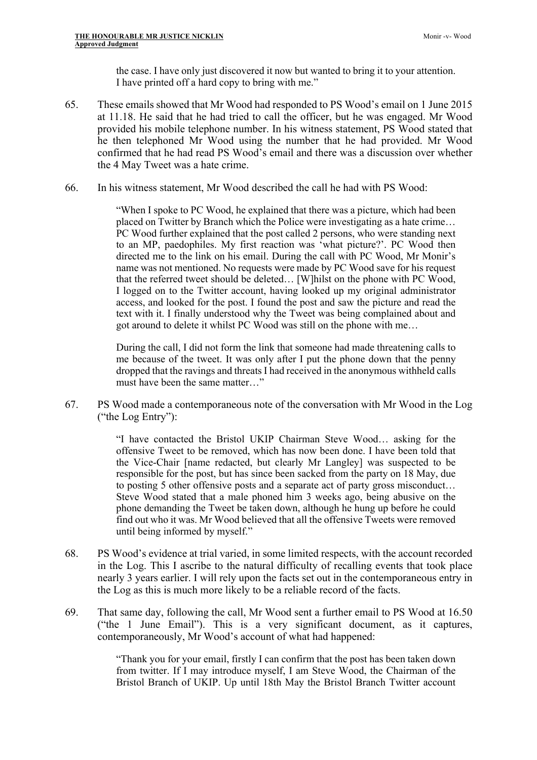the case. I have only just discovered it now but wanted to bring it to your attention. I have printed off a hard copy to bring with me."

- 65. These emails showed that Mr Wood had responded to PS Wood's email on 1 June 2015 at 11.18. He said that he had tried to call the officer, but he was engaged. Mr Wood provided his mobile telephone number. In his witness statement, PS Wood stated that he then telephoned Mr Wood using the number that he had provided. Mr Wood confirmed that he had read PS Wood's email and there was a discussion over whether the 4 May Tweet was a hate crime.
- 66. In his witness statement, Mr Wood described the call he had with PS Wood:

"When I spoke to PC Wood, he explained that there was a picture, which had been placed on Twitter by Branch which the Police were investigating as a hate crime… PC Wood further explained that the post called 2 persons, who were standing next to an MP, paedophiles. My first reaction was 'what picture?'. PC Wood then directed me to the link on his email. During the call with PC Wood, Mr Monir's name was not mentioned. No requests were made by PC Wood save for his request that the referred tweet should be deleted… [W]hilst on the phone with PC Wood, I logged on to the Twitter account, having looked up my original administrator access, and looked for the post. I found the post and saw the picture and read the text with it. I finally understood why the Tweet was being complained about and got around to delete it whilst PC Wood was still on the phone with me…

During the call, I did not form the link that someone had made threatening calls to me because of the tweet. It was only after I put the phone down that the penny dropped that the ravings and threats I had received in the anonymous withheld calls must have been the same matter…"

67. PS Wood made a contemporaneous note of the conversation with Mr Wood in the Log ("the Log Entry"):

> "I have contacted the Bristol UKIP Chairman Steve Wood… asking for the offensive Tweet to be removed, which has now been done. I have been told that the Vice-Chair [name redacted, but clearly Mr Langley] was suspected to be responsible for the post, but has since been sacked from the party on 18 May, due to posting 5 other offensive posts and a separate act of party gross misconduct… Steve Wood stated that a male phoned him 3 weeks ago, being abusive on the phone demanding the Tweet be taken down, although he hung up before he could find out who it was. Mr Wood believed that all the offensive Tweets were removed until being informed by myself."

- 68. PS Wood's evidence at trial varied, in some limited respects, with the account recorded in the Log. This I ascribe to the natural difficulty of recalling events that took place nearly 3 years earlier. I will rely upon the facts set out in the contemporaneous entry in the Log as this is much more likely to be a reliable record of the facts.
- 69. That same day, following the call, Mr Wood sent a further email to PS Wood at 16.50 ("the 1 June Email"). This is a very significant document, as it captures, contemporaneously, Mr Wood's account of what had happened:

"Thank you for your email, firstly I can confirm that the post has been taken down from twitter. If I may introduce myself, I am Steve Wood, the Chairman of the Bristol Branch of UKIP. Up until 18th May the Bristol Branch Twitter account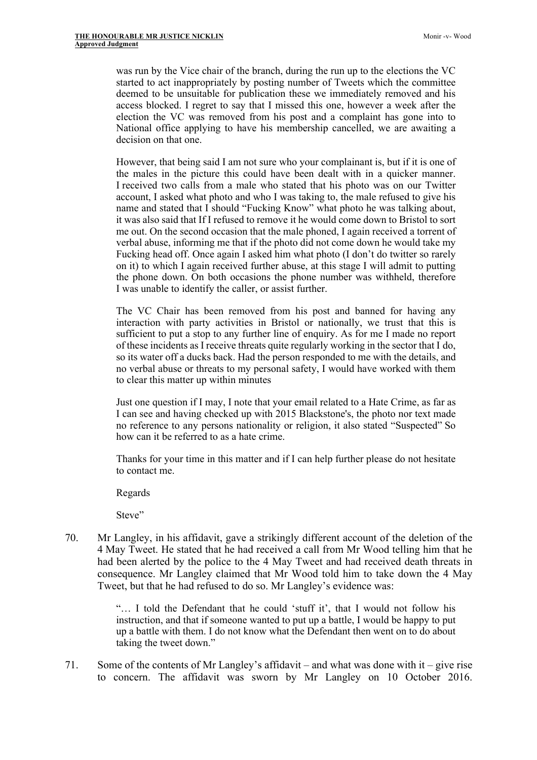was run by the Vice chair of the branch, during the run up to the elections the VC started to act inappropriately by posting number of Tweets which the committee deemed to be unsuitable for publication these we immediately removed and his access blocked. I regret to say that I missed this one, however a week after the election the VC was removed from his post and a complaint has gone into to National office applying to have his membership cancelled, we are awaiting a decision on that one.

However, that being said I am not sure who your complainant is, but if it is one of the males in the picture this could have been dealt with in a quicker manner. I received two calls from a male who stated that his photo was on our Twitter account, I asked what photo and who I was taking to, the male refused to give his name and stated that I should "Fucking Know" what photo he was talking about, it was also said that If I refused to remove it he would come down to Bristol to sort me out. On the second occasion that the male phoned, I again received a torrent of verbal abuse, informing me that if the photo did not come down he would take my Fucking head off. Once again I asked him what photo (I don't do twitter so rarely on it) to which I again received further abuse, at this stage I will admit to putting the phone down. On both occasions the phone number was withheld, therefore I was unable to identify the caller, or assist further.

The VC Chair has been removed from his post and banned for having any interaction with party activities in Bristol or nationally, we trust that this is sufficient to put a stop to any further line of enquiry. As for me I made no report of these incidents as I receive threats quite regularly working in the sector that I do, so its water off a ducks back. Had the person responded to me with the details, and no verbal abuse or threats to my personal safety, I would have worked with them to clear this matter up within minutes

Just one question if I may, I note that your email related to a Hate Crime, as far as I can see and having checked up with 2015 Blackstone's, the photo nor text made no reference to any persons nationality or religion, it also stated "Suspected" So how can it be referred to as a hate crime.

Thanks for your time in this matter and if I can help further please do not hesitate to contact me.

Regards

Steve"

70. Mr Langley, in his affidavit, gave a strikingly different account of the deletion of the 4 May Tweet. He stated that he had received a call from Mr Wood telling him that he had been alerted by the police to the 4 May Tweet and had received death threats in consequence. Mr Langley claimed that Mr Wood told him to take down the 4 May Tweet, but that he had refused to do so. Mr Langley's evidence was:

> "… I told the Defendant that he could 'stuff it', that I would not follow his instruction, and that if someone wanted to put up a battle, I would be happy to put up a battle with them. I do not know what the Defendant then went on to do about taking the tweet down."

71. Some of the contents of Mr Langley's affidavit – and what was done with it – give rise to concern. The affidavit was sworn by Mr Langley on 10 October 2016.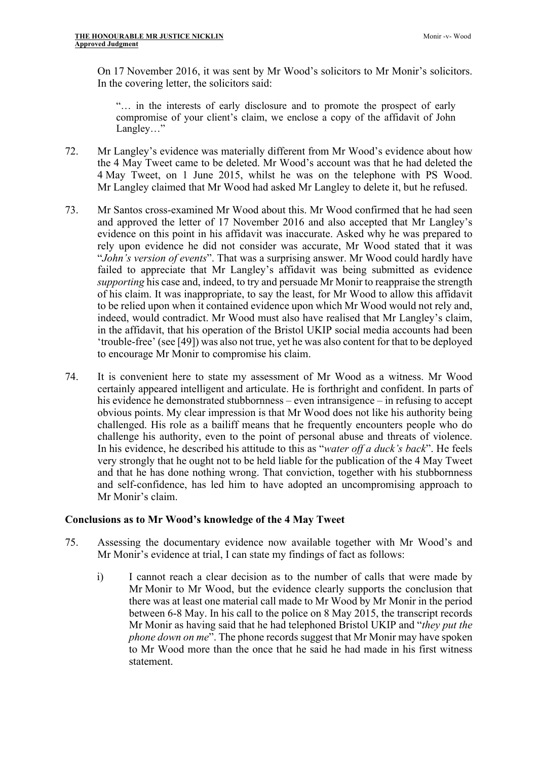On 17 November 2016, it was sent by Mr Wood's solicitors to Mr Monir's solicitors. In the covering letter, the solicitors said:

"… in the interests of early disclosure and to promote the prospect of early compromise of your client's claim, we enclose a copy of the affidavit of John Langley…"

- 72. Mr Langley's evidence was materially different from Mr Wood's evidence about how the 4 May Tweet came to be deleted. Mr Wood's account was that he had deleted the 4 May Tweet, on 1 June 2015, whilst he was on the telephone with PS Wood. Mr Langley claimed that Mr Wood had asked Mr Langley to delete it, but he refused.
- 73. Mr Santos cross-examined Mr Wood about this. Mr Wood confirmed that he had seen and approved the letter of 17 November 2016 and also accepted that Mr Langley's evidence on this point in his affidavit was inaccurate. Asked why he was prepared to rely upon evidence he did not consider was accurate, Mr Wood stated that it was "*John's version of events*". That was a surprising answer. Mr Wood could hardly have failed to appreciate that Mr Langley's affidavit was being submitted as evidence *supporting* his case and, indeed, to try and persuade Mr Monir to reappraise the strength of his claim. It was inappropriate, to say the least, for Mr Wood to allow this affidavit to be relied upon when it contained evidence upon which Mr Wood would not rely and, indeed, would contradict. Mr Wood must also have realised that Mr Langley's claim, in the affidavit, that his operation of the Bristol UKIP social media accounts had been 'trouble-free' (see [49]) was also not true, yet he was also content for that to be deployed to encourage Mr Monir to compromise his claim.
- 74. It is convenient here to state my assessment of Mr Wood as a witness. Mr Wood certainly appeared intelligent and articulate. He is forthright and confident. In parts of his evidence he demonstrated stubbornness – even intransigence – in refusing to accept obvious points. My clear impression is that Mr Wood does not like his authority being challenged. His role as a bailiff means that he frequently encounters people who do challenge his authority, even to the point of personal abuse and threats of violence. In his evidence, he described his attitude to this as "*water off a duck's back*". He feels very strongly that he ought not to be held liable for the publication of the 4 May Tweet and that he has done nothing wrong. That conviction, together with his stubbornness and self-confidence, has led him to have adopted an uncompromising approach to Mr Monir's claim.

# **Conclusions as to Mr Wood's knowledge of the 4 May Tweet**

- 75. Assessing the documentary evidence now available together with Mr Wood's and Mr Monir's evidence at trial, I can state my findings of fact as follows:
	- i) I cannot reach a clear decision as to the number of calls that were made by Mr Monir to Mr Wood, but the evidence clearly supports the conclusion that there was at least one material call made to Mr Wood by Mr Monir in the period between 6-8 May. In his call to the police on 8 May 2015, the transcript records Mr Monir as having said that he had telephoned Bristol UKIP and "*they put the phone down on me*". The phone records suggest that Mr Monir may have spoken to Mr Wood more than the once that he said he had made in his first witness statement.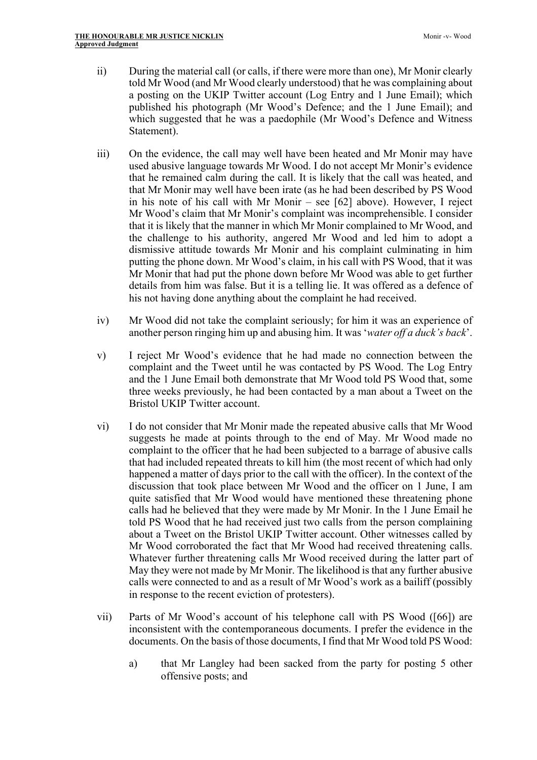- ii) During the material call (or calls, if there were more than one), Mr Monir clearly told Mr Wood (and Mr Wood clearly understood) that he was complaining about a posting on the UKIP Twitter account (Log Entry and 1 June Email); which published his photograph (Mr Wood's Defence; and the 1 June Email); and which suggested that he was a paedophile (Mr Wood's Defence and Witness Statement).
- iii) On the evidence, the call may well have been heated and Mr Monir may have used abusive language towards Mr Wood. I do not accept Mr Monir's evidence that he remained calm during the call. It is likely that the call was heated, and that Mr Monir may well have been irate (as he had been described by PS Wood in his note of his call with Mr Monir – see [62] above). However, I reject Mr Wood's claim that Mr Monir's complaint was incomprehensible. I consider that it is likely that the manner in which Mr Monir complained to Mr Wood, and the challenge to his authority, angered Mr Wood and led him to adopt a dismissive attitude towards Mr Monir and his complaint culminating in him putting the phone down. Mr Wood's claim, in his call with PS Wood, that it was Mr Monir that had put the phone down before Mr Wood was able to get further details from him was false. But it is a telling lie. It was offered as a defence of his not having done anything about the complaint he had received.
- iv) Mr Wood did not take the complaint seriously; for him it was an experience of another person ringing him up and abusing him. It was '*water off a duck's back*'.
- v) I reject Mr Wood's evidence that he had made no connection between the complaint and the Tweet until he was contacted by PS Wood. The Log Entry and the 1 June Email both demonstrate that Mr Wood told PS Wood that, some three weeks previously, he had been contacted by a man about a Tweet on the Bristol UKIP Twitter account.
- vi) I do not consider that Mr Monir made the repeated abusive calls that Mr Wood suggests he made at points through to the end of May. Mr Wood made no complaint to the officer that he had been subjected to a barrage of abusive calls that had included repeated threats to kill him (the most recent of which had only happened a matter of days prior to the call with the officer). In the context of the discussion that took place between Mr Wood and the officer on 1 June, I am quite satisfied that Mr Wood would have mentioned these threatening phone calls had he believed that they were made by Mr Monir. In the 1 June Email he told PS Wood that he had received just two calls from the person complaining about a Tweet on the Bristol UKIP Twitter account. Other witnesses called by Mr Wood corroborated the fact that Mr Wood had received threatening calls. Whatever further threatening calls Mr Wood received during the latter part of May they were not made by Mr Monir. The likelihood is that any further abusive calls were connected to and as a result of Mr Wood's work as a bailiff (possibly in response to the recent eviction of protesters).
- vii) Parts of Mr Wood's account of his telephone call with PS Wood ([66]) are inconsistent with the contemporaneous documents. I prefer the evidence in the documents. On the basis of those documents, I find that Mr Wood told PS Wood:
	- a) that Mr Langley had been sacked from the party for posting 5 other offensive posts; and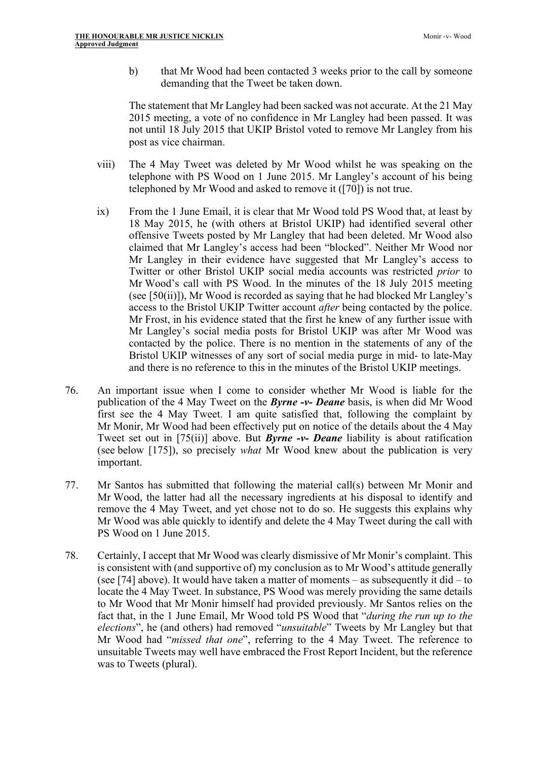b) that Mr Wood had been contacted 3 weeks prior to the call by someone demanding that the Tweet be taken down.

The statement that Mr Langley had been sacked was not accurate. At the 21 May 2015 meeting, a vote of no confidence in Mr Langley had been passed. It was not until 18 July 2015 that UKIP Bristol voted to remove Mr Langley from his post as vice chairman.

- viii) The 4 May Tweet was deleted by Mr Wood whilst he was speaking on the telephone with PS Wood on 1 June 2015. Mr Langley's account of his being telephoned by Mr Wood and asked to remove it ([70]) is not true.
- ix) From the 1 June Email, it is clear that Mr Wood told PS Wood that, at least by 18 May 2015, he (with others at Bristol UKIP) had identified several other offensive Tweets posted by Mr Langley that had been deleted. Mr Wood also claimed that Mr Langley's access had been "blocked". Neither Mr Wood nor Mr Langley in their evidence have suggested that Mr Langley's access to Twitter or other Bristol UKIP social media accounts was restricted *prior* to Mr Wood's call with PS Wood. In the minutes of the 18 July 2015 meeting (see [50(ii)]), Mr Wood is recorded as saying that he had blocked Mr Langley's access to the Bristol UKIP Twitter account *after* being contacted by the police. Mr Frost, in his evidence stated that the first he knew of any further issue with Mr Langley's social media posts for Bristol UKIP was after Mr Wood was contacted by the police. There is no mention in the statements of any of the Bristol UKIP witnesses of any sort of social media purge in mid- to late-May and there is no reference to this in the minutes of the Bristol UKIP meetings.
- 76. An important issue when I come to consider whether Mr Wood is liable for the publication of the 4 May Tweet on the *Byrne -v- Deane* basis, is when did Mr Wood first see the 4 May Tweet. I am quite satisfied that, following the complaint by Mr Monir, Mr Wood had been effectively put on notice of the details about the 4 May Tweet set out in [75(ii)] above. But *Byrne -v- Deane* liability is about ratification (see below [175]), so precisely *what* Mr Wood knew about the publication is very important.
- 77. Mr Santos has submitted that following the material call(s) between Mr Monir and Mr Wood, the latter had all the necessary ingredients at his disposal to identify and remove the 4 May Tweet, and yet chose not to do so. He suggests this explains why Mr Wood was able quickly to identify and delete the 4 May Tweet during the call with PS Wood on 1 June 2015.
- 78. Certainly, I accept that Mr Wood was clearly dismissive of Mr Monir's complaint. This is consistent with (and supportive of) my conclusion as to Mr Wood's attitude generally (see [74] above). It would have taken a matter of moments – as subsequently it did – to locate the 4 May Tweet. In substance, PS Wood was merely providing the same details to Mr Wood that Mr Monir himself had provided previously. Mr Santos relies on the fact that, in the 1 June Email, Mr Wood told PS Wood that "*during the run up to the elections*", he (and others) had removed "*unsuitable*" Tweets by Mr Langley but that Mr Wood had "*missed that one*", referring to the 4 May Tweet. The reference to unsuitable Tweets may well have embraced the Frost Report Incident, but the reference was to Tweets (plural).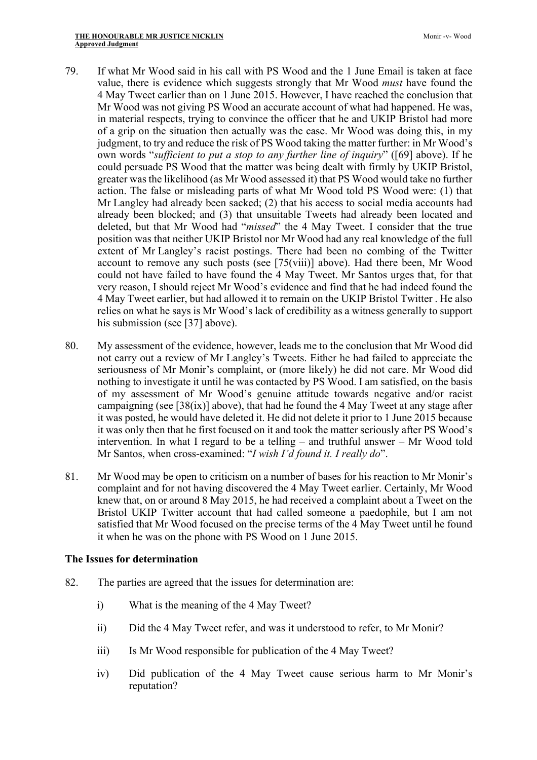- 79. If what Mr Wood said in his call with PS Wood and the 1 June Email is taken at face value, there is evidence which suggests strongly that Mr Wood *must* have found the 4 May Tweet earlier than on 1 June 2015. However, I have reached the conclusion that Mr Wood was not giving PS Wood an accurate account of what had happened. He was, in material respects, trying to convince the officer that he and UKIP Bristol had more of a grip on the situation then actually was the case. Mr Wood was doing this, in my judgment, to try and reduce the risk of PS Wood taking the matter further: in Mr Wood's own words "*sufficient to put a stop to any further line of inquiry*" ([69] above). If he could persuade PS Wood that the matter was being dealt with firmly by UKIP Bristol, greater was the likelihood (as Mr Wood assessed it) that PS Wood would take no further action. The false or misleading parts of what Mr Wood told PS Wood were: (1) that Mr Langley had already been sacked; (2) that his access to social media accounts had already been blocked; and (3) that unsuitable Tweets had already been located and deleted, but that Mr Wood had "*missed*" the 4 May Tweet. I consider that the true position was that neither UKIP Bristol nor Mr Wood had any real knowledge of the full extent of Mr Langley's racist postings. There had been no combing of the Twitter account to remove any such posts (see [75(viii)] above). Had there been, Mr Wood could not have failed to have found the 4 May Tweet. Mr Santos urges that, for that very reason, I should reject Mr Wood's evidence and find that he had indeed found the 4 May Tweet earlier, but had allowed it to remain on the UKIP Bristol Twitter . He also relies on what he says is Mr Wood's lack of credibility as a witness generally to support his submission (see [37] above).
- 80. My assessment of the evidence, however, leads me to the conclusion that Mr Wood did not carry out a review of Mr Langley's Tweets. Either he had failed to appreciate the seriousness of Mr Monir's complaint, or (more likely) he did not care. Mr Wood did nothing to investigate it until he was contacted by PS Wood. I am satisfied, on the basis of my assessment of Mr Wood's genuine attitude towards negative and/or racist campaigning (see [38(ix)] above), that had he found the 4 May Tweet at any stage after it was posted, he would have deleted it. He did not delete it prior to 1 June 2015 because it was only then that he first focused on it and took the matter seriously after PS Wood's intervention. In what I regard to be a telling – and truthful answer – Mr Wood told Mr Santos, when cross-examined: "*I wish I'd found it. I really do*".
- 81. Mr Wood may be open to criticism on a number of bases for his reaction to Mr Monir's complaint and for not having discovered the 4 May Tweet earlier. Certainly, Mr Wood knew that, on or around 8 May 2015, he had received a complaint about a Tweet on the Bristol UKIP Twitter account that had called someone a paedophile, but I am not satisfied that Mr Wood focused on the precise terms of the 4 May Tweet until he found it when he was on the phone with PS Wood on 1 June 2015.

# **The Issues for determination**

- 82. The parties are agreed that the issues for determination are:
	- i) What is the meaning of the 4 May Tweet?
	- ii) Did the 4 May Tweet refer, and was it understood to refer, to Mr Monir?
	- iii) Is Mr Wood responsible for publication of the 4 May Tweet?
	- iv) Did publication of the 4 May Tweet cause serious harm to Mr Monir's reputation?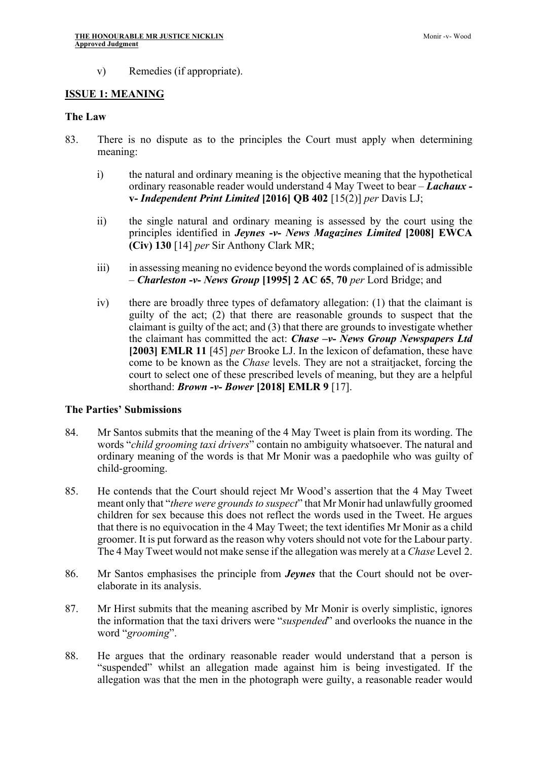v) Remedies (if appropriate).

#### **ISSUE 1: MEANING**

#### **The Law**

- 83. There is no dispute as to the principles the Court must apply when determining meaning:
	- i) the natural and ordinary meaning is the objective meaning that the hypothetical ordinary reasonable reader would understand 4 May Tweet to bear – *Lachaux*  **v-** *Independent Print Limited* **[2016] QB 402** [15(2)] *per* Davis LJ;
	- ii) the single natural and ordinary meaning is assessed by the court using the principles identified in *Jeynes -v- News Magazines Limited* **[2008] EWCA (Civ) 130** [14] *per* Sir Anthony Clark MR;
	- iii) in assessing meaning no evidence beyond the words complained of is admissible – *Charleston -v- News Group* **[1995] 2 AC 65**, **70** *per* Lord Bridge; and
	- iv) there are broadly three types of defamatory allegation: (1) that the claimant is guilty of the act; (2) that there are reasonable grounds to suspect that the claimant is guilty of the act; and (3) that there are grounds to investigate whether the claimant has committed the act: *Chase –v- News Group Newspapers Ltd* **[2003] EMLR 11** [45] *per* Brooke LJ. In the lexicon of defamation, these have come to be known as the *Chase* levels. They are not a straitjacket, forcing the court to select one of these prescribed levels of meaning, but they are a helpful shorthand: *Brown -v- Bower* **[2018] EMLR 9** [17].

## **The Parties' Submissions**

- 84. Mr Santos submits that the meaning of the 4 May Tweet is plain from its wording. The words "*child grooming taxi drivers*" contain no ambiguity whatsoever. The natural and ordinary meaning of the words is that Mr Monir was a paedophile who was guilty of child-grooming.
- 85. He contends that the Court should reject Mr Wood's assertion that the 4 May Tweet meant only that "*there were grounds to suspect*" that Mr Monir had unlawfully groomed children for sex because this does not reflect the words used in the Tweet. He argues that there is no equivocation in the 4 May Tweet; the text identifies Mr Monir as a child groomer. It is put forward as the reason why voters should not vote for the Labour party. The 4 May Tweet would not make sense if the allegation was merely at a *Chase* Level 2.
- 86. Mr Santos emphasises the principle from *Jeynes* that the Court should not be overelaborate in its analysis.
- 87. Mr Hirst submits that the meaning ascribed by Mr Monir is overly simplistic, ignores the information that the taxi drivers were "*suspended*" and overlooks the nuance in the word "*grooming*".
- 88. He argues that the ordinary reasonable reader would understand that a person is "suspended" whilst an allegation made against him is being investigated. If the allegation was that the men in the photograph were guilty, a reasonable reader would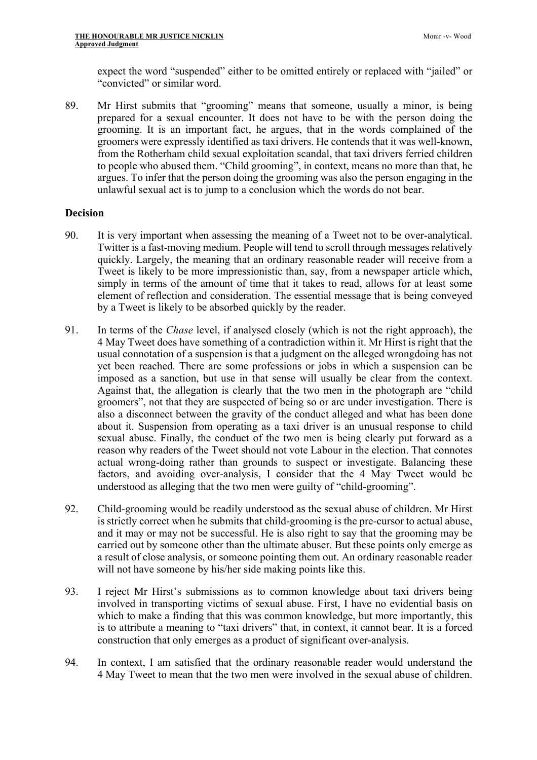expect the word "suspended" either to be omitted entirely or replaced with "jailed" or "convicted" or similar word.

89. Mr Hirst submits that "grooming" means that someone, usually a minor, is being prepared for a sexual encounter. It does not have to be with the person doing the grooming. It is an important fact, he argues, that in the words complained of the groomers were expressly identified as taxi drivers. He contends that it was well-known, from the Rotherham child sexual exploitation scandal, that taxi drivers ferried children to people who abused them. "Child grooming", in context, means no more than that, he argues. To infer that the person doing the grooming was also the person engaging in the unlawful sexual act is to jump to a conclusion which the words do not bear.

#### **Decision**

- 90. It is very important when assessing the meaning of a Tweet not to be over-analytical. Twitter is a fast-moving medium. People will tend to scroll through messages relatively quickly. Largely, the meaning that an ordinary reasonable reader will receive from a Tweet is likely to be more impressionistic than, say, from a newspaper article which, simply in terms of the amount of time that it takes to read, allows for at least some element of reflection and consideration. The essential message that is being conveyed by a Tweet is likely to be absorbed quickly by the reader.
- 91. In terms of the *Chase* level, if analysed closely (which is not the right approach), the 4 May Tweet does have something of a contradiction within it. Mr Hirst is right that the usual connotation of a suspension is that a judgment on the alleged wrongdoing has not yet been reached. There are some professions or jobs in which a suspension can be imposed as a sanction, but use in that sense will usually be clear from the context. Against that, the allegation is clearly that the two men in the photograph are "child groomers", not that they are suspected of being so or are under investigation. There is also a disconnect between the gravity of the conduct alleged and what has been done about it. Suspension from operating as a taxi driver is an unusual response to child sexual abuse. Finally, the conduct of the two men is being clearly put forward as a reason why readers of the Tweet should not vote Labour in the election. That connotes actual wrong-doing rather than grounds to suspect or investigate. Balancing these factors, and avoiding over-analysis, I consider that the 4 May Tweet would be understood as alleging that the two men were guilty of "child-grooming".
- 92. Child-grooming would be readily understood as the sexual abuse of children. Mr Hirst is strictly correct when he submits that child-grooming is the pre-cursor to actual abuse, and it may or may not be successful. He is also right to say that the grooming may be carried out by someone other than the ultimate abuser. But these points only emerge as a result of close analysis, or someone pointing them out. An ordinary reasonable reader will not have someone by his/her side making points like this.
- 93. I reject Mr Hirst's submissions as to common knowledge about taxi drivers being involved in transporting victims of sexual abuse. First, I have no evidential basis on which to make a finding that this was common knowledge, but more importantly, this is to attribute a meaning to "taxi drivers" that, in context, it cannot bear. It is a forced construction that only emerges as a product of significant over-analysis.
- 94. In context, I am satisfied that the ordinary reasonable reader would understand the 4 May Tweet to mean that the two men were involved in the sexual abuse of children.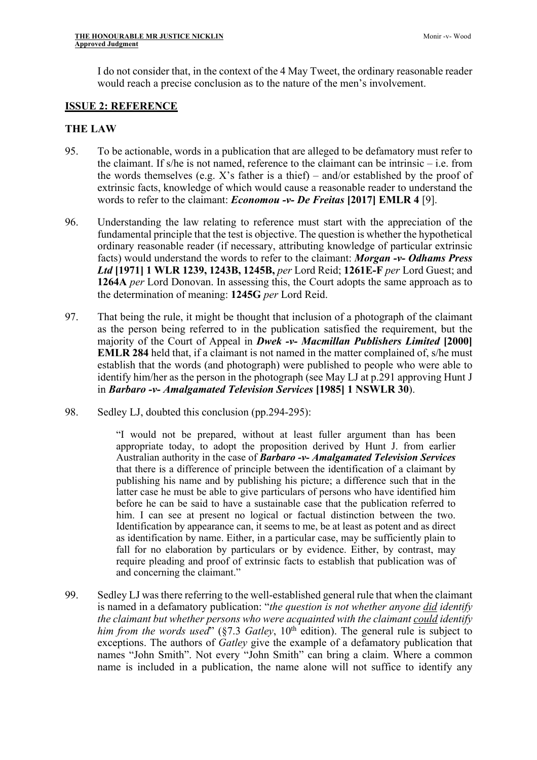I do not consider that, in the context of the 4 May Tweet, the ordinary reasonable reader would reach a precise conclusion as to the nature of the men's involvement.

## **ISSUE 2: REFERENCE**

## **THE LAW**

- 95. To be actionable, words in a publication that are alleged to be defamatory must refer to the claimant. If s/he is not named, reference to the claimant can be intrinsic – i.e. from the words themselves (e.g. X's father is a thief) – and/or established by the proof of extrinsic facts, knowledge of which would cause a reasonable reader to understand the words to refer to the claimant: *Economou -v- De Freitas* **[2017] EMLR 4** [9].
- 96. Understanding the law relating to reference must start with the appreciation of the fundamental principle that the test is objective. The question is whether the hypothetical ordinary reasonable reader (if necessary, attributing knowledge of particular extrinsic facts) would understand the words to refer to the claimant: *Morgan -v- Odhams Press Ltd* **[1971] 1 WLR 1239, 1243B, 1245B,** *per* Lord Reid; **1261E-F** *per* Lord Guest; and **1264A** *per* Lord Donovan. In assessing this, the Court adopts the same approach as to the determination of meaning: **1245G** *per* Lord Reid.
- 97. That being the rule, it might be thought that inclusion of a photograph of the claimant as the person being referred to in the publication satisfied the requirement, but the majority of the Court of Appeal in *Dwek -v- Macmillan Publishers Limited* **[2000] EMLR 284** held that, if a claimant is not named in the matter complained of, s/he must establish that the words (and photograph) were published to people who were able to identify him/her as the person in the photograph (see May LJ at p.291 approving Hunt J in *Barbaro -v- Amalgamated Television Services* **[1985] 1 NSWLR 30**).
- 98. Sedley LJ, doubted this conclusion (pp.294-295):

"I would not be prepared, without at least fuller argument than has been appropriate today, to adopt the proposition derived by Hunt J. from earlier Australian authority in the case of *Barbaro -v- Amalgamated Television Services* that there is a difference of principle between the identification of a claimant by publishing his name and by publishing his picture; a difference such that in the latter case he must be able to give particulars of persons who have identified him before he can be said to have a sustainable case that the publication referred to him. I can see at present no logical or factual distinction between the two. Identification by appearance can, it seems to me, be at least as potent and as direct as identification by name. Either, in a particular case, may be sufficiently plain to fall for no elaboration by particulars or by evidence. Either, by contrast, may require pleading and proof of extrinsic facts to establish that publication was of and concerning the claimant."

99. Sedley LJ was there referring to the well-established general rule that when the claimant is named in a defamatory publication: "*the question is not whether anyone did identify the claimant but whether persons who were acquainted with the claimant could identify him from the words used*" (§7.3 *Gatley*,  $10^{th}$  edition). The general rule is subject to exceptions. The authors of *Gatley* give the example of a defamatory publication that names "John Smith". Not every "John Smith" can bring a claim. Where a common name is included in a publication, the name alone will not suffice to identify any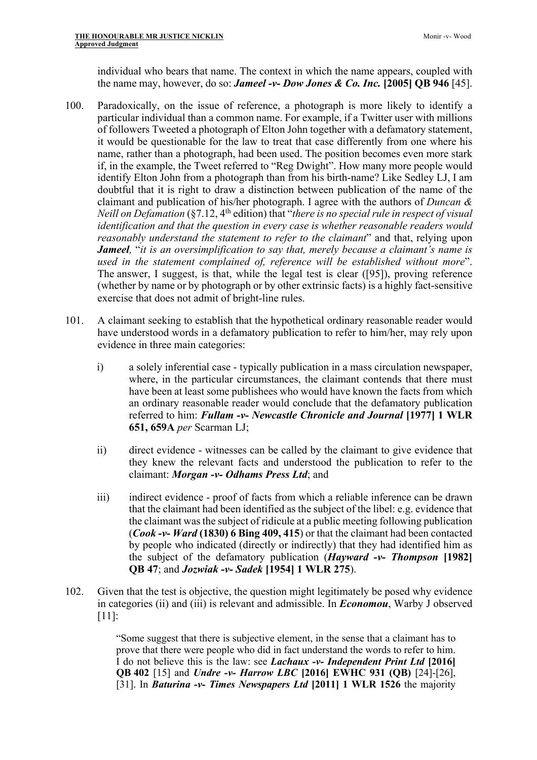individual who bears that name. The context in which the name appears, coupled with the name may, however, do so: *Jameel -v- Dow Jones & Co. Inc.* **[2005] QB 946** [45].

- 100. Paradoxically, on the issue of reference, a photograph is more likely to identify a particular individual than a common name. For example, if a Twitter user with millions of followers Tweeted a photograph of Elton John together with a defamatory statement, it would be questionable for the law to treat that case differently from one where his name, rather than a photograph, had been used. The position becomes even more stark if, in the example, the Tweet referred to "Reg Dwight". How many more people would identify Elton John from a photograph than from his birth-name? Like Sedley LJ, I am doubtful that it is right to draw a distinction between publication of the name of the claimant and publication of his/her photograph. I agree with the authors of *Duncan & Neill on Defamation* (§7.12, 4<sup>th</sup> edition) that "*there is no special rule in respect of visual identification and that the question in every case is whether reasonable readers would reasonably understand the statement to refer to the claimant*" and that, relying upon *Jameel,* "*it is an oversimplification to say that, merely because a claimant's name is used in the statement complained of, reference will be established without more*". The answer, I suggest, is that, while the legal test is clear ([95]), proving reference (whether by name or by photograph or by other extrinsic facts) is a highly fact-sensitive exercise that does not admit of bright-line rules.
- 101. A claimant seeking to establish that the hypothetical ordinary reasonable reader would have understood words in a defamatory publication to refer to him/her, may rely upon evidence in three main categories:
	- i) a solely inferential case typically publication in a mass circulation newspaper, where, in the particular circumstances, the claimant contends that there must have been at least some publishees who would have known the facts from which an ordinary reasonable reader would conclude that the defamatory publication referred to him: *Fullam -v- Newcastle Chronicle and Journal* **[1977] 1 WLR 651, 659A** *per* Scarman LJ;
	- ii) direct evidence witnesses can be called by the claimant to give evidence that they knew the relevant facts and understood the publication to refer to the claimant: *Morgan -v- Odhams Press Ltd*; and
	- iii) indirect evidence proof of facts from which a reliable inference can be drawn that the claimant had been identified as the subject of the libel: e.g. evidence that the claimant was the subject of ridicule at a public meeting following publication (*Cook -v- Ward* **(1830) 6 Bing 409, 415**) or that the claimant had been contacted by people who indicated (directly or indirectly) that they had identified him as the subject of the defamatory publication (*Hayward -v- Thompson* **[1982] QB 47**; and *Jozwiak -v- Sadek* **[1954] 1 WLR 275**).
- 102. Given that the test is objective, the question might legitimately be posed why evidence in categories (ii) and (iii) is relevant and admissible. In *Economou*, Warby J observed [11]:

"Some suggest that there is subjective element, in the sense that a claimant has to prove that there were people who did in fact understand the words to refer to him. I do not believe this is the law: see *Lachaux -v- Independent Print Ltd* **[2016] QB 402** [15] and *Undre -v- Harrow LBC* **[2016] EWHC 931 (QB)** [24]-[26], [31]. In *Baturina -v- Times Newspapers Ltd* **[2011] 1 WLR 1526** the majority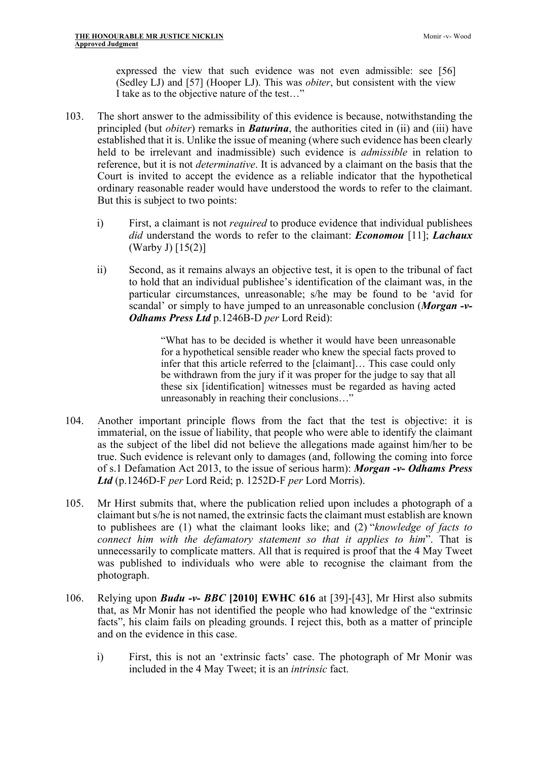expressed the view that such evidence was not even admissible: see [56] (Sedley LJ) and [57] (Hooper LJ). This was *obiter*, but consistent with the view I take as to the objective nature of the test…"

- 103. The short answer to the admissibility of this evidence is because, notwithstanding the principled (but *obiter*) remarks in *Baturina*, the authorities cited in (ii) and (iii) have established that it is. Unlike the issue of meaning (where such evidence has been clearly held to be irrelevant and inadmissible) such evidence is *admissible* in relation to reference, but it is not *determinative*. It is advanced by a claimant on the basis that the Court is invited to accept the evidence as a reliable indicator that the hypothetical ordinary reasonable reader would have understood the words to refer to the claimant. But this is subject to two points:
	- i) First, a claimant is not *required* to produce evidence that individual publishees *did* understand the words to refer to the claimant: *Economou* [11]; *Lachaux*  (Warby J) [15(2)]
	- ii) Second, as it remains always an objective test, it is open to the tribunal of fact to hold that an individual publishee's identification of the claimant was, in the particular circumstances, unreasonable; s/he may be found to be 'avid for scandal' or simply to have jumped to an unreasonable conclusion (*Morgan -v-Odhams Press Ltd* p.1246B-D *per* Lord Reid):

"What has to be decided is whether it would have been unreasonable for a hypothetical sensible reader who knew the special facts proved to infer that this article referred to the [claimant]… This case could only be withdrawn from the jury if it was proper for the judge to say that all these six [identification] witnesses must be regarded as having acted unreasonably in reaching their conclusions…"

- 104. Another important principle flows from the fact that the test is objective: it is immaterial, on the issue of liability, that people who were able to identify the claimant as the subject of the libel did not believe the allegations made against him/her to be true. Such evidence is relevant only to damages (and, following the coming into force of s.1 Defamation Act 2013, to the issue of serious harm): *Morgan -v- Odhams Press Ltd* (p.1246D-F *per* Lord Reid; p. 1252D-F *per* Lord Morris).
- 105. Mr Hirst submits that, where the publication relied upon includes a photograph of a claimant but s/he is not named, the extrinsic facts the claimant must establish are known to publishees are (1) what the claimant looks like; and (2) "*knowledge of facts to connect him with the defamatory statement so that it applies to him*". That is unnecessarily to complicate matters. All that is required is proof that the 4 May Tweet was published to individuals who were able to recognise the claimant from the photograph.
- 106. Relying upon *Budu -v- BBC* **[2010] EWHC 616** at [39]-[43], Mr Hirst also submits that, as Mr Monir has not identified the people who had knowledge of the "extrinsic facts", his claim fails on pleading grounds. I reject this, both as a matter of principle and on the evidence in this case.
	- i) First, this is not an 'extrinsic facts' case. The photograph of Mr Monir was included in the 4 May Tweet; it is an *intrinsic* fact.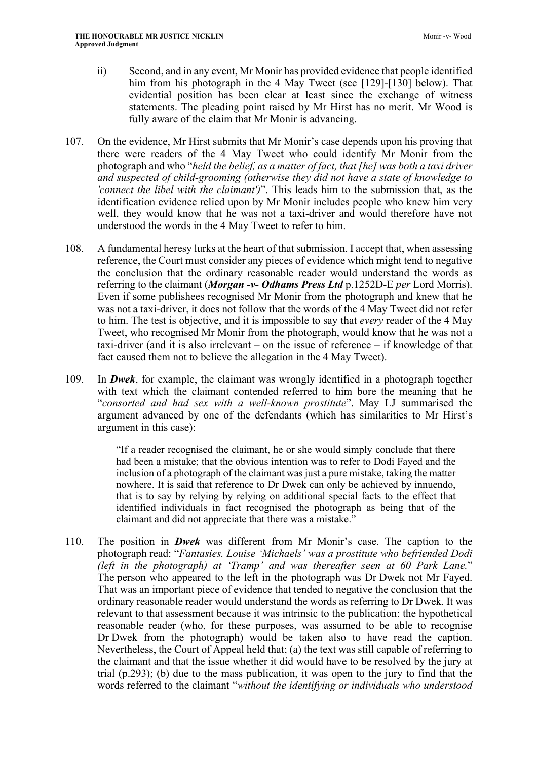- ii) Second, and in any event, Mr Monir has provided evidence that people identified him from his photograph in the 4 May Tweet (see [129]-[130] below). That evidential position has been clear at least since the exchange of witness statements. The pleading point raised by Mr Hirst has no merit. Mr Wood is fully aware of the claim that Mr Monir is advancing.
- 107. On the evidence, Mr Hirst submits that Mr Monir's case depends upon his proving that there were readers of the 4 May Tweet who could identify Mr Monir from the photograph and who "*held the belief, as a matter of fact, that [he] was both a taxi driver and suspected of child-grooming (otherwise they did not have a state of knowledge to 'connect the libel with the claimant')*". This leads him to the submission that, as the identification evidence relied upon by Mr Monir includes people who knew him very well, they would know that he was not a taxi-driver and would therefore have not understood the words in the 4 May Tweet to refer to him.
- 108. A fundamental heresy lurks at the heart of that submission. I accept that, when assessing reference, the Court must consider any pieces of evidence which might tend to negative the conclusion that the ordinary reasonable reader would understand the words as referring to the claimant (*Morgan -v- Odhams Press Ltd* p.1252D-E *per* Lord Morris). Even if some publishees recognised Mr Monir from the photograph and knew that he was not a taxi-driver, it does not follow that the words of the 4 May Tweet did not refer to him. The test is objective, and it is impossible to say that *every* reader of the 4 May Tweet, who recognised Mr Monir from the photograph, would know that he was not a taxi-driver (and it is also irrelevant – on the issue of reference – if knowledge of that fact caused them not to believe the allegation in the 4 May Tweet).
- 109. In *Dwek*, for example, the claimant was wrongly identified in a photograph together with text which the claimant contended referred to him bore the meaning that he "*consorted and had sex with a well-known prostitute*". May LJ summarised the argument advanced by one of the defendants (which has similarities to Mr Hirst's argument in this case):

"If a reader recognised the claimant, he or she would simply conclude that there had been a mistake; that the obvious intention was to refer to Dodi Fayed and the inclusion of a photograph of the claimant was just a pure mistake, taking the matter nowhere. It is said that reference to Dr Dwek can only be achieved by innuendo, that is to say by relying by relying on additional special facts to the effect that identified individuals in fact recognised the photograph as being that of the claimant and did not appreciate that there was a mistake."

110. The position in *Dwek* was different from Mr Monir's case. The caption to the photograph read: "*Fantasies. Louise 'Michaels' was a prostitute who befriended Dodi (left in the photograph) at 'Tramp' and was thereafter seen at 60 Park Lane.*" The person who appeared to the left in the photograph was Dr Dwek not Mr Fayed. That was an important piece of evidence that tended to negative the conclusion that the ordinary reasonable reader would understand the words as referring to Dr Dwek. It was relevant to that assessment because it was intrinsic to the publication: the hypothetical reasonable reader (who, for these purposes, was assumed to be able to recognise Dr Dwek from the photograph) would be taken also to have read the caption. Nevertheless, the Court of Appeal held that; (a) the text was still capable of referring to the claimant and that the issue whether it did would have to be resolved by the jury at trial (p.293); (b) due to the mass publication, it was open to the jury to find that the words referred to the claimant "*without the identifying or individuals who understood*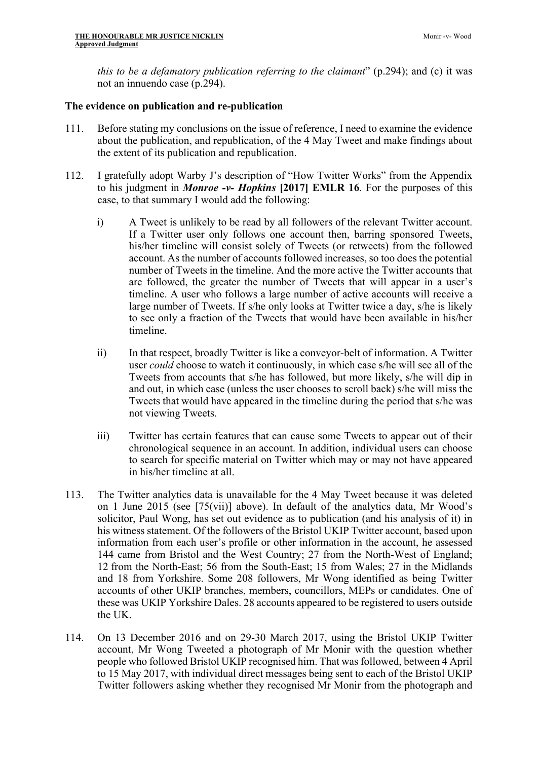*this to be a defamatory publication referring to the claimant*" (p.294); and (c) it was not an innuendo case (p.294).

### **The evidence on publication and re-publication**

- 111. Before stating my conclusions on the issue of reference, I need to examine the evidence about the publication, and republication, of the 4 May Tweet and make findings about the extent of its publication and republication.
- 112. I gratefully adopt Warby J's description of "How Twitter Works" from the Appendix to his judgment in *Monroe -v- Hopkins* **[2017] EMLR 16**. For the purposes of this case, to that summary I would add the following:
	- i) A Tweet is unlikely to be read by all followers of the relevant Twitter account. If a Twitter user only follows one account then, barring sponsored Tweets, his/her timeline will consist solely of Tweets (or retweets) from the followed account. As the number of accounts followed increases, so too does the potential number of Tweets in the timeline. And the more active the Twitter accounts that are followed, the greater the number of Tweets that will appear in a user's timeline. A user who follows a large number of active accounts will receive a large number of Tweets. If s/he only looks at Twitter twice a day, s/he is likely to see only a fraction of the Tweets that would have been available in his/her timeline.
	- ii) In that respect, broadly Twitter is like a conveyor-belt of information. A Twitter user *could* choose to watch it continuously, in which case s/he will see all of the Tweets from accounts that s/he has followed, but more likely, s/he will dip in and out, in which case (unless the user chooses to scroll back) s/he will miss the Tweets that would have appeared in the timeline during the period that s/he was not viewing Tweets.
	- iii) Twitter has certain features that can cause some Tweets to appear out of their chronological sequence in an account. In addition, individual users can choose to search for specific material on Twitter which may or may not have appeared in his/her timeline at all.
- 113. The Twitter analytics data is unavailable for the 4 May Tweet because it was deleted on 1 June 2015 (see [75(vii)] above). In default of the analytics data, Mr Wood's solicitor, Paul Wong, has set out evidence as to publication (and his analysis of it) in his witness statement. Of the followers of the Bristol UKIP Twitter account, based upon information from each user's profile or other information in the account, he assessed 144 came from Bristol and the West Country; 27 from the North-West of England; 12 from the North-East; 56 from the South-East; 15 from Wales; 27 in the Midlands and 18 from Yorkshire. Some 208 followers, Mr Wong identified as being Twitter accounts of other UKIP branches, members, councillors, MEPs or candidates. One of these was UKIP Yorkshire Dales. 28 accounts appeared to be registered to users outside the UK.
- 114. On 13 December 2016 and on 29-30 March 2017, using the Bristol UKIP Twitter account, Mr Wong Tweeted a photograph of Mr Monir with the question whether people who followed Bristol UKIP recognised him. That was followed, between 4 April to 15 May 2017, with individual direct messages being sent to each of the Bristol UKIP Twitter followers asking whether they recognised Mr Monir from the photograph and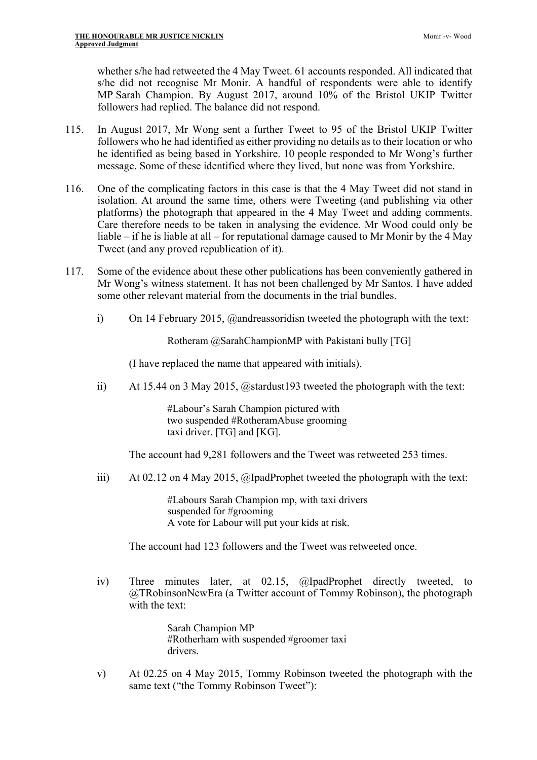whether s/he had retweeted the 4 May Tweet. 61 accounts responded. All indicated that s/he did not recognise Mr Monir. A handful of respondents were able to identify MP Sarah Champion. By August 2017, around 10% of the Bristol UKIP Twitter followers had replied. The balance did not respond.

- 115. In August 2017, Mr Wong sent a further Tweet to 95 of the Bristol UKIP Twitter followers who he had identified as either providing no details as to their location or who he identified as being based in Yorkshire. 10 people responded to Mr Wong's further message. Some of these identified where they lived, but none was from Yorkshire.
- 116. One of the complicating factors in this case is that the 4 May Tweet did not stand in isolation. At around the same time, others were Tweeting (and publishing via other platforms) the photograph that appeared in the 4 May Tweet and adding comments. Care therefore needs to be taken in analysing the evidence. Mr Wood could only be liable – if he is liable at all – for reputational damage caused to Mr Monir by the 4 May Tweet (and any proved republication of it).
- 117. Some of the evidence about these other publications has been conveniently gathered in Mr Wong's witness statement. It has not been challenged by Mr Santos. I have added some other relevant material from the documents in the trial bundles.
	- i) On 14 February 2015, @andreassoridisn tweeted the photograph with the text:

Rotheram @SarahChampionMP with Pakistani bully [TG]

(I have replaced the name that appeared with initials).

ii) At 15.44 on 3 May 2015, @stardust193 tweeted the photograph with the text:

#Labour's Sarah Champion pictured with two suspended #RotheramAbuse grooming taxi driver. [TG] and [KG].

The account had 9,281 followers and the Tweet was retweeted 253 times.

iii) At 02.12 on 4 May 2015, @IpadProphet tweeted the photograph with the text:

#Labours Sarah Champion mp, with taxi drivers suspended for #grooming A vote for Labour will put your kids at risk.

The account had 123 followers and the Tweet was retweeted once.

iv) Three minutes later, at 02.15, @IpadProphet directly tweeted, to @TRobinsonNewEra (a Twitter account of Tommy Robinson), the photograph with the text:

> Sarah Champion MP #Rotherham with suspended #groomer taxi drivers.

v) At 02.25 on 4 May 2015, Tommy Robinson tweeted the photograph with the same text ("the Tommy Robinson Tweet"):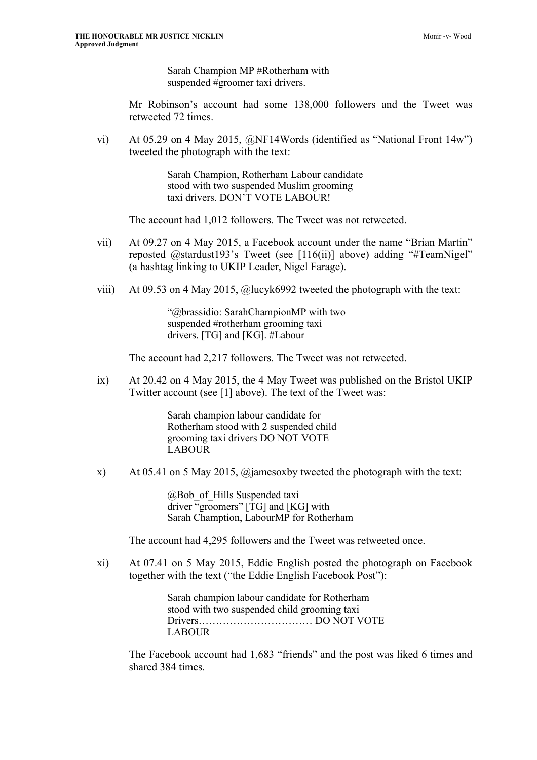Sarah Champion MP #Rotherham with suspended #groomer taxi drivers.

Mr Robinson's account had some 138,000 followers and the Tweet was retweeted 72 times.

vi) At 05.29 on 4 May 2015, @NF14Words (identified as "National Front 14w") tweeted the photograph with the text:

> Sarah Champion, Rotherham Labour candidate stood with two suspended Muslim grooming taxi drivers. DON'T VOTE LABOUR!

The account had 1,012 followers. The Tweet was not retweeted.

- vii) At 09.27 on 4 May 2015, a Facebook account under the name "Brian Martin" reposted @stardust193's Tweet (see [116(ii)] above) adding "#TeamNigel" (a hashtag linking to UKIP Leader, Nigel Farage).
- viii) At 09.53 on 4 May 2015, @lucyk6992 tweeted the photograph with the text:

"@brassidio: SarahChampionMP with two suspended #rotherham grooming taxi drivers. [TG] and [KG]. #Labour

The account had 2,217 followers. The Tweet was not retweeted.

ix) At 20.42 on 4 May 2015, the 4 May Tweet was published on the Bristol UKIP Twitter account (see [1] above). The text of the Tweet was:

> Sarah champion labour candidate for Rotherham stood with 2 suspended child grooming taxi drivers DO NOT VOTE LABOUR

x) At 05.41 on 5 May 2015, @jamesoxby tweeted the photograph with the text:

@Bob\_of\_Hills Suspended taxi driver "groomers" [TG] and [KG] with Sarah Chamption, LabourMP for Rotherham

The account had 4,295 followers and the Tweet was retweeted once.

xi) At 07.41 on 5 May 2015, Eddie English posted the photograph on Facebook together with the text ("the Eddie English Facebook Post"):

> Sarah champion labour candidate for Rotherham stood with two suspended child grooming taxi Drivers…………………………… DO NOT VOTE LABOUR

The Facebook account had 1,683 "friends" and the post was liked 6 times and shared 384 times.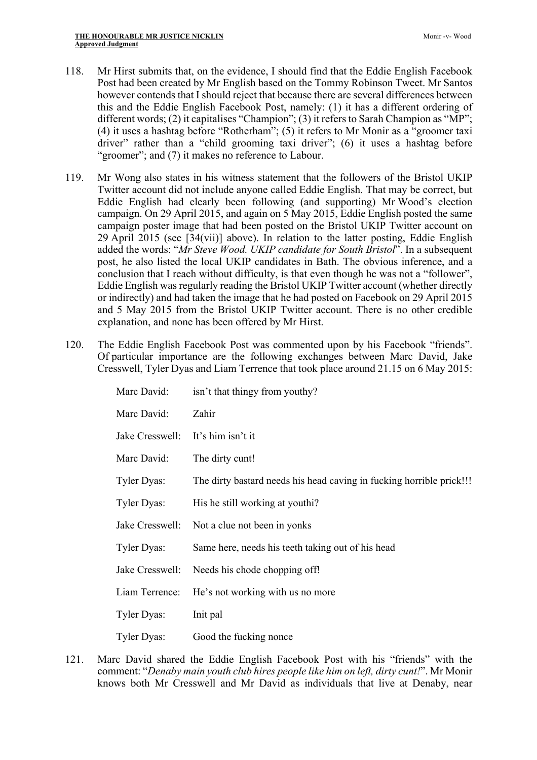- 118. Mr Hirst submits that, on the evidence, I should find that the Eddie English Facebook Post had been created by Mr English based on the Tommy Robinson Tweet. Mr Santos however contends that I should reject that because there are several differences between this and the Eddie English Facebook Post, namely: (1) it has a different ordering of different words; (2) it capitalises "Champion"; (3) it refers to Sarah Champion as "MP"; (4) it uses a hashtag before "Rotherham"; (5) it refers to Mr Monir as a "groomer taxi driver" rather than a "child grooming taxi driver"; (6) it uses a hashtag before "groomer"; and (7) it makes no reference to Labour.
- 119. Mr Wong also states in his witness statement that the followers of the Bristol UKIP Twitter account did not include anyone called Eddie English. That may be correct, but Eddie English had clearly been following (and supporting) Mr Wood's election campaign. On 29 April 2015, and again on 5 May 2015, Eddie English posted the same campaign poster image that had been posted on the Bristol UKIP Twitter account on 29 April 2015 (see [34(vii)] above). In relation to the latter posting, Eddie English added the words: "*Mr Steve Wood. UKIP candidate for South Bristol*". In a subsequent post, he also listed the local UKIP candidates in Bath. The obvious inference, and a conclusion that I reach without difficulty, is that even though he was not a "follower", Eddie English was regularly reading the Bristol UKIP Twitter account (whether directly or indirectly) and had taken the image that he had posted on Facebook on 29 April 2015 and 5 May 2015 from the Bristol UKIP Twitter account. There is no other credible explanation, and none has been offered by Mr Hirst.
- 120. The Eddie English Facebook Post was commented upon by his Facebook "friends". Of particular importance are the following exchanges between Marc David, Jake Cresswell, Tyler Dyas and Liam Terrence that took place around 21.15 on 6 May 2015:

| Marc David:        | isn't that thingy from youthy?                                       |
|--------------------|----------------------------------------------------------------------|
| Marc David:        | Zahir                                                                |
| Jake Cresswell:    | It's him isn't it                                                    |
| Marc David:        | The dirty cunt!                                                      |
| Tyler Dyas:        | The dirty bastard needs his head caving in fucking horrible prick!!! |
| Tyler Dyas:        | His he still working at youthi?                                      |
| Jake Cresswell:    | Not a clue not been in yonks                                         |
| <b>Tyler Dyas:</b> | Same here, needs his teeth taking out of his head                    |
| Jake Cresswell:    | Needs his chode chopping off!                                        |
| Liam Terrence:     | He's not working with us no more                                     |
| <b>Tyler Dyas:</b> | Init pal                                                             |
| <b>Tyler Dyas:</b> | Good the fucking nonce                                               |

121. Marc David shared the Eddie English Facebook Post with his "friends" with the comment: "*Denaby main youth club hires people like him on left, dirty cunt!*". Mr Monir knows both Mr Cresswell and Mr David as individuals that live at Denaby, near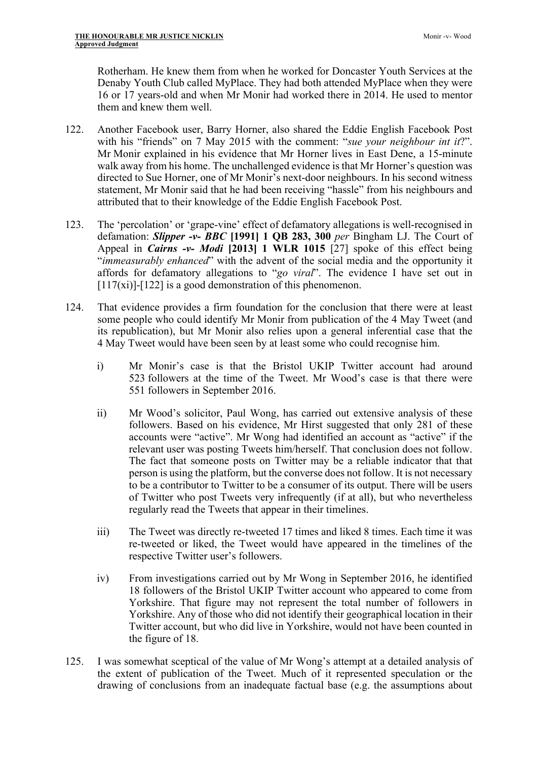Rotherham. He knew them from when he worked for Doncaster Youth Services at the Denaby Youth Club called MyPlace. They had both attended MyPlace when they were 16 or 17 years-old and when Mr Monir had worked there in 2014. He used to mentor them and knew them well.

- 122. Another Facebook user, Barry Horner, also shared the Eddie English Facebook Post with his "friends" on 7 May 2015 with the comment: "*sue your neighbour int it*?". Mr Monir explained in his evidence that Mr Horner lives in East Dene, a 15-minute walk away from his home. The unchallenged evidence is that Mr Horner's question was directed to Sue Horner, one of Mr Monir's next-door neighbours. In his second witness statement, Mr Monir said that he had been receiving "hassle" from his neighbours and attributed that to their knowledge of the Eddie English Facebook Post.
- 123. The 'percolation' or 'grape-vine' effect of defamatory allegations is well-recognised in defamation: *Slipper -v- BBC* **[1991] 1 QB 283, 300** *per* Bingham LJ. The Court of Appeal in *Cairns -v- Modi* **[2013] 1 WLR 1015** [27] spoke of this effect being "*immeasurably enhanced*" with the advent of the social media and the opportunity it affords for defamatory allegations to "*go viral*". The evidence I have set out in  $[117(xi)]$ - $[122]$  is a good demonstration of this phenomenon.
- 124. That evidence provides a firm foundation for the conclusion that there were at least some people who could identify Mr Monir from publication of the 4 May Tweet (and its republication), but Mr Monir also relies upon a general inferential case that the 4 May Tweet would have been seen by at least some who could recognise him.
	- i) Mr Monir's case is that the Bristol UKIP Twitter account had around 523 followers at the time of the Tweet. Mr Wood's case is that there were 551 followers in September 2016.
	- ii) Mr Wood's solicitor, Paul Wong, has carried out extensive analysis of these followers. Based on his evidence, Mr Hirst suggested that only 281 of these accounts were "active". Mr Wong had identified an account as "active" if the relevant user was posting Tweets him/herself. That conclusion does not follow. The fact that someone posts on Twitter may be a reliable indicator that that person is using the platform, but the converse does not follow. It is not necessary to be a contributor to Twitter to be a consumer of its output. There will be users of Twitter who post Tweets very infrequently (if at all), but who nevertheless regularly read the Tweets that appear in their timelines.
	- iii) The Tweet was directly re-tweeted 17 times and liked 8 times. Each time it was re-tweeted or liked, the Tweet would have appeared in the timelines of the respective Twitter user's followers.
	- iv) From investigations carried out by Mr Wong in September 2016, he identified 18 followers of the Bristol UKIP Twitter account who appeared to come from Yorkshire. That figure may not represent the total number of followers in Yorkshire. Any of those who did not identify their geographical location in their Twitter account, but who did live in Yorkshire, would not have been counted in the figure of 18.
- 125. I was somewhat sceptical of the value of Mr Wong's attempt at a detailed analysis of the extent of publication of the Tweet. Much of it represented speculation or the drawing of conclusions from an inadequate factual base (e.g. the assumptions about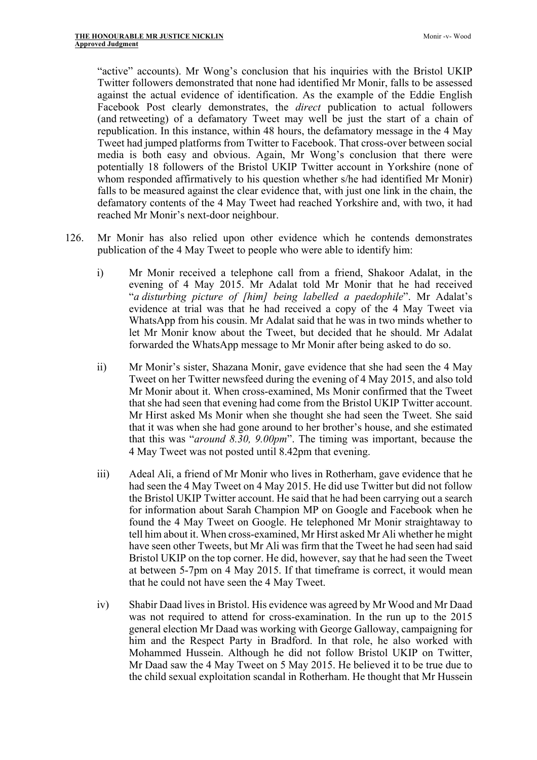"active" accounts). Mr Wong's conclusion that his inquiries with the Bristol UKIP Twitter followers demonstrated that none had identified Mr Monir, falls to be assessed against the actual evidence of identification. As the example of the Eddie English Facebook Post clearly demonstrates, the *direct* publication to actual followers (and retweeting) of a defamatory Tweet may well be just the start of a chain of republication. In this instance, within 48 hours, the defamatory message in the 4 May Tweet had jumped platforms from Twitter to Facebook. That cross-over between social media is both easy and obvious. Again, Mr Wong's conclusion that there were potentially 18 followers of the Bristol UKIP Twitter account in Yorkshire (none of whom responded affirmatively to his question whether s/he had identified Mr Monir) falls to be measured against the clear evidence that, with just one link in the chain, the defamatory contents of the 4 May Tweet had reached Yorkshire and, with two, it had reached Mr Monir's next-door neighbour.

- 126. Mr Monir has also relied upon other evidence which he contends demonstrates publication of the 4 May Tweet to people who were able to identify him:
	- i) Mr Monir received a telephone call from a friend, Shakoor Adalat, in the evening of 4 May 2015. Mr Adalat told Mr Monir that he had received "*a disturbing picture of [him] being labelled a paedophile*". Mr Adalat's evidence at trial was that he had received a copy of the 4 May Tweet via WhatsApp from his cousin. Mr Adalat said that he was in two minds whether to let Mr Monir know about the Tweet, but decided that he should. Mr Adalat forwarded the WhatsApp message to Mr Monir after being asked to do so.
	- ii) Mr Monir's sister, Shazana Monir, gave evidence that she had seen the 4 May Tweet on her Twitter newsfeed during the evening of 4 May 2015, and also told Mr Monir about it. When cross-examined, Ms Monir confirmed that the Tweet that she had seen that evening had come from the Bristol UKIP Twitter account. Mr Hirst asked Ms Monir when she thought she had seen the Tweet. She said that it was when she had gone around to her brother's house, and she estimated that this was "*around 8.30, 9.00pm*". The timing was important, because the 4 May Tweet was not posted until 8.42pm that evening.
	- iii) Adeal Ali, a friend of Mr Monir who lives in Rotherham, gave evidence that he had seen the 4 May Tweet on 4 May 2015. He did use Twitter but did not follow the Bristol UKIP Twitter account. He said that he had been carrying out a search for information about Sarah Champion MP on Google and Facebook when he found the 4 May Tweet on Google. He telephoned Mr Monir straightaway to tell him about it. When cross-examined, Mr Hirst asked Mr Ali whether he might have seen other Tweets, but Mr Ali was firm that the Tweet he had seen had said Bristol UKIP on the top corner. He did, however, say that he had seen the Tweet at between 5-7pm on 4 May 2015. If that timeframe is correct, it would mean that he could not have seen the 4 May Tweet.
	- iv) Shabir Daad lives in Bristol. His evidence was agreed by Mr Wood and Mr Daad was not required to attend for cross-examination. In the run up to the 2015 general election Mr Daad was working with George Galloway, campaigning for him and the Respect Party in Bradford. In that role, he also worked with Mohammed Hussein. Although he did not follow Bristol UKIP on Twitter, Mr Daad saw the 4 May Tweet on 5 May 2015. He believed it to be true due to the child sexual exploitation scandal in Rotherham. He thought that Mr Hussein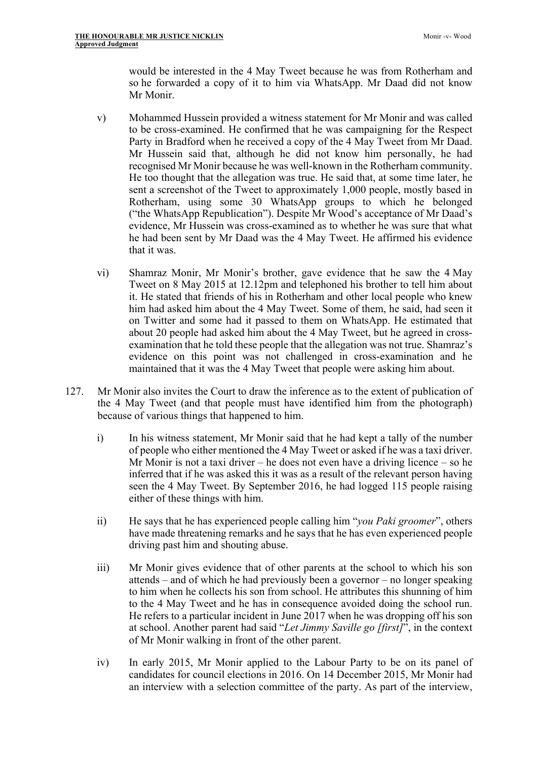would be interested in the 4 May Tweet because he was from Rotherham and so he forwarded a copy of it to him via WhatsApp. Mr Daad did not know Mr Monir.

- v) Mohammed Hussein provided a witness statement for Mr Monir and was called to be cross-examined. He confirmed that he was campaigning for the Respect Party in Bradford when he received a copy of the 4 May Tweet from Mr Daad. Mr Hussein said that, although he did not know him personally, he had recognised Mr Monir because he was well-known in the Rotherham community. He too thought that the allegation was true. He said that, at some time later, he sent a screenshot of the Tweet to approximately 1,000 people, mostly based in Rotherham, using some 30 WhatsApp groups to which he belonged ("the WhatsApp Republication"). Despite Mr Wood's acceptance of Mr Daad's evidence, Mr Hussein was cross-examined as to whether he was sure that what he had been sent by Mr Daad was the 4 May Tweet. He affirmed his evidence that it was.
- vi) Shamraz Monir, Mr Monir's brother, gave evidence that he saw the 4 May Tweet on 8 May 2015 at 12.12pm and telephoned his brother to tell him about it. He stated that friends of his in Rotherham and other local people who knew him had asked him about the 4 May Tweet. Some of them, he said, had seen it on Twitter and some had it passed to them on WhatsApp. He estimated that about 20 people had asked him about the 4 May Tweet, but he agreed in crossexamination that he told these people that the allegation was not true. Shamraz's evidence on this point was not challenged in cross-examination and he maintained that it was the 4 May Tweet that people were asking him about.
- 127. Mr Monir also invites the Court to draw the inference as to the extent of publication of the 4 May Tweet (and that people must have identified him from the photograph) because of various things that happened to him.
	- i) In his witness statement, Mr Monir said that he had kept a tally of the number of people who either mentioned the 4 May Tweet or asked if he was a taxi driver. Mr Monir is not a taxi driver – he does not even have a driving licence – so he inferred that if he was asked this it was as a result of the relevant person having seen the 4 May Tweet. By September 2016, he had logged 115 people raising either of these things with him.
	- ii) He says that he has experienced people calling him "*you Paki groomer*", others have made threatening remarks and he says that he has even experienced people driving past him and shouting abuse.
	- iii) Mr Monir gives evidence that of other parents at the school to which his son attends – and of which he had previously been a governor – no longer speaking to him when he collects his son from school. He attributes this shunning of him to the 4 May Tweet and he has in consequence avoided doing the school run. He refers to a particular incident in June 2017 when he was dropping off his son at school. Another parent had said "*Let Jimmy Saville go [first]*", in the context of Mr Monir walking in front of the other parent.
	- iv) In early 2015, Mr Monir applied to the Labour Party to be on its panel of candidates for council elections in 2016. On 14 December 2015, Mr Monir had an interview with a selection committee of the party. As part of the interview,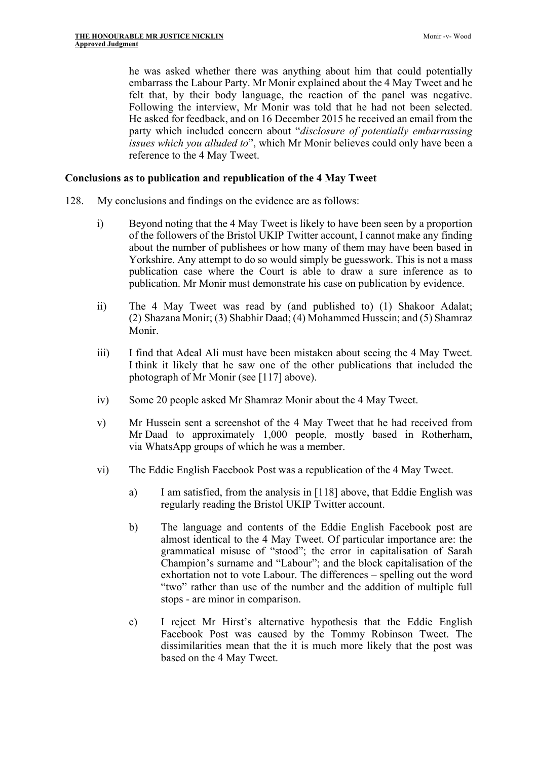he was asked whether there was anything about him that could potentially embarrass the Labour Party. Mr Monir explained about the 4 May Tweet and he felt that, by their body language, the reaction of the panel was negative. Following the interview, Mr Monir was told that he had not been selected. He asked for feedback, and on 16 December 2015 he received an email from the party which included concern about "*disclosure of potentially embarrassing issues which you alluded to*", which Mr Monir believes could only have been a reference to the 4 May Tweet.

### **Conclusions as to publication and republication of the 4 May Tweet**

- 128. My conclusions and findings on the evidence are as follows:
	- i) Beyond noting that the 4 May Tweet is likely to have been seen by a proportion of the followers of the Bristol UKIP Twitter account, I cannot make any finding about the number of publishees or how many of them may have been based in Yorkshire. Any attempt to do so would simply be guesswork. This is not a mass publication case where the Court is able to draw a sure inference as to publication. Mr Monir must demonstrate his case on publication by evidence.
	- ii) The 4 May Tweet was read by (and published to) (1) Shakoor Adalat; (2) Shazana Monir; (3) Shabhir Daad; (4) Mohammed Hussein; and (5) Shamraz Monir.
	- iii) I find that Adeal Ali must have been mistaken about seeing the 4 May Tweet. I think it likely that he saw one of the other publications that included the photograph of Mr Monir (see [117] above).
	- iv) Some 20 people asked Mr Shamraz Monir about the 4 May Tweet.
	- v) Mr Hussein sent a screenshot of the 4 May Tweet that he had received from Mr Daad to approximately 1,000 people, mostly based in Rotherham, via WhatsApp groups of which he was a member.
	- vi) The Eddie English Facebook Post was a republication of the 4 May Tweet.
		- a) I am satisfied, from the analysis in [118] above, that Eddie English was regularly reading the Bristol UKIP Twitter account.
		- b) The language and contents of the Eddie English Facebook post are almost identical to the 4 May Tweet. Of particular importance are: the grammatical misuse of "stood"; the error in capitalisation of Sarah Champion's surname and "Labour"; and the block capitalisation of the exhortation not to vote Labour. The differences – spelling out the word "two" rather than use of the number and the addition of multiple full stops - are minor in comparison.
		- c) I reject Mr Hirst's alternative hypothesis that the Eddie English Facebook Post was caused by the Tommy Robinson Tweet. The dissimilarities mean that the it is much more likely that the post was based on the 4 May Tweet.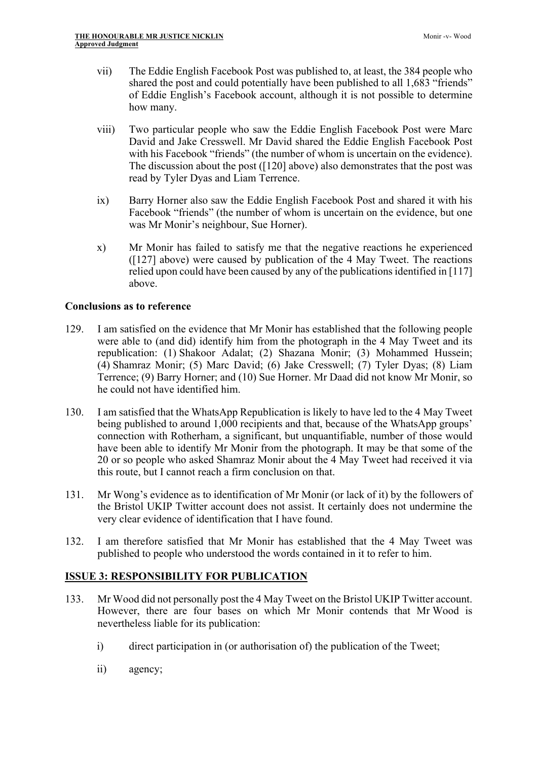- vii) The Eddie English Facebook Post was published to, at least, the 384 people who shared the post and could potentially have been published to all 1,683 "friends" of Eddie English's Facebook account, although it is not possible to determine how many.
- viii) Two particular people who saw the Eddie English Facebook Post were Marc David and Jake Cresswell. Mr David shared the Eddie English Facebook Post with his Facebook "friends" (the number of whom is uncertain on the evidence). The discussion about the post ([120] above) also demonstrates that the post was read by Tyler Dyas and Liam Terrence.
- ix) Barry Horner also saw the Eddie English Facebook Post and shared it with his Facebook "friends" (the number of whom is uncertain on the evidence, but one was Mr Monir's neighbour, Sue Horner).
- x) Mr Monir has failed to satisfy me that the negative reactions he experienced ([127] above) were caused by publication of the 4 May Tweet. The reactions relied upon could have been caused by any of the publications identified in [117] above.

# **Conclusions as to reference**

- 129. I am satisfied on the evidence that Mr Monir has established that the following people were able to (and did) identify him from the photograph in the 4 May Tweet and its republication: (1) Shakoor Adalat; (2) Shazana Monir; (3) Mohammed Hussein; (4) Shamraz Monir; (5) Marc David; (6) Jake Cresswell; (7) Tyler Dyas; (8) Liam Terrence; (9) Barry Horner; and (10) Sue Horner. Mr Daad did not know Mr Monir, so he could not have identified him.
- 130. I am satisfied that the WhatsApp Republication is likely to have led to the 4 May Tweet being published to around 1,000 recipients and that, because of the WhatsApp groups' connection with Rotherham, a significant, but unquantifiable, number of those would have been able to identify Mr Monir from the photograph. It may be that some of the 20 or so people who asked Shamraz Monir about the 4 May Tweet had received it via this route, but I cannot reach a firm conclusion on that.
- 131. Mr Wong's evidence as to identification of Mr Monir (or lack of it) by the followers of the Bristol UKIP Twitter account does not assist. It certainly does not undermine the very clear evidence of identification that I have found.
- 132. I am therefore satisfied that Mr Monir has established that the 4 May Tweet was published to people who understood the words contained in it to refer to him.

# **ISSUE 3: RESPONSIBILITY FOR PUBLICATION**

- 133. Mr Wood did not personally post the 4 May Tweet on the Bristol UKIP Twitter account. However, there are four bases on which Mr Monir contends that Mr Wood is nevertheless liable for its publication:
	- i) direct participation in (or authorisation of) the publication of the Tweet;
	- ii) agency;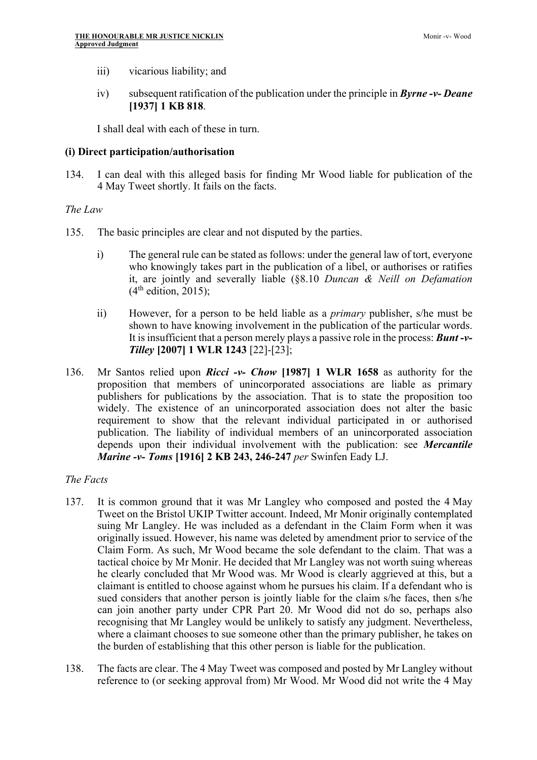- iii) vicarious liability; and
- iv) subsequent ratification of the publication under the principle in *Byrne -v- Deane* **[1937] 1 KB 818**.

I shall deal with each of these in turn.

# **(i) Direct participation/authorisation**

134. I can deal with this alleged basis for finding Mr Wood liable for publication of the 4 May Tweet shortly. It fails on the facts.

# *The Law*

- 135. The basic principles are clear and not disputed by the parties.
	- i) The general rule can be stated as follows: under the general law of tort, everyone who knowingly takes part in the publication of a libel, or authorises or ratifies it, are jointly and severally liable (§8.10 *Duncan & Neill on Defamation*   $(4<sup>th</sup>$  edition, 2015);
	- ii) However, for a person to be held liable as a *primary* publisher, s/he must be shown to have knowing involvement in the publication of the particular words. It is insufficient that a person merely plays a passive role in the process: *Bunt -v-Tilley* **[2007] 1 WLR 1243** [22]-[23];
- 136. Mr Santos relied upon *Ricci -v- Chow* **[1987] 1 WLR 1658** as authority for the proposition that members of unincorporated associations are liable as primary publishers for publications by the association. That is to state the proposition too widely. The existence of an unincorporated association does not alter the basic requirement to show that the relevant individual participated in or authorised publication. The liability of individual members of an unincorporated association depends upon their individual involvement with the publication: see *Mercantile Marine -v- Toms* **[1916] 2 KB 243, 246-247** *per* Swinfen Eady LJ.

### *The Facts*

- 137. It is common ground that it was Mr Langley who composed and posted the 4 May Tweet on the Bristol UKIP Twitter account. Indeed, Mr Monir originally contemplated suing Mr Langley. He was included as a defendant in the Claim Form when it was originally issued. However, his name was deleted by amendment prior to service of the Claim Form. As such, Mr Wood became the sole defendant to the claim. That was a tactical choice by Mr Monir. He decided that Mr Langley was not worth suing whereas he clearly concluded that Mr Wood was. Mr Wood is clearly aggrieved at this, but a claimant is entitled to choose against whom he pursues his claim. If a defendant who is sued considers that another person is jointly liable for the claim s/he faces, then s/he can join another party under CPR Part 20. Mr Wood did not do so, perhaps also recognising that Mr Langley would be unlikely to satisfy any judgment. Nevertheless, where a claimant chooses to sue someone other than the primary publisher, he takes on the burden of establishing that this other person is liable for the publication.
- 138. The facts are clear. The 4 May Tweet was composed and posted by Mr Langley without reference to (or seeking approval from) Mr Wood. Mr Wood did not write the 4 May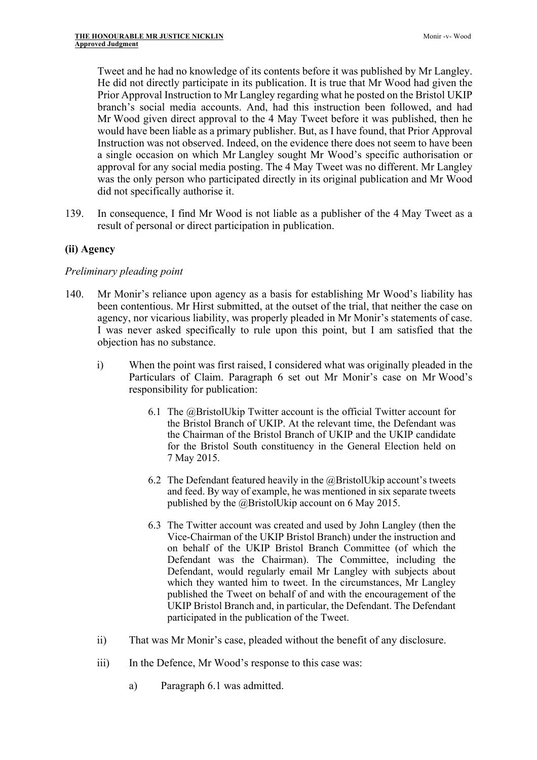Tweet and he had no knowledge of its contents before it was published by Mr Langley. He did not directly participate in its publication. It is true that Mr Wood had given the Prior Approval Instruction to Mr Langley regarding what he posted on the Bristol UKIP branch's social media accounts. And, had this instruction been followed, and had Mr Wood given direct approval to the 4 May Tweet before it was published, then he would have been liable as a primary publisher. But, as I have found, that Prior Approval Instruction was not observed. Indeed, on the evidence there does not seem to have been a single occasion on which Mr Langley sought Mr Wood's specific authorisation or approval for any social media posting. The 4 May Tweet was no different. Mr Langley was the only person who participated directly in its original publication and Mr Wood did not specifically authorise it.

139. In consequence, I find Mr Wood is not liable as a publisher of the 4 May Tweet as a result of personal or direct participation in publication.

# **(ii) Agency**

### *Preliminary pleading point*

- 140. Mr Monir's reliance upon agency as a basis for establishing Mr Wood's liability has been contentious. Mr Hirst submitted, at the outset of the trial, that neither the case on agency, nor vicarious liability, was properly pleaded in Mr Monir's statements of case. I was never asked specifically to rule upon this point, but I am satisfied that the objection has no substance.
	- i) When the point was first raised, I considered what was originally pleaded in the Particulars of Claim. Paragraph 6 set out Mr Monir's case on Mr Wood's responsibility for publication:
		- 6.1 The @BristolUkip Twitter account is the official Twitter account for the Bristol Branch of UKIP. At the relevant time, the Defendant was the Chairman of the Bristol Branch of UKIP and the UKIP candidate for the Bristol South constituency in the General Election held on 7 May 2015.
		- 6.2 The Defendant featured heavily in the  $@B$ ristolUkip account's tweets and feed. By way of example, he was mentioned in six separate tweets published by the @BristolUkip account on 6 May 2015.
		- 6.3 The Twitter account was created and used by John Langley (then the Vice-Chairman of the UKIP Bristol Branch) under the instruction and on behalf of the UKIP Bristol Branch Committee (of which the Defendant was the Chairman). The Committee, including the Defendant, would regularly email Mr Langley with subjects about which they wanted him to tweet. In the circumstances, Mr Langley published the Tweet on behalf of and with the encouragement of the UKIP Bristol Branch and, in particular, the Defendant. The Defendant participated in the publication of the Tweet.
	- ii) That was Mr Monir's case, pleaded without the benefit of any disclosure.
	- iii) In the Defence, Mr Wood's response to this case was:
		- a) Paragraph 6.1 was admitted.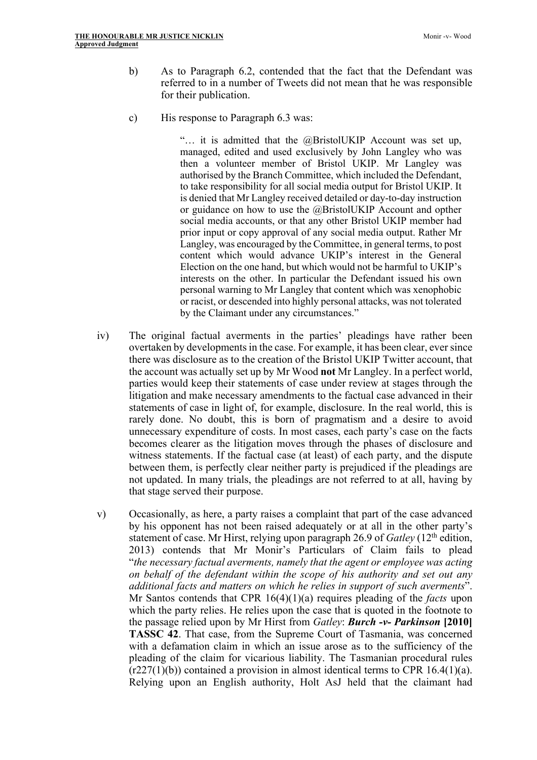- b) As to Paragraph 6.2, contended that the fact that the Defendant was referred to in a number of Tweets did not mean that he was responsible for their publication.
- c) His response to Paragraph 6.3 was:

"… it is admitted that the @BristolUKIP Account was set up, managed, edited and used exclusively by John Langley who was then a volunteer member of Bristol UKIP. Mr Langley was authorised by the Branch Committee, which included the Defendant, to take responsibility for all social media output for Bristol UKIP. It is denied that Mr Langley received detailed or day-to-day instruction or guidance on how to use the @BristolUKIP Account and opther social media accounts, or that any other Bristol UKIP member had prior input or copy approval of any social media output. Rather Mr Langley, was encouraged by the Committee, in general terms, to post content which would advance UKIP's interest in the General Election on the one hand, but which would not be harmful to UKIP's interests on the other. In particular the Defendant issued his own personal warning to Mr Langley that content which was xenophobic or racist, or descended into highly personal attacks, was not tolerated by the Claimant under any circumstances."

- iv) The original factual averments in the parties' pleadings have rather been overtaken by developments in the case. For example, it has been clear, ever since there was disclosure as to the creation of the Bristol UKIP Twitter account, that the account was actually set up by Mr Wood **not** Mr Langley. In a perfect world, parties would keep their statements of case under review at stages through the litigation and make necessary amendments to the factual case advanced in their statements of case in light of, for example, disclosure. In the real world, this is rarely done. No doubt, this is born of pragmatism and a desire to avoid unnecessary expenditure of costs. In most cases, each party's case on the facts becomes clearer as the litigation moves through the phases of disclosure and witness statements. If the factual case (at least) of each party, and the dispute between them, is perfectly clear neither party is prejudiced if the pleadings are not updated. In many trials, the pleadings are not referred to at all, having by that stage served their purpose.
- v) Occasionally, as here, a party raises a complaint that part of the case advanced by his opponent has not been raised adequately or at all in the other party's statement of case. Mr Hirst, relying upon paragraph 26.9 of *Gatley* (12th edition, 2013) contends that Mr Monir's Particulars of Claim fails to plead "*the necessary factual averments, namely that the agent or employee was acting on behalf of the defendant within the scope of his authority and set out any additional facts and matters on which he relies in support of such averments*". Mr Santos contends that CPR 16(4)(1)(a) requires pleading of the *facts* upon which the party relies. He relies upon the case that is quoted in the footnote to the passage relied upon by Mr Hirst from *Gatley*: *Burch -v- Parkinson* **[2010] TASSC 42**. That case, from the Supreme Court of Tasmania, was concerned with a defamation claim in which an issue arose as to the sufficiency of the pleading of the claim for vicarious liability. The Tasmanian procedural rules  $(r227(1)(b))$  contained a provision in almost identical terms to CPR 16.4(1)(a). Relying upon an English authority, Holt AsJ held that the claimant had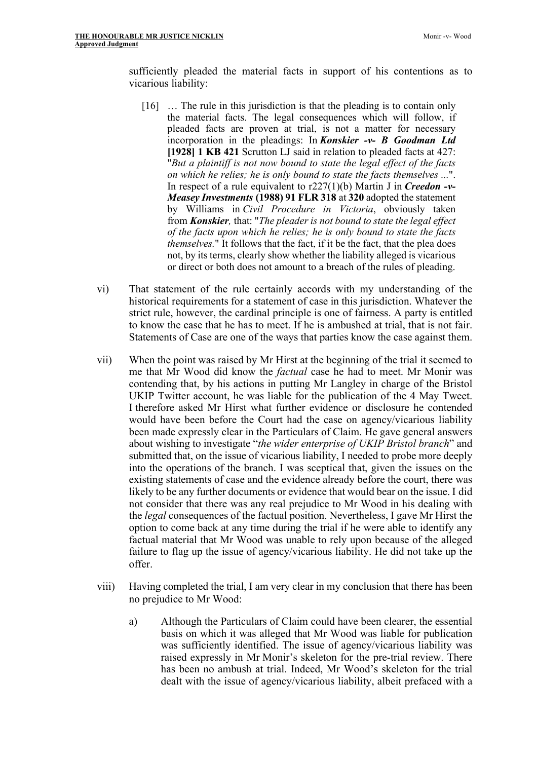sufficiently pleaded the material facts in support of his contentions as to vicarious liability:

- [16] … The rule in this jurisdiction is that the pleading is to contain only the material facts. The legal consequences which will follow, if pleaded facts are proven at trial, is not a matter for necessary incorporation in the pleadings: In *Konskier -v- B Goodman Ltd* **[1928] 1 KB 421** Scrutton LJ said in relation to pleaded facts at 427: "*But a plaintiff is not now bound to state the legal effect of the facts on which he relies; he is only bound to state the facts themselves ...*". In respect of a rule equivalent to r227(1)(b) Martin J in *Creedon -v-Measey Investments* **(1988) 91 FLR 318** at **320** adopted the statement by Williams in *Civil Procedure in Victoria*, obviously taken from *Konskier,* that: "*The pleader is not bound to state the legal effect of the facts upon which he relies; he is only bound to state the facts themselves.*" It follows that the fact, if it be the fact, that the plea does not, by its terms, clearly show whether the liability alleged is vicarious or direct or both does not amount to a breach of the rules of pleading.
- vi) That statement of the rule certainly accords with my understanding of the historical requirements for a statement of case in this jurisdiction. Whatever the strict rule, however, the cardinal principle is one of fairness. A party is entitled to know the case that he has to meet. If he is ambushed at trial, that is not fair. Statements of Case are one of the ways that parties know the case against them.
- vii) When the point was raised by Mr Hirst at the beginning of the trial it seemed to me that Mr Wood did know the *factual* case he had to meet. Mr Monir was contending that, by his actions in putting Mr Langley in charge of the Bristol UKIP Twitter account, he was liable for the publication of the 4 May Tweet. I therefore asked Mr Hirst what further evidence or disclosure he contended would have been before the Court had the case on agency/vicarious liability been made expressly clear in the Particulars of Claim. He gave general answers about wishing to investigate "*the wider enterprise of UKIP Bristol branch*" and submitted that, on the issue of vicarious liability, I needed to probe more deeply into the operations of the branch. I was sceptical that, given the issues on the existing statements of case and the evidence already before the court, there was likely to be any further documents or evidence that would bear on the issue. I did not consider that there was any real prejudice to Mr Wood in his dealing with the *legal* consequences of the factual position. Nevertheless, I gave Mr Hirst the option to come back at any time during the trial if he were able to identify any factual material that Mr Wood was unable to rely upon because of the alleged failure to flag up the issue of agency/vicarious liability. He did not take up the offer.
- viii) Having completed the trial, I am very clear in my conclusion that there has been no prejudice to Mr Wood:
	- a) Although the Particulars of Claim could have been clearer, the essential basis on which it was alleged that Mr Wood was liable for publication was sufficiently identified. The issue of agency/vicarious liability was raised expressly in Mr Monir's skeleton for the pre-trial review. There has been no ambush at trial. Indeed, Mr Wood's skeleton for the trial dealt with the issue of agency/vicarious liability, albeit prefaced with a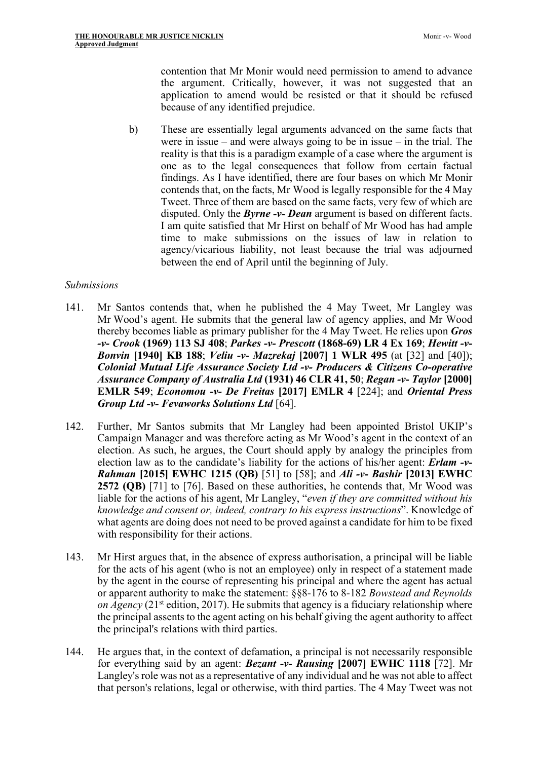contention that Mr Monir would need permission to amend to advance the argument. Critically, however, it was not suggested that an application to amend would be resisted or that it should be refused because of any identified prejudice.

b) These are essentially legal arguments advanced on the same facts that were in issue – and were always going to be in issue – in the trial. The reality is that this is a paradigm example of a case where the argument is one as to the legal consequences that follow from certain factual findings. As I have identified, there are four bases on which Mr Monir contends that, on the facts, Mr Wood is legally responsible for the 4 May Tweet. Three of them are based on the same facts, very few of which are disputed. Only the *Byrne -v- Dean* argument is based on different facts. I am quite satisfied that Mr Hirst on behalf of Mr Wood has had ample time to make submissions on the issues of law in relation to agency/vicarious liability, not least because the trial was adjourned between the end of April until the beginning of July.

### *Submissions*

- 141. Mr Santos contends that, when he published the 4 May Tweet, Mr Langley was Mr Wood's agent. He submits that the general law of agency applies, and Mr Wood thereby becomes liable as primary publisher for the 4 May Tweet. He relies upon *Gros -v- Crook* **(1969) 113 SJ 408**; *Parkes -v- Prescott* **(1868-69) LR 4 Ex 169**; *Hewitt -v-Bonvin* **[1940] KB 188**; *Veliu -v- Mazrekaj* **[2007] 1 WLR 495** (at [32] and [40]); *Colonial Mutual Life Assurance Society Ltd -v- Producers & Citizens Co-operative Assurance Company of Australia Ltd* **(1931) 46 CLR 41, 50**; *Regan -v- Taylor* **[2000] EMLR 549**; *Economou -v- De Freitas* **[2017] EMLR 4** [224]; and *Oriental Press Group Ltd -v- Fevaworks Solutions Ltd* [64].
- 142. Further, Mr Santos submits that Mr Langley had been appointed Bristol UKIP's Campaign Manager and was therefore acting as Mr Wood's agent in the context of an election. As such, he argues, the Court should apply by analogy the principles from election law as to the candidate's liability for the actions of his/her agent: *Erlam -v-Rahman* **[2015] EWHC 1215 (QB)** [51] to [58]; and *Ali -v- Bashir* **[2013] EWHC 2572 (QB)** [71] to [76]. Based on these authorities, he contends that, Mr Wood was liable for the actions of his agent, Mr Langley, "*even if they are committed without his knowledge and consent or, indeed, contrary to his express instructions*". Knowledge of what agents are doing does not need to be proved against a candidate for him to be fixed with responsibility for their actions.
- 143. Mr Hirst argues that, in the absence of express authorisation, a principal will be liable for the acts of his agent (who is not an employee) only in respect of a statement made by the agent in the course of representing his principal and where the agent has actual or apparent authority to make the statement: §§8-176 to 8-182 *Bowstead and Reynolds on Agency* (21<sup>st</sup> edition, 2017). He submits that agency is a fiduciary relationship where the principal assents to the agent acting on his behalf giving the agent authority to affect the principal's relations with third parties.
- 144. He argues that, in the context of defamation, a principal is not necessarily responsible for everything said by an agent: *Bezant -v- Rausing* **[2007] EWHC 1118** [72]. Mr Langley's role was not as a representative of any individual and he was not able to affect that person's relations, legal or otherwise, with third parties. The 4 May Tweet was not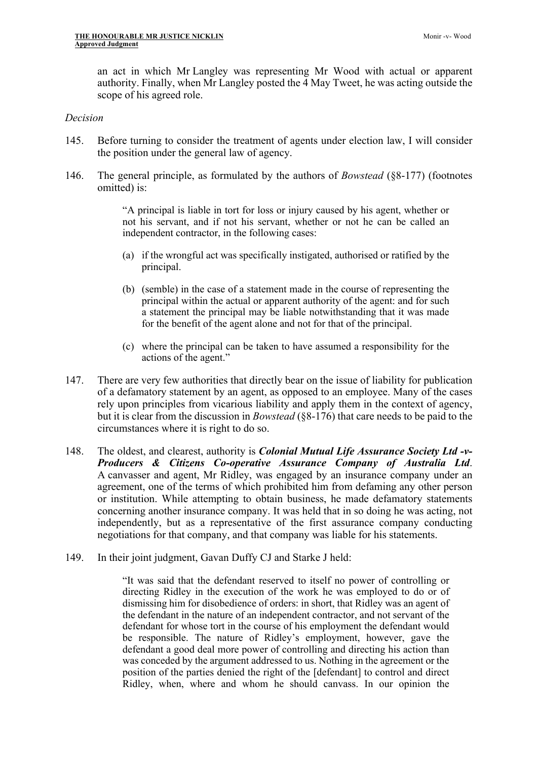an act in which Mr Langley was representing Mr Wood with actual or apparent authority. Finally, when Mr Langley posted the 4 May Tweet, he was acting outside the scope of his agreed role.

#### *Decision*

- 145. Before turning to consider the treatment of agents under election law, I will consider the position under the general law of agency.
- 146. The general principle, as formulated by the authors of *Bowstead* (§8-177) (footnotes omitted) is:

"A principal is liable in tort for loss or injury caused by his agent, whether or not his servant, and if not his servant, whether or not he can be called an independent contractor, in the following cases:

- (a) if the wrongful act was specifically instigated, authorised or ratified by the principal.
- (b) (semble) in the case of a statement made in the course of representing the principal within the actual or apparent authority of the agent: and for such a statement the principal may be liable notwithstanding that it was made for the benefit of the agent alone and not for that of the principal.
- (c) where the principal can be taken to have assumed a responsibility for the actions of the agent."
- 147. There are very few authorities that directly bear on the issue of liability for publication of a defamatory statement by an agent, as opposed to an employee. Many of the cases rely upon principles from vicarious liability and apply them in the context of agency, but it is clear from the discussion in *Bowstead* (§8-176) that care needs to be paid to the circumstances where it is right to do so.
- 148. The oldest, and clearest, authority is *Colonial Mutual Life Assurance Society Ltd -v-Producers & Citizens Co-operative Assurance Company of Australia Ltd*. A canvasser and agent, Mr Ridley, was engaged by an insurance company under an agreement, one of the terms of which prohibited him from defaming any other person or institution. While attempting to obtain business, he made defamatory statements concerning another insurance company. It was held that in so doing he was acting, not independently, but as a representative of the first assurance company conducting negotiations for that company, and that company was liable for his statements.
- 149. In their joint judgment, Gavan Duffy CJ and Starke J held:

"It was said that the defendant reserved to itself no power of controlling or directing Ridley in the execution of the work he was employed to do or of dismissing him for disobedience of orders: in short, that Ridley was an agent of the defendant in the nature of an independent contractor, and not servant of the defendant for whose tort in the course of his employment the defendant would be responsible. The nature of Ridley's employment, however, gave the defendant a good deal more power of controlling and directing his action than was conceded by the argument addressed to us. Nothing in the agreement or the position of the parties denied the right of the [defendant] to control and direct Ridley, when, where and whom he should canvass. In our opinion the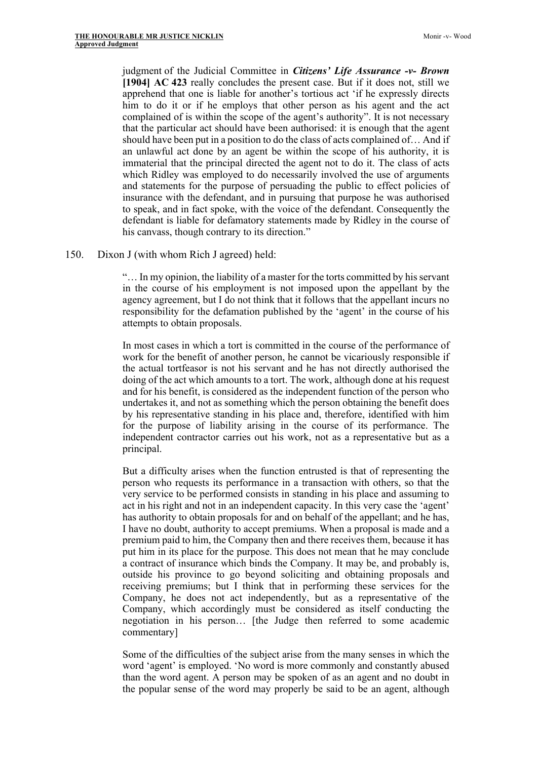judgment of the Judicial Committee in *Citizens' Life Assurance -v- Brown*  **[1904] AC 423** really concludes the present case. But if it does not, still we apprehend that one is liable for another's tortious act 'if he expressly directs him to do it or if he employs that other person as his agent and the act complained of is within the scope of the agent's authority". It is not necessary that the particular act should have been authorised: it is enough that the agent should have been put in a position to do the class of acts complained of… And if an unlawful act done by an agent be within the scope of his authority, it is immaterial that the principal directed the agent not to do it. The class of acts which Ridley was employed to do necessarily involved the use of arguments and statements for the purpose of persuading the public to effect policies of insurance with the defendant, and in pursuing that purpose he was authorised to speak, and in fact spoke, with the voice of the defendant. Consequently the defendant is liable for defamatory statements made by Ridley in the course of his canvass, though contrary to its direction."

150. Dixon J (with whom Rich J agreed) held:

"… In my opinion, the liability of a master for the torts committed by his servant in the course of his employment is not imposed upon the appellant by the agency agreement, but I do not think that it follows that the appellant incurs no responsibility for the defamation published by the 'agent' in the course of his attempts to obtain proposals.

In most cases in which a tort is committed in the course of the performance of work for the benefit of another person, he cannot be vicariously responsible if the actual tortfeasor is not his servant and he has not directly authorised the doing of the act which amounts to a tort. The work, although done at his request and for his benefit, is considered as the independent function of the person who undertakes it, and not as something which the person obtaining the benefit does by his representative standing in his place and, therefore, identified with him for the purpose of liability arising in the course of its performance. The independent contractor carries out his work, not as a representative but as a principal.

But a difficulty arises when the function entrusted is that of representing the person who requests its performance in a transaction with others, so that the very service to be performed consists in standing in his place and assuming to act in his right and not in an independent capacity. In this very case the 'agent' has authority to obtain proposals for and on behalf of the appellant; and he has, I have no doubt, authority to accept premiums. When a proposal is made and a premium paid to him, the Company then and there receives them, because it has put him in its place for the purpose. This does not mean that he may conclude a contract of insurance which binds the Company. It may be, and probably is, outside his province to go beyond soliciting and obtaining proposals and receiving premiums; but I think that in performing these services for the Company, he does not act independently, but as a representative of the Company, which accordingly must be considered as itself conducting the negotiation in his person… [the Judge then referred to some academic commentary]

Some of the difficulties of the subject arise from the many senses in which the word 'agent' is employed. 'No word is more commonly and constantly abused than the word agent. A person may be spoken of as an agent and no doubt in the popular sense of the word may properly be said to be an agent, although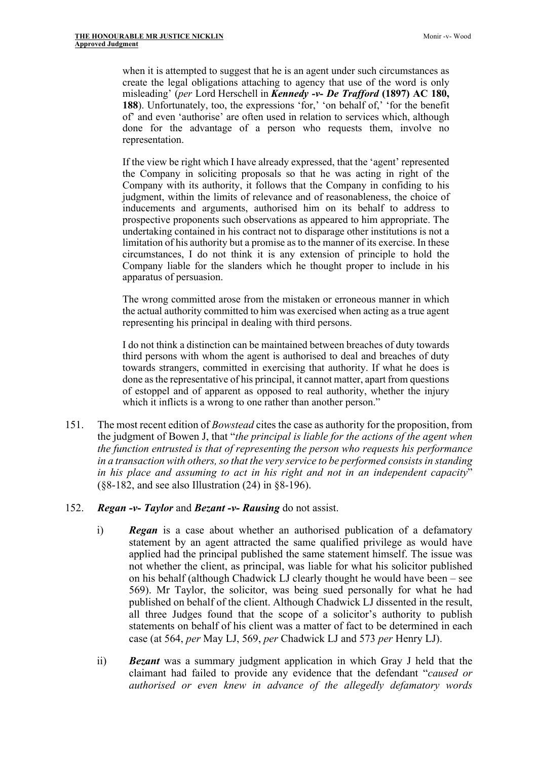when it is attempted to suggest that he is an agent under such circumstances as create the legal obligations attaching to agency that use of the word is only misleading' (*per* Lord Herschell in *Kennedy -v- De Trafford* **(1897) AC 180, 188**). Unfortunately, too, the expressions 'for,' 'on behalf of,' 'for the benefit of' and even 'authorise' are often used in relation to services which, although done for the advantage of a person who requests them, involve no representation.

If the view be right which I have already expressed, that the 'agent' represented the Company in soliciting proposals so that he was acting in right of the Company with its authority, it follows that the Company in confiding to his judgment, within the limits of relevance and of reasonableness, the choice of inducements and arguments, authorised him on its behalf to address to prospective proponents such observations as appeared to him appropriate. The undertaking contained in his contract not to disparage other institutions is not a limitation of his authority but a promise as to the manner of its exercise. In these circumstances, I do not think it is any extension of principle to hold the Company liable for the slanders which he thought proper to include in his apparatus of persuasion.

The wrong committed arose from the mistaken or erroneous manner in which the actual authority committed to him was exercised when acting as a true agent representing his principal in dealing with third persons.

I do not think a distinction can be maintained between breaches of duty towards third persons with whom the agent is authorised to deal and breaches of duty towards strangers, committed in exercising that authority. If what he does is done as the representative of his principal, it cannot matter, apart from questions of estoppel and of apparent as opposed to real authority, whether the injury which it inflicts is a wrong to one rather than another person."

- 151. The most recent edition of *Bowstead* cites the case as authority for the proposition, from the judgment of Bowen J, that "*the principal is liable for the actions of the agent when the function entrusted is that of representing the person who requests his performance in a transaction with others, so that the very service to be performed consists in standing in his place and assuming to act in his right and not in an independent capacity*" (§8-182, and see also Illustration (24) in §8-196).
- 152. *Regan -v- Taylor* and *Bezant -v- Rausing* do not assist.
	- i) *Regan* is a case about whether an authorised publication of a defamatory statement by an agent attracted the same qualified privilege as would have applied had the principal published the same statement himself. The issue was not whether the client, as principal, was liable for what his solicitor published on his behalf (although Chadwick LJ clearly thought he would have been – see 569). Mr Taylor, the solicitor, was being sued personally for what he had published on behalf of the client. Although Chadwick LJ dissented in the result, all three Judges found that the scope of a solicitor's authority to publish statements on behalf of his client was a matter of fact to be determined in each case (at 564, *per* May LJ, 569, *per* Chadwick LJ and 573 *per* Henry LJ).
	- ii) *Bezant* was a summary judgment application in which Gray J held that the claimant had failed to provide any evidence that the defendant "*caused or authorised or even knew in advance of the allegedly defamatory words*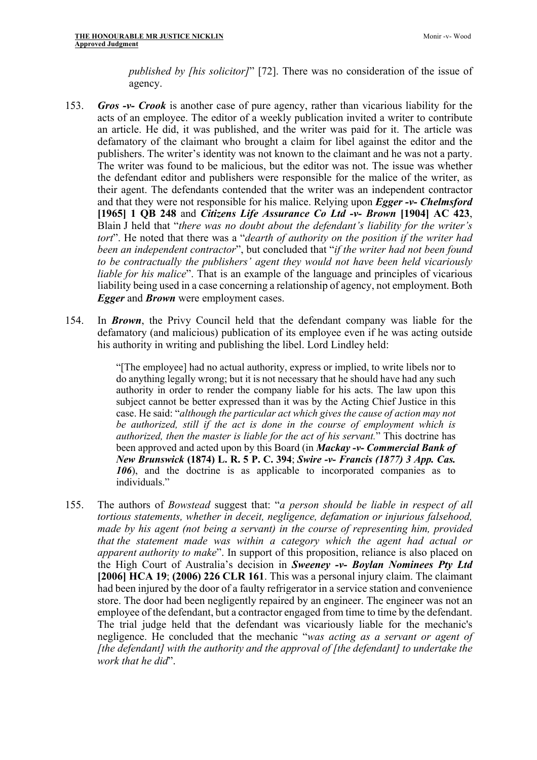*published by [his solicitor]*" [72]. There was no consideration of the issue of agency.

- 153. *Gros -v- Crook* is another case of pure agency, rather than vicarious liability for the acts of an employee. The editor of a weekly publication invited a writer to contribute an article. He did, it was published, and the writer was paid for it. The article was defamatory of the claimant who brought a claim for libel against the editor and the publishers. The writer's identity was not known to the claimant and he was not a party. The writer was found to be malicious, but the editor was not. The issue was whether the defendant editor and publishers were responsible for the malice of the writer, as their agent. The defendants contended that the writer was an independent contractor and that they were not responsible for his malice. Relying upon *Egger -v- Chelmsford*  **[1965] 1 QB 248** and *Citizens Life Assurance Co Ltd -v- Brown* **[1904] AC 423**, Blain J held that "*there was no doubt about the defendant's liability for the writer's tort*". He noted that there was a "*dearth of authority on the position if the writer had been an independent contractor*", but concluded that "*if the writer had not been found to be contractually the publishers' agent they would not have been held vicariously liable for his malice*". That is an example of the language and principles of vicarious liability being used in a case concerning a relationship of agency, not employment. Both *Egger* and *Brown* were employment cases.
- 154. In *Brown*, the Privy Council held that the defendant company was liable for the defamatory (and malicious) publication of its employee even if he was acting outside his authority in writing and publishing the libel. Lord Lindley held:

"[The employee] had no actual authority, express or implied, to write libels nor to do anything legally wrong; but it is not necessary that he should have had any such authority in order to render the company liable for his acts. The law upon this subject cannot be better expressed than it was by the Acting Chief Justice in this case. He said: "*although the particular act which gives the cause of action may not be authorized, still if the act is done in the course of employment which is authorized, then the master is liable for the act of his servant.*" This doctrine has been approved and acted upon by this Board (in *Mackay -v- Commercial Bank of New Brunswick* **(1874) L. R. 5 P. C. 394**; *Swire -v- Francis (1877) 3 App. Cas. 106*), and the doctrine is as applicable to incorporated companies as to individuals."

155. The authors of *Bowstead* suggest that: "*a person should be liable in respect of all tortious statements, whether in deceit, negligence, defamation or injurious falsehood, made by his agent (not being a servant) in the course of representing him, provided that the statement made was within a category which the agent had actual or apparent authority to make*". In support of this proposition, reliance is also placed on the High Court of Australia's decision in *Sweeney -v- Boylan Nominees Pty Ltd*  **[2006] HCA 19**; **(2006) 226 CLR 161**. This was a personal injury claim. The claimant had been injured by the door of a faulty refrigerator in a service station and convenience store. The door had been negligently repaired by an engineer. The engineer was not an employee of the defendant, but a contractor engaged from time to time by the defendant. The trial judge held that the defendant was vicariously liable for the mechanic's negligence. He concluded that the mechanic "*was acting as a servant or agent of [the defendant] with the authority and the approval of [the defendant] to undertake the work that he did*".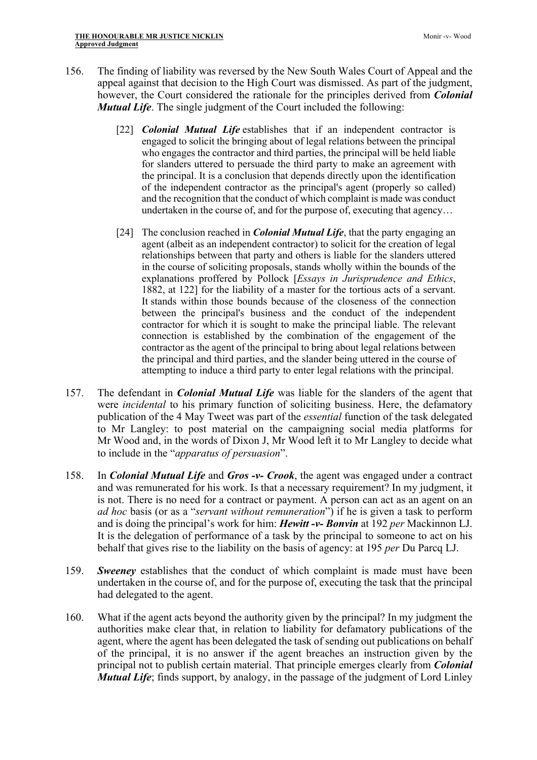- 156. The finding of liability was reversed by the New South Wales Court of Appeal and the appeal against that decision to the High Court was dismissed. As part of the judgment, however, the Court considered the rationale for the principles derived from *Colonial Mutual Life*. The single judgment of the Court included the following:
	- [22] *Colonial Mutual Life* establishes that if an independent contractor is engaged to solicit the bringing about of legal relations between the principal who engages the contractor and third parties, the principal will be held liable for slanders uttered to persuade the third party to make an agreement with the principal. It is a conclusion that depends directly upon the identification of the independent contractor as the principal's agent (properly so called) and the recognition that the conduct of which complaint is made was conduct undertaken in the course of, and for the purpose of, executing that agency…
	- [24] The conclusion reached in *Colonial Mutual Life*, that the party engaging an agent (albeit as an independent contractor) to solicit for the creation of legal relationships between that party and others is liable for the slanders uttered in the course of soliciting proposals, stands wholly within the bounds of the explanations proffered by Pollock [*Essays in Jurisprudence and Ethics*, 1882, at 122] for the liability of a master for the tortious acts of a servant. It stands within those bounds because of the closeness of the connection between the principal's business and the conduct of the independent contractor for which it is sought to make the principal liable. The relevant connection is established by the combination of the engagement of the contractor as the agent of the principal to bring about legal relations between the principal and third parties, and the slander being uttered in the course of attempting to induce a third party to enter legal relations with the principal.
- 157. The defendant in *Colonial Mutual Life* was liable for the slanders of the agent that were *incidental* to his primary function of soliciting business. Here, the defamatory publication of the 4 May Tweet was part of the *essential* function of the task delegated to Mr Langley: to post material on the campaigning social media platforms for Mr Wood and, in the words of Dixon J, Mr Wood left it to Mr Langley to decide what to include in the "*apparatus of persuasion*".
- 158. In *Colonial Mutual Life* and *Gros -v- Crook*, the agent was engaged under a contract and was remunerated for his work. Is that a necessary requirement? In my judgment, it is not. There is no need for a contract or payment. A person can act as an agent on an *ad hoc* basis (or as a "*servant without remuneration*") if he is given a task to perform and is doing the principal's work for him: *Hewitt -v- Bonvin* at 192 *per* Mackinnon LJ. It is the delegation of performance of a task by the principal to someone to act on his behalf that gives rise to the liability on the basis of agency: at 195 *per* Du Parcq LJ.
- 159. *Sweeney* establishes that the conduct of which complaint is made must have been undertaken in the course of, and for the purpose of, executing the task that the principal had delegated to the agent.
- 160. What if the agent acts beyond the authority given by the principal? In my judgment the authorities make clear that, in relation to liability for defamatory publications of the agent, where the agent has been delegated the task of sending out publications on behalf of the principal, it is no answer if the agent breaches an instruction given by the principal not to publish certain material. That principle emerges clearly from *Colonial Mutual Life*; finds support, by analogy, in the passage of the judgment of Lord Linley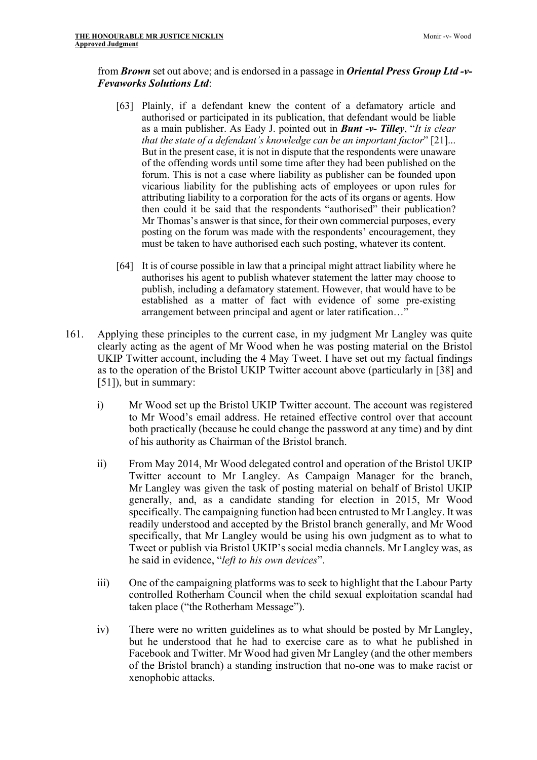# from *Brown* set out above; and is endorsed in a passage in *Oriental Press Group Ltd -v-Fevaworks Solutions Ltd*:

- [63] Plainly, if a defendant knew the content of a defamatory article and authorised or participated in its publication, that defendant would be liable as a main publisher. As Eady J. pointed out in *Bunt -v- Tilley*, "*It is clear that the state of a defendant's knowledge can be an important factor*" [21]... But in the present case, it is not in dispute that the respondents were unaware of the offending words until some time after they had been published on the forum. This is not a case where liability as publisher can be founded upon vicarious liability for the publishing acts of employees or upon rules for attributing liability to a corporation for the acts of its organs or agents. How then could it be said that the respondents "authorised" their publication? Mr Thomas's answer is that since, for their own commercial purposes, every posting on the forum was made with the respondents' encouragement, they must be taken to have authorised each such posting, whatever its content.
- [64] It is of course possible in law that a principal might attract liability where he authorises his agent to publish whatever statement the latter may choose to publish, including a defamatory statement. However, that would have to be established as a matter of fact with evidence of some pre-existing arrangement between principal and agent or later ratification…"
- 161. Applying these principles to the current case, in my judgment Mr Langley was quite clearly acting as the agent of Mr Wood when he was posting material on the Bristol UKIP Twitter account, including the 4 May Tweet. I have set out my factual findings as to the operation of the Bristol UKIP Twitter account above (particularly in [38] and [51]), but in summary:
	- i) Mr Wood set up the Bristol UKIP Twitter account. The account was registered to Mr Wood's email address. He retained effective control over that account both practically (because he could change the password at any time) and by dint of his authority as Chairman of the Bristol branch.
	- ii) From May 2014, Mr Wood delegated control and operation of the Bristol UKIP Twitter account to Mr Langley. As Campaign Manager for the branch, Mr Langley was given the task of posting material on behalf of Bristol UKIP generally, and, as a candidate standing for election in 2015, Mr Wood specifically. The campaigning function had been entrusted to Mr Langley. It was readily understood and accepted by the Bristol branch generally, and Mr Wood specifically, that Mr Langley would be using his own judgment as to what to Tweet or publish via Bristol UKIP's social media channels. Mr Langley was, as he said in evidence, "*left to his own devices*".
	- iii) One of the campaigning platforms was to seek to highlight that the Labour Party controlled Rotherham Council when the child sexual exploitation scandal had taken place ("the Rotherham Message").
	- iv) There were no written guidelines as to what should be posted by Mr Langley, but he understood that he had to exercise care as to what he published in Facebook and Twitter. Mr Wood had given Mr Langley (and the other members of the Bristol branch) a standing instruction that no-one was to make racist or xenophobic attacks.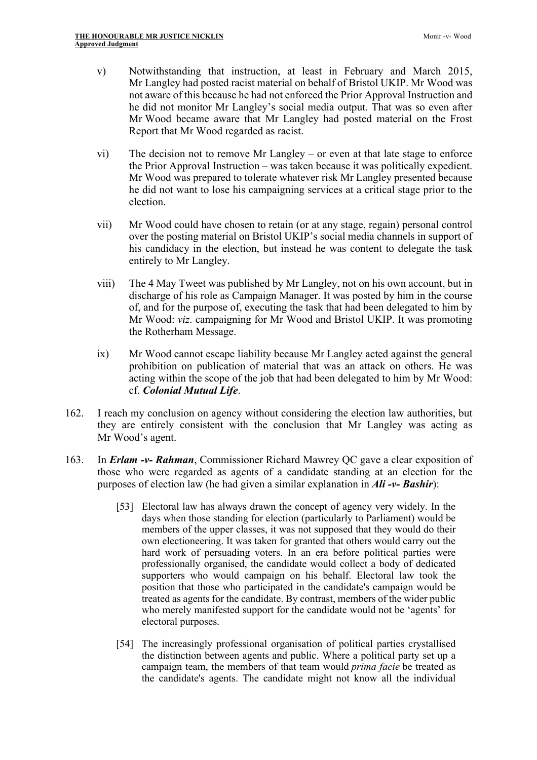- v) Notwithstanding that instruction, at least in February and March 2015, Mr Langley had posted racist material on behalf of Bristol UKIP. Mr Wood was not aware of this because he had not enforced the Prior Approval Instruction and he did not monitor Mr Langley's social media output. That was so even after Mr Wood became aware that Mr Langley had posted material on the Frost Report that Mr Wood regarded as racist.
- vi) The decision not to remove Mr Langley or even at that late stage to enforce the Prior Approval Instruction – was taken because it was politically expedient. Mr Wood was prepared to tolerate whatever risk Mr Langley presented because he did not want to lose his campaigning services at a critical stage prior to the election.
- vii) Mr Wood could have chosen to retain (or at any stage, regain) personal control over the posting material on Bristol UKIP's social media channels in support of his candidacy in the election, but instead he was content to delegate the task entirely to Mr Langley.
- viii) The 4 May Tweet was published by Mr Langley, not on his own account, but in discharge of his role as Campaign Manager. It was posted by him in the course of, and for the purpose of, executing the task that had been delegated to him by Mr Wood: *viz*. campaigning for Mr Wood and Bristol UKIP. It was promoting the Rotherham Message.
- ix) Mr Wood cannot escape liability because Mr Langley acted against the general prohibition on publication of material that was an attack on others. He was acting within the scope of the job that had been delegated to him by Mr Wood: cf. *Colonial Mutual Life*.
- 162. I reach my conclusion on agency without considering the election law authorities, but they are entirely consistent with the conclusion that Mr Langley was acting as Mr Wood's agent.
- 163. In *Erlam -v- Rahman*, Commissioner Richard Mawrey QC gave a clear exposition of those who were regarded as agents of a candidate standing at an election for the purposes of election law (he had given a similar explanation in *Ali -v- Bashir*):
	- [53] Electoral law has always drawn the concept of agency very widely. In the days when those standing for election (particularly to Parliament) would be members of the upper classes, it was not supposed that they would do their own electioneering. It was taken for granted that others would carry out the hard work of persuading voters. In an era before political parties were professionally organised, the candidate would collect a body of dedicated supporters who would campaign on his behalf. Electoral law took the position that those who participated in the candidate's campaign would be treated as agents for the candidate. By contrast, members of the wider public who merely manifested support for the candidate would not be 'agents' for electoral purposes.
	- [54] The increasingly professional organisation of political parties crystallised the distinction between agents and public. Where a political party set up a campaign team, the members of that team would *prima facie* be treated as the candidate's agents. The candidate might not know all the individual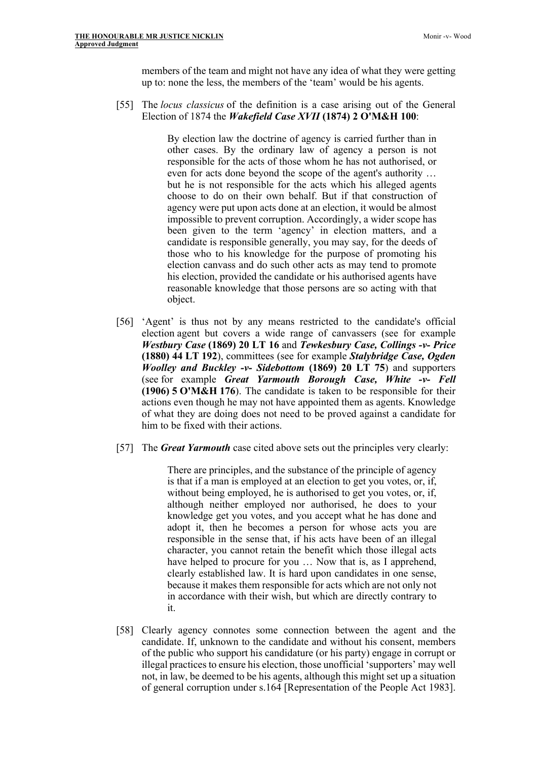members of the team and might not have any idea of what they were getting up to: none the less, the members of the 'team' would be his agents.

[55] The *locus classicus* of the definition is a case arising out of the General Election of 1874 the *Wakefield Case XVII* **(1874) 2 O'M&H 100**:

> By election law the doctrine of agency is carried further than in other cases. By the ordinary law of agency a person is not responsible for the acts of those whom he has not authorised, or even for acts done beyond the scope of the agent's authority … but he is not responsible for the acts which his alleged agents choose to do on their own behalf. But if that construction of agency were put upon acts done at an election, it would be almost impossible to prevent corruption. Accordingly, a wider scope has been given to the term 'agency' in election matters, and a candidate is responsible generally, you may say, for the deeds of those who to his knowledge for the purpose of promoting his election canvass and do such other acts as may tend to promote his election, provided the candidate or his authorised agents have reasonable knowledge that those persons are so acting with that object.

- [56] 'Agent' is thus not by any means restricted to the candidate's official election agent but covers a wide range of canvassers (see for example *Westbury Case* **(1869) 20 LT 16** and *Tewkesbury Case, Collings -v- Price* **(1880) 44 LT 192**), committees (see for example *Stalybridge Case, Ogden Woolley and Buckley -v- Sidebottom* **(1869) 20 LT 75**) and supporters (see for example *Great Yarmouth Borough Case, White -v- Fell* **(1906) 5 O'M&H 176**). The candidate is taken to be responsible for their actions even though he may not have appointed them as agents. Knowledge of what they are doing does not need to be proved against a candidate for him to be fixed with their actions.
- [57] The *Great Yarmouth* case cited above sets out the principles very clearly:

There are principles, and the substance of the principle of agency is that if a man is employed at an election to get you votes, or, if, without being employed, he is authorised to get you votes, or, if, although neither employed nor authorised, he does to your knowledge get you votes, and you accept what he has done and adopt it, then he becomes a person for whose acts you are responsible in the sense that, if his acts have been of an illegal character, you cannot retain the benefit which those illegal acts have helped to procure for you ... Now that is, as I apprehend, clearly established law. It is hard upon candidates in one sense, because it makes them responsible for acts which are not only not in accordance with their wish, but which are directly contrary to it.

[58] Clearly agency connotes some connection between the agent and the candidate. If, unknown to the candidate and without his consent, members of the public who support his candidature (or his party) engage in corrupt or illegal practices to ensure his election, those unofficial 'supporters' may well not, in law, be deemed to be his agents, although this might set up a situation of general corruption under s.164 [Representation of the People Act 1983].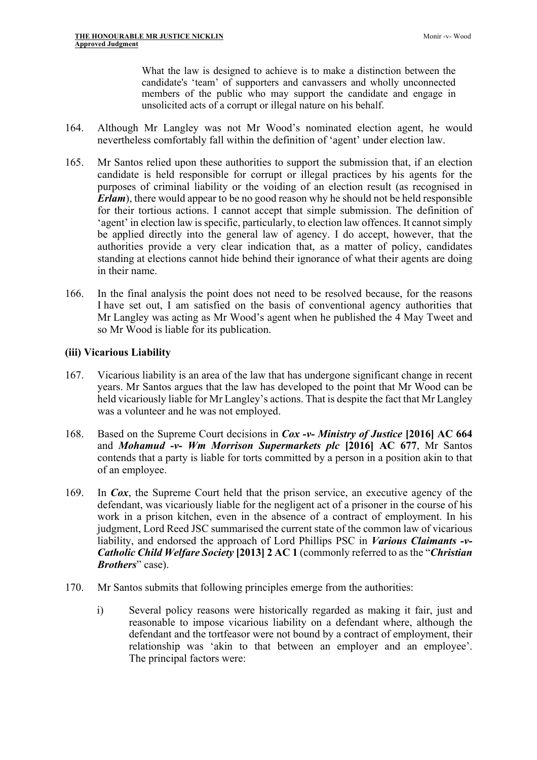What the law is designed to achieve is to make a distinction between the candidate's 'team' of supporters and canvassers and wholly unconnected members of the public who may support the candidate and engage in unsolicited acts of a corrupt or illegal nature on his behalf.

- 164. Although Mr Langley was not Mr Wood's nominated election agent, he would nevertheless comfortably fall within the definition of 'agent' under election law.
- 165. Mr Santos relied upon these authorities to support the submission that, if an election candidate is held responsible for corrupt or illegal practices by his agents for the purposes of criminal liability or the voiding of an election result (as recognised in *Erlam*), there would appear to be no good reason why he should not be held responsible for their tortious actions. I cannot accept that simple submission. The definition of 'agent' in election law is specific, particularly, to election law offences. It cannot simply be applied directly into the general law of agency. I do accept, however, that the authorities provide a very clear indication that, as a matter of policy, candidates standing at elections cannot hide behind their ignorance of what their agents are doing in their name.
- 166. In the final analysis the point does not need to be resolved because, for the reasons I have set out, I am satisfied on the basis of conventional agency authorities that Mr Langley was acting as Mr Wood's agent when he published the 4 May Tweet and so Mr Wood is liable for its publication.

# **(iii) Vicarious Liability**

- 167. Vicarious liability is an area of the law that has undergone significant change in recent years. Mr Santos argues that the law has developed to the point that Mr Wood can be held vicariously liable for Mr Langley's actions. That is despite the fact that Mr Langley was a volunteer and he was not employed.
- 168. Based on the Supreme Court decisions in *Cox -v- Ministry of Justice* **[2016] AC 664** and *Mohamud -v- Wm Morrison Supermarkets plc* **[2016] AC 677**, Mr Santos contends that a party is liable for torts committed by a person in a position akin to that of an employee.
- 169. In *Cox*, the Supreme Court held that the prison service, an executive agency of the defendant, was vicariously liable for the negligent act of a prisoner in the course of his work in a prison kitchen, even in the absence of a contract of employment. In his judgment, Lord Reed JSC summarised the current state of the common law of vicarious liability, and endorsed the approach of Lord Phillips PSC in *Various Claimants -v-Catholic Child Welfare Society* **[2013] 2 AC 1** (commonly referred to as the "*Christian Brothers*" case).
- 170. Mr Santos submits that following principles emerge from the authorities:
	- i) Several policy reasons were historically regarded as making it fair, just and reasonable to impose vicarious liability on a defendant where, although the defendant and the tortfeasor were not bound by a contract of employment, their relationship was 'akin to that between an employer and an employee'. The principal factors were: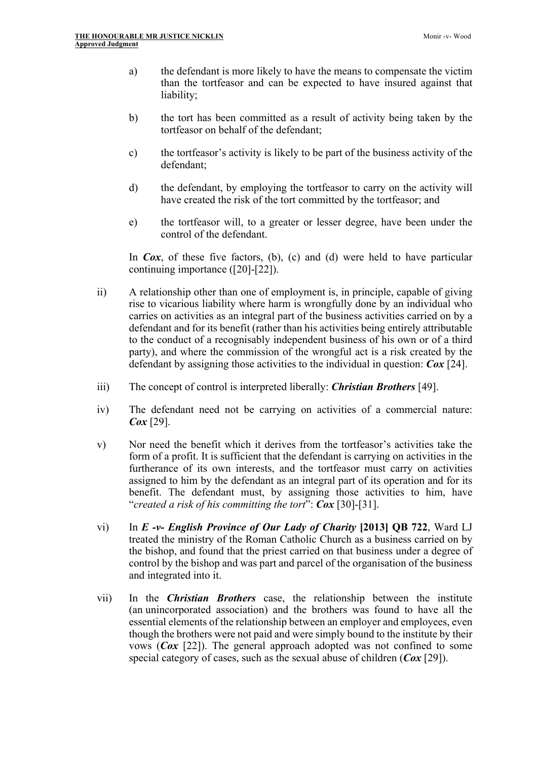- a) the defendant is more likely to have the means to compensate the victim than the tortfeasor and can be expected to have insured against that liability;
- b) the tort has been committed as a result of activity being taken by the tortfeasor on behalf of the defendant;
- c) the tortfeasor's activity is likely to be part of the business activity of the defendant;
- d) the defendant, by employing the tortfeasor to carry on the activity will have created the risk of the tort committed by the tortfeasor; and
- e) the tortfeasor will, to a greater or lesser degree, have been under the control of the defendant.

In *Cox*, of these five factors, (b), (c) and (d) were held to have particular continuing importance ([20]-[22]).

- ii) A relationship other than one of employment is, in principle, capable of giving rise to vicarious liability where harm is wrongfully done by an individual who carries on activities as an integral part of the business activities carried on by a defendant and for its benefit (rather than his activities being entirely attributable to the conduct of a recognisably independent business of his own or of a third party), and where the commission of the wrongful act is a risk created by the defendant by assigning those activities to the individual in question: *Cox* [24].
- iii) The concept of control is interpreted liberally: *Christian Brothers* [49].
- iv) The defendant need not be carrying on activities of a commercial nature: *Cox* [29].
- v) Nor need the benefit which it derives from the tortfeasor's activities take the form of a profit. It is sufficient that the defendant is carrying on activities in the furtherance of its own interests, and the tortfeasor must carry on activities assigned to him by the defendant as an integral part of its operation and for its benefit. The defendant must, by assigning those activities to him, have "*created a risk of his committing the tort*": *Cox* [30]-[31].
- vi) In *E -v- English Province of Our Lady of Charity* **[2013] QB 722**, Ward LJ treated the ministry of the Roman Catholic Church as a business carried on by the bishop, and found that the priest carried on that business under a degree of control by the bishop and was part and parcel of the organisation of the business and integrated into it.
- vii) In the *Christian Brothers* case, the relationship between the institute (an unincorporated association) and the brothers was found to have all the essential elements of the relationship between an employer and employees, even though the brothers were not paid and were simply bound to the institute by their vows (*Cox* [22]). The general approach adopted was not confined to some special category of cases, such as the sexual abuse of children (*Cox* [29]).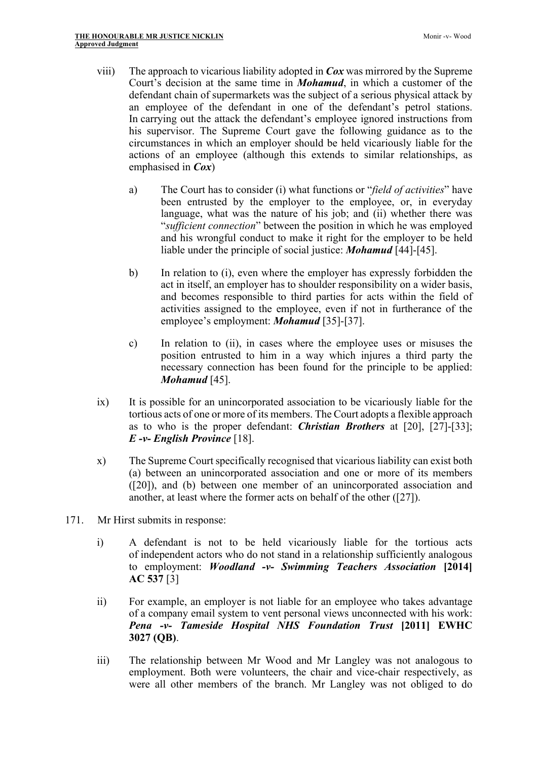- viii) The approach to vicarious liability adopted in *Cox* was mirrored by the Supreme Court's decision at the same time in *Mohamud*, in which a customer of the defendant chain of supermarkets was the subject of a serious physical attack by an employee of the defendant in one of the defendant's petrol stations. In carrying out the attack the defendant's employee ignored instructions from his supervisor. The Supreme Court gave the following guidance as to the circumstances in which an employer should be held vicariously liable for the actions of an employee (although this extends to similar relationships, as emphasised in *Cox*)
	- a) The Court has to consider (i) what functions or "*field of activities*" have been entrusted by the employer to the employee, or, in everyday language, what was the nature of his job; and (ii) whether there was "*sufficient connection*" between the position in which he was employed and his wrongful conduct to make it right for the employer to be held liable under the principle of social justice: *Mohamud* [44]-[45].
	- b) In relation to (i), even where the employer has expressly forbidden the act in itself, an employer has to shoulder responsibility on a wider basis, and becomes responsible to third parties for acts within the field of activities assigned to the employee, even if not in furtherance of the employee's employment: *Mohamud* [35]-[37].
	- c) In relation to (ii), in cases where the employee uses or misuses the position entrusted to him in a way which injures a third party the necessary connection has been found for the principle to be applied: *Mohamud* [45].
- ix) It is possible for an unincorporated association to be vicariously liable for the tortious acts of one or more of its members. The Court adopts a flexible approach as to who is the proper defendant: *Christian Brothers* at [20], [27]-[33]; *E -v- English Province* [18].
- x) The Supreme Court specifically recognised that vicarious liability can exist both (a) between an unincorporated association and one or more of its members ([20]), and (b) between one member of an unincorporated association and another, at least where the former acts on behalf of the other ([27]).
- 171. Mr Hirst submits in response:
	- i) A defendant is not to be held vicariously liable for the tortious acts of independent actors who do not stand in a relationship sufficiently analogous to employment: *Woodland -v- Swimming Teachers Association* **[2014] AC 537** [3]
	- ii) For example, an employer is not liable for an employee who takes advantage of a company email system to vent personal views unconnected with his work: *Pena -v- Tameside Hospital NHS Foundation Trust* **[2011] EWHC 3027 (QB)**.
	- iii) The relationship between Mr Wood and Mr Langley was not analogous to employment. Both were volunteers, the chair and vice-chair respectively, as were all other members of the branch. Mr Langley was not obliged to do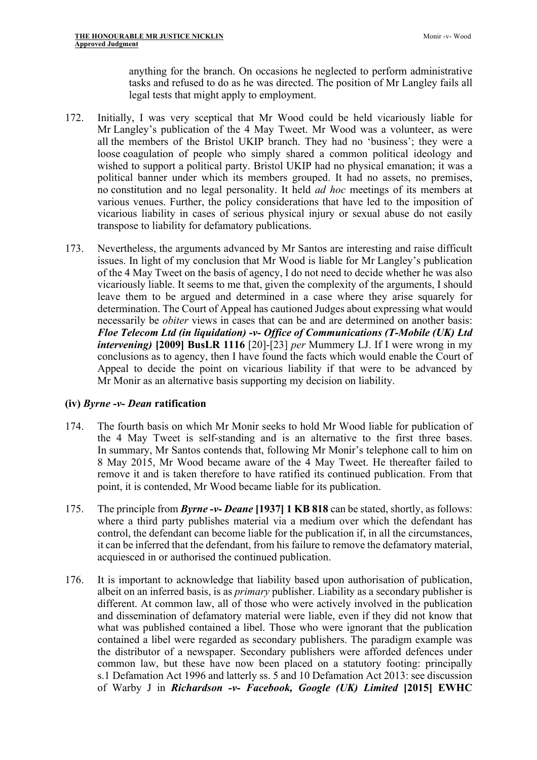anything for the branch. On occasions he neglected to perform administrative tasks and refused to do as he was directed. The position of Mr Langley fails all legal tests that might apply to employment.

- 172. Initially, I was very sceptical that Mr Wood could be held vicariously liable for Mr Langley's publication of the 4 May Tweet. Mr Wood was a volunteer, as were all the members of the Bristol UKIP branch. They had no 'business'; they were a loose coagulation of people who simply shared a common political ideology and wished to support a political party. Bristol UKIP had no physical emanation; it was a political banner under which its members grouped. It had no assets, no premises, no constitution and no legal personality. It held *ad hoc* meetings of its members at various venues. Further, the policy considerations that have led to the imposition of vicarious liability in cases of serious physical injury or sexual abuse do not easily transpose to liability for defamatory publications.
- 173. Nevertheless, the arguments advanced by Mr Santos are interesting and raise difficult issues. In light of my conclusion that Mr Wood is liable for Mr Langley's publication of the 4 May Tweet on the basis of agency, I do not need to decide whether he was also vicariously liable. It seems to me that, given the complexity of the arguments, I should leave them to be argued and determined in a case where they arise squarely for determination. The Court of Appeal has cautioned Judges about expressing what would necessarily be *obiter* views in cases that can be and are determined on another basis: *Floe Telecom Ltd (in liquidation) -v- Office of Communications (T-Mobile (UK) Ltd intervening)* **[2009] BusLR 1116** [20]-[23] *per* Mummery LJ. If I were wrong in my conclusions as to agency, then I have found the facts which would enable the Court of Appeal to decide the point on vicarious liability if that were to be advanced by Mr Monir as an alternative basis supporting my decision on liability.

### **(iv)** *Byrne -v- Dean* **ratification**

- 174. The fourth basis on which Mr Monir seeks to hold Mr Wood liable for publication of the 4 May Tweet is self-standing and is an alternative to the first three bases. In summary, Mr Santos contends that, following Mr Monir's telephone call to him on 8 May 2015, Mr Wood became aware of the 4 May Tweet. He thereafter failed to remove it and is taken therefore to have ratified its continued publication. From that point, it is contended, Mr Wood became liable for its publication.
- 175. The principle from *Byrne -v- Deane* **[1937] 1 KB 818** can be stated, shortly, as follows: where a third party publishes material via a medium over which the defendant has control, the defendant can become liable for the publication if, in all the circumstances, it can be inferred that the defendant, from his failure to remove the defamatory material, acquiesced in or authorised the continued publication.
- 176. It is important to acknowledge that liability based upon authorisation of publication, albeit on an inferred basis, is as *primary* publisher. Liability as a secondary publisher is different. At common law, all of those who were actively involved in the publication and dissemination of defamatory material were liable, even if they did not know that what was published contained a libel. Those who were ignorant that the publication contained a libel were regarded as secondary publishers. The paradigm example was the distributor of a newspaper. Secondary publishers were afforded defences under common law, but these have now been placed on a statutory footing: principally s.1 Defamation Act 1996 and latterly ss. 5 and 10 Defamation Act 2013: see discussion of Warby J in *Richardson -v- Facebook, Google (UK) Limited* **[2015] EWHC**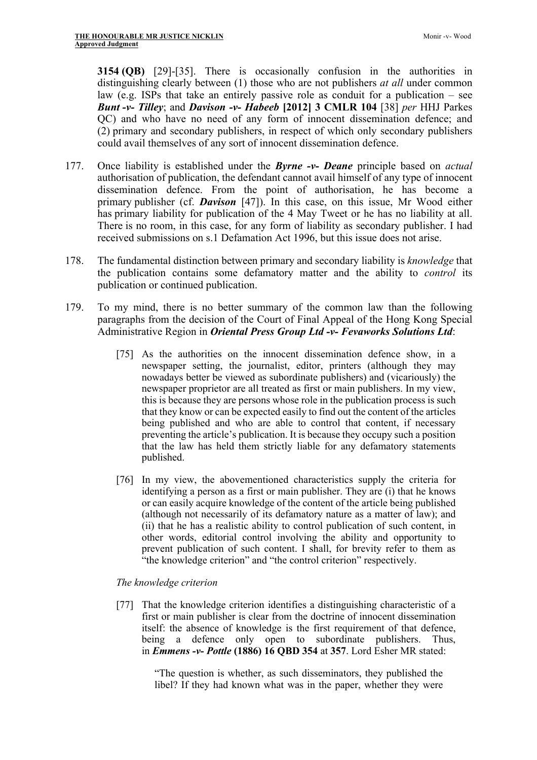**3154 (QB)** [29]-[35]. There is occasionally confusion in the authorities in distinguishing clearly between (1) those who are not publishers *at all* under common law (e.g. ISPs that take an entirely passive role as conduit for a publication – see *Bunt -v- Tilley*; and *Davison -v- Habeeb* **[2012] 3 CMLR 104** [38] *per* HHJ Parkes QC) and who have no need of any form of innocent dissemination defence; and (2) primary and secondary publishers, in respect of which only secondary publishers could avail themselves of any sort of innocent dissemination defence.

- 177. Once liability is established under the *Byrne -v- Deane* principle based on *actual* authorisation of publication, the defendant cannot avail himself of any type of innocent dissemination defence. From the point of authorisation, he has become a primary publisher (cf. *Davison* [47]). In this case, on this issue, Mr Wood either has primary liability for publication of the 4 May Tweet or he has no liability at all. There is no room, in this case, for any form of liability as secondary publisher. I had received submissions on s.1 Defamation Act 1996, but this issue does not arise.
- 178. The fundamental distinction between primary and secondary liability is *knowledge* that the publication contains some defamatory matter and the ability to *control* its publication or continued publication.
- 179. To my mind, there is no better summary of the common law than the following paragraphs from the decision of the Court of Final Appeal of the Hong Kong Special Administrative Region in *Oriental Press Group Ltd -v- Fevaworks Solutions Ltd*:
	- [75] As the authorities on the innocent dissemination defence show, in a newspaper setting, the journalist, editor, printers (although they may nowadays better be viewed as subordinate publishers) and (vicariously) the newspaper proprietor are all treated as first or main publishers. In my view, this is because they are persons whose role in the publication process is such that they know or can be expected easily to find out the content of the articles being published and who are able to control that content, if necessary preventing the article's publication. It is because they occupy such a position that the law has held them strictly liable for any defamatory statements published.
	- [76] In my view, the abovementioned characteristics supply the criteria for identifying a person as a first or main publisher. They are (i) that he knows or can easily acquire knowledge of the content of the article being published (although not necessarily of its defamatory nature as a matter of law); and (ii) that he has a realistic ability to control publication of such content, in other words, editorial control involving the ability and opportunity to prevent publication of such content. I shall, for brevity refer to them as "the knowledge criterion" and "the control criterion" respectively.

### *The knowledge criterion*

[77] That the knowledge criterion identifies a distinguishing characteristic of a first or main publisher is clear from the doctrine of innocent dissemination itself: the absence of knowledge is the first requirement of that defence, being a defence only open to subordinate publishers. Thus, in *Emmens -v- Pottle* **(1886) 16 QBD 354** at **357**. Lord Esher MR stated:

> "The question is whether, as such disseminators, they published the libel? If they had known what was in the paper, whether they were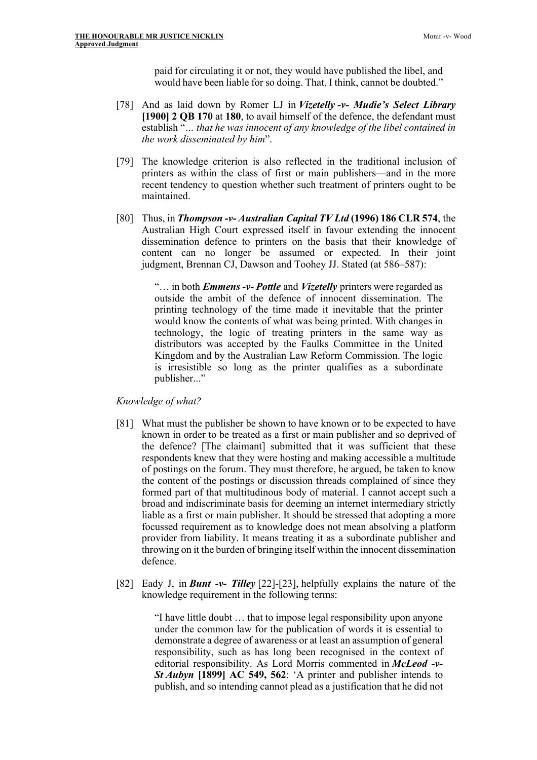paid for circulating it or not, they would have published the libel, and would have been liable for so doing. That, I think, cannot be doubted."

- [78] And as laid down by Romer LJ in *Vizetelly -v- Mudie's Select Library*  **[1900] 2 QB 170** at **180**, to avail himself of the defence, the defendant must establish "*… that he was innocent of any knowledge of the libel contained in the work disseminated by him*".
- [79] The knowledge criterion is also reflected in the traditional inclusion of printers as within the class of first or main publishers—and in the more recent tendency to question whether such treatment of printers ought to be maintained.
- [80] Thus, in *Thompson -v- Australian Capital TV Ltd* **(1996) 186 CLR 574**, the Australian High Court expressed itself in favour extending the innocent dissemination defence to printers on the basis that their knowledge of content can no longer be assumed or expected. In their joint judgment, Brennan CJ, Dawson and Toohey JJ. Stated (at 586–587):

"… in both *Emmens -v- Pottle* and *Vizetelly* printers were regarded as outside the ambit of the defence of innocent dissemination. The printing technology of the time made it inevitable that the printer would know the contents of what was being printed. With changes in technology, the logic of treating printers in the same way as distributors was accepted by the Faulks Committee in the United Kingdom and by the Australian Law Reform Commission. The logic is irresistible so long as the printer qualifies as a subordinate publisher..."

*Knowledge of what?*

- [81] What must the publisher be shown to have known or to be expected to have known in order to be treated as a first or main publisher and so deprived of the defence? [The claimant] submitted that it was sufficient that these respondents knew that they were hosting and making accessible a multitude of postings on the forum. They must therefore, he argued, be taken to know the content of the postings or discussion threads complained of since they formed part of that multitudinous body of material. I cannot accept such a broad and indiscriminate basis for deeming an internet intermediary strictly liable as a first or main publisher. It should be stressed that adopting a more focussed requirement as to knowledge does not mean absolving a platform provider from liability. It means treating it as a subordinate publisher and throwing on it the burden of bringing itself within the innocent dissemination defence.
- [82] Eady J, in *Bunt -v- Tilley* [22]-[23], helpfully explains the nature of the knowledge requirement in the following terms:

"I have little doubt … that to impose legal responsibility upon anyone under the common law for the publication of words it is essential to demonstrate a degree of awareness or at least an assumption of general responsibility, such as has long been recognised in the context of editorial responsibility. As Lord Morris commented in *McLeod -v-St Aubyn* **[1899] AC 549, 562**: 'A printer and publisher intends to publish, and so intending cannot plead as a justification that he did not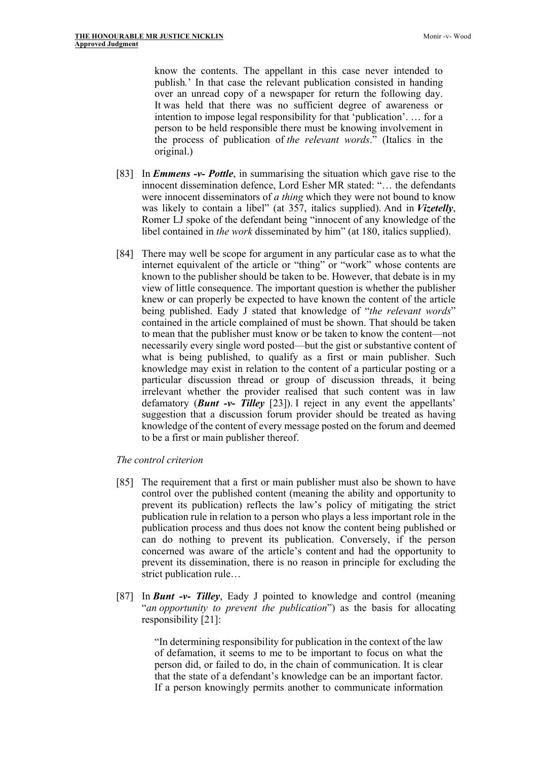know the contents. The appellant in this case never intended to publish*.*' In that case the relevant publication consisted in handing over an unread copy of a newspaper for return the following day. It was held that there was no sufficient degree of awareness or intention to impose legal responsibility for that 'publication'. … for a person to be held responsible there must be knowing involvement in the process of publication of *the relevant words*." (Italics in the original.)

- [83] In *Emmens -v- Pottle*, in summarising the situation which gave rise to the innocent dissemination defence, Lord Esher MR stated: "… the defendants were innocent disseminators of *a thing* which they were not bound to know was likely to contain a libel" (at 357, italics supplied). And in *Vizetelly*, Romer LJ spoke of the defendant being "innocent of any knowledge of the libel contained in *the work* disseminated by him" (at 180, italics supplied).
- [84] There may well be scope for argument in any particular case as to what the internet equivalent of the article or "thing" or "work" whose contents are known to the publisher should be taken to be. However, that debate is in my view of little consequence. The important question is whether the publisher knew or can properly be expected to have known the content of the article being published. Eady J stated that knowledge of "*the relevant words*" contained in the article complained of must be shown. That should be taken to mean that the publisher must know or be taken to know the content—not necessarily every single word posted—but the gist or substantive content of what is being published, to qualify as a first or main publisher. Such knowledge may exist in relation to the content of a particular posting or a particular discussion thread or group of discussion threads, it being irrelevant whether the provider realised that such content was in law defamatory (*Bunt -v- Tilley* [23]). I reject in any event the appellants' suggestion that a discussion forum provider should be treated as having knowledge of the content of every message posted on the forum and deemed to be a first or main publisher thereof.

#### *The control criterion*

- [85] The requirement that a first or main publisher must also be shown to have control over the published content (meaning the ability and opportunity to prevent its publication) reflects the law's policy of mitigating the strict publication rule in relation to a person who plays a less important role in the publication process and thus does not know the content being published or can do nothing to prevent its publication. Conversely, if the person concerned was aware of the article's content and had the opportunity to prevent its dissemination, there is no reason in principle for excluding the strict publication rule…
- [87] In *Bunt -v- Tilley*, Eady J pointed to knowledge and control (meaning "*an opportunity to prevent the publication*") as the basis for allocating responsibility [21]:

"In determining responsibility for publication in the context of the law of defamation, it seems to me to be important to focus on what the person did, or failed to do, in the chain of communication. It is clear that the state of a defendant's knowledge can be an important factor. If a person knowingly permits another to communicate information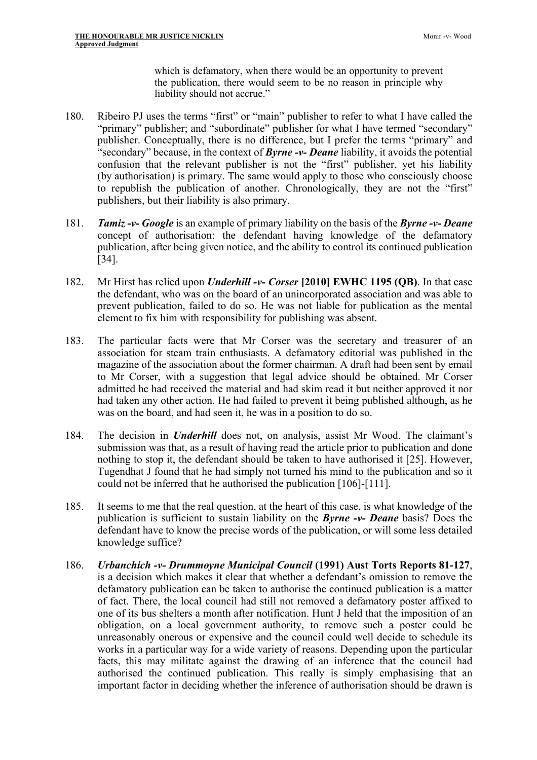which is defamatory, when there would be an opportunity to prevent the publication, there would seem to be no reason in principle why liability should not accrue."

- 180. Ribeiro PJ uses the terms "first" or "main" publisher to refer to what I have called the "primary" publisher; and "subordinate" publisher for what I have termed "secondary" publisher. Conceptually, there is no difference, but I prefer the terms "primary" and "secondary" because, in the context of *Byrne -v- Deane* liability, it avoids the potential confusion that the relevant publisher is not the "first" publisher, yet his liability (by authorisation) is primary. The same would apply to those who consciously choose to republish the publication of another. Chronologically, they are not the "first" publishers, but their liability is also primary.
- 181. *Tamiz -v- Google* is an example of primary liability on the basis of the *Byrne -v- Deane*  concept of authorisation: the defendant having knowledge of the defamatory publication, after being given notice, and the ability to control its continued publication [34].
- 182. Mr Hirst has relied upon *Underhill -v- Corser* **[2010] EWHC 1195 (QB)**. In that case the defendant, who was on the board of an unincorporated association and was able to prevent publication, failed to do so. He was not liable for publication as the mental element to fix him with responsibility for publishing was absent.
- 183. The particular facts were that Mr Corser was the secretary and treasurer of an association for steam train enthusiasts. A defamatory editorial was published in the magazine of the association about the former chairman. A draft had been sent by email to Mr Corser, with a suggestion that legal advice should be obtained. Mr Corser admitted he had received the material and had skim read it but neither approved it nor had taken any other action. He had failed to prevent it being published although, as he was on the board, and had seen it, he was in a position to do so.
- 184. The decision in *Underhill* does not, on analysis, assist Mr Wood. The claimant's submission was that, as a result of having read the article prior to publication and done nothing to stop it, the defendant should be taken to have authorised it [25]. However, Tugendhat J found that he had simply not turned his mind to the publication and so it could not be inferred that he authorised the publication [106]-[111].
- 185. It seems to me that the real question, at the heart of this case, is what knowledge of the publication is sufficient to sustain liability on the *Byrne -v- Deane* basis? Does the defendant have to know the precise words of the publication, or will some less detailed knowledge suffice?
- 186. *Urbanchich -v- Drummoyne Municipal Council* **(1991) Aust Torts Reports 81-127**, is a decision which makes it clear that whether a defendant's omission to remove the defamatory publication can be taken to authorise the continued publication is a matter of fact. There, the local council had still not removed a defamatory poster affixed to one of its bus shelters a month after notification. Hunt J held that the imposition of an obligation, on a local government authority, to remove such a poster could be unreasonably onerous or expensive and the council could well decide to schedule its works in a particular way for a wide variety of reasons. Depending upon the particular facts, this may militate against the drawing of an inference that the council had authorised the continued publication. This really is simply emphasising that an important factor in deciding whether the inference of authorisation should be drawn is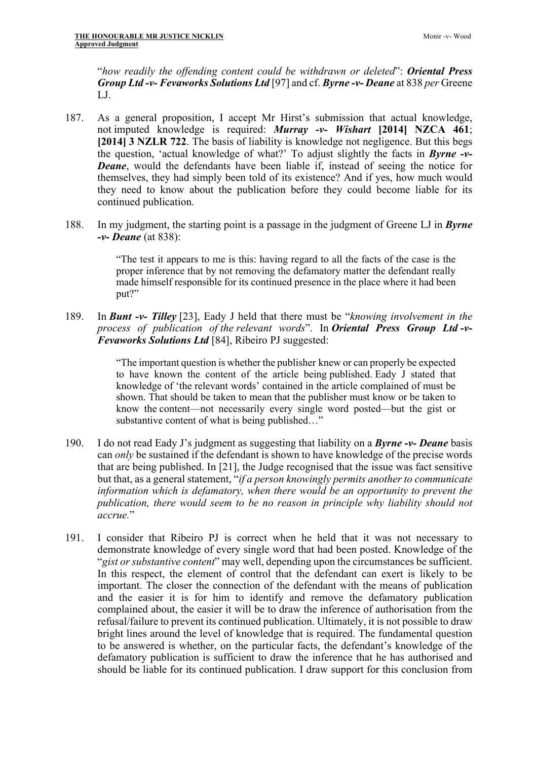"*how readily the offending content could be withdrawn or deleted*": *Oriental Press Group Ltd -v- Fevaworks Solutions Ltd* [97] and cf. *Byrne -v- Deane* at 838 *per* Greene LJ.

- 187. As a general proposition, I accept Mr Hirst's submission that actual knowledge, not imputed knowledge is required: *Murray -v- Wishart* **[2014] NZCA 461**; **[2014] 3 NZLR 722**. The basis of liability is knowledge not negligence. But this begs the question, 'actual knowledge of what?' To adjust slightly the facts in *Byrne -v-Deane*, would the defendants have been liable if, instead of seeing the notice for themselves, they had simply been told of its existence? And if yes, how much would they need to know about the publication before they could become liable for its continued publication.
- 188. In my judgment, the starting point is a passage in the judgment of Greene LJ in *Byrne -v- Deane* (at 838):

"The test it appears to me is this: having regard to all the facts of the case is the proper inference that by not removing the defamatory matter the defendant really made himself responsible for its continued presence in the place where it had been put?"

189. In *Bunt -v- Tilley* [23], Eady J held that there must be "*knowing involvement in the process of publication of the relevant words*". In *Oriental Press Group Ltd -v-Fevaworks Solutions Ltd* [84], Ribeiro PJ suggested:

> "The important question is whether the publisher knew or can properly be expected to have known the content of the article being published. Eady J stated that knowledge of 'the relevant words' contained in the article complained of must be shown. That should be taken to mean that the publisher must know or be taken to know the content—not necessarily every single word posted—but the gist or substantive content of what is being published…"

- 190. I do not read Eady J's judgment as suggesting that liability on a *Byrne -v- Deane* basis can *only* be sustained if the defendant is shown to have knowledge of the precise words that are being published. In [21], the Judge recognised that the issue was fact sensitive but that, as a general statement, "*if a person knowingly permits another to communicate information which is defamatory, when there would be an opportunity to prevent the publication, there would seem to be no reason in principle why liability should not accrue.*"
- 191. I consider that Ribeiro PJ is correct when he held that it was not necessary to demonstrate knowledge of every single word that had been posted. Knowledge of the "*gist or substantive content*" may well, depending upon the circumstances be sufficient. In this respect, the element of control that the defendant can exert is likely to be important. The closer the connection of the defendant with the means of publication and the easier it is for him to identify and remove the defamatory publication complained about, the easier it will be to draw the inference of authorisation from the refusal/failure to prevent its continued publication. Ultimately, it is not possible to draw bright lines around the level of knowledge that is required. The fundamental question to be answered is whether, on the particular facts, the defendant's knowledge of the defamatory publication is sufficient to draw the inference that he has authorised and should be liable for its continued publication. I draw support for this conclusion from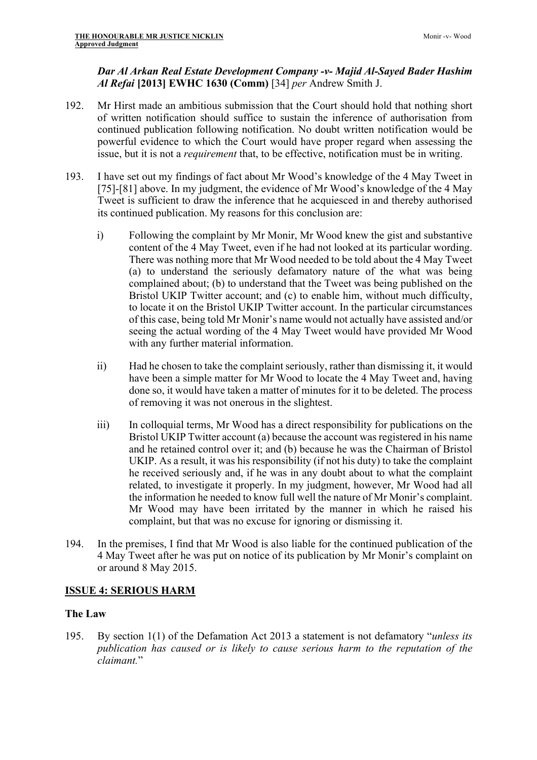# *Dar Al Arkan Real Estate Development Company -v- Majid Al-Sayed Bader Hashim Al Refai* **[2013] EWHC 1630 (Comm)** [34] *per* Andrew Smith J.

- 192. Mr Hirst made an ambitious submission that the Court should hold that nothing short of written notification should suffice to sustain the inference of authorisation from continued publication following notification. No doubt written notification would be powerful evidence to which the Court would have proper regard when assessing the issue, but it is not a *requirement* that, to be effective, notification must be in writing.
- 193. I have set out my findings of fact about Mr Wood's knowledge of the 4 May Tweet in [75]-[81] above. In my judgment, the evidence of Mr Wood's knowledge of the 4 May Tweet is sufficient to draw the inference that he acquiesced in and thereby authorised its continued publication. My reasons for this conclusion are:
	- i) Following the complaint by Mr Monir, Mr Wood knew the gist and substantive content of the 4 May Tweet, even if he had not looked at its particular wording. There was nothing more that Mr Wood needed to be told about the 4 May Tweet (a) to understand the seriously defamatory nature of the what was being complained about; (b) to understand that the Tweet was being published on the Bristol UKIP Twitter account; and (c) to enable him, without much difficulty, to locate it on the Bristol UKIP Twitter account. In the particular circumstances of this case, being told Mr Monir's name would not actually have assisted and/or seeing the actual wording of the 4 May Tweet would have provided Mr Wood with any further material information.
	- ii) Had he chosen to take the complaint seriously, rather than dismissing it, it would have been a simple matter for Mr Wood to locate the 4 May Tweet and, having done so, it would have taken a matter of minutes for it to be deleted. The process of removing it was not onerous in the slightest.
	- iii) In colloquial terms, Mr Wood has a direct responsibility for publications on the Bristol UKIP Twitter account (a) because the account was registered in his name and he retained control over it; and (b) because he was the Chairman of Bristol UKIP. As a result, it was his responsibility (if not his duty) to take the complaint he received seriously and, if he was in any doubt about to what the complaint related, to investigate it properly. In my judgment, however, Mr Wood had all the information he needed to know full well the nature of Mr Monir's complaint. Mr Wood may have been irritated by the manner in which he raised his complaint, but that was no excuse for ignoring or dismissing it.
- 194. In the premises, I find that Mr Wood is also liable for the continued publication of the 4 May Tweet after he was put on notice of its publication by Mr Monir's complaint on or around 8 May 2015.

# **ISSUE 4: SERIOUS HARM**

# **The Law**

195. By section 1(1) of the Defamation Act 2013 a statement is not defamatory "*unless its publication has caused or is likely to cause serious harm to the reputation of the claimant.*"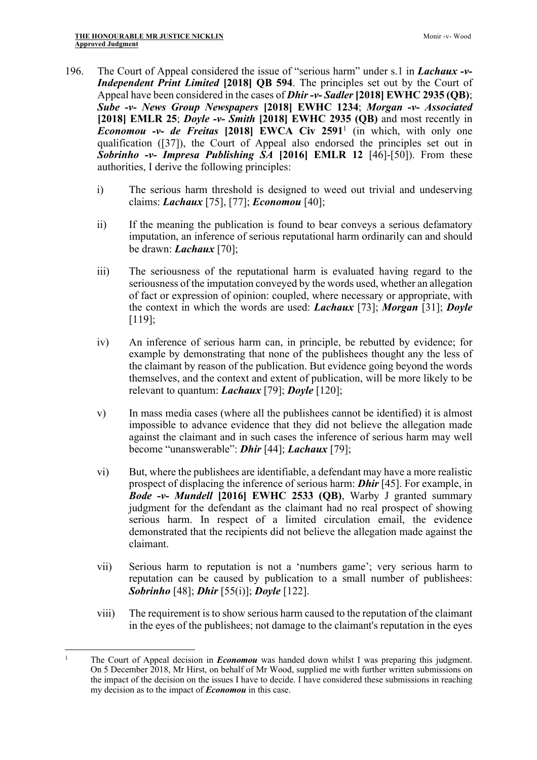- 196. The Court of Appeal considered the issue of "serious harm" under s.1 in *Lachaux -v-Independent Print Limited* **[2018] QB 594**. The principles set out by the Court of Appeal have been considered in the cases of *Dhir -v- Sadler* **[2018] EWHC 2935 (QB)**; *Sube -v- News Group Newspapers* **[2018] EWHC 1234**; *Morgan -v- Associated*  **[2018] EMLR 25**; *Doyle -v- Smith* **[2018] EWHC 2935 (QB)** and most recently in *Economou -v- de Freitas* **[2018] EWCA Civ 2591**<sup>1</sup> (in which, with only one qualification ([37]), the Court of Appeal also endorsed the principles set out in *Sobrinho -v- Impresa Publishing SA* **[2016] EMLR 12** [46]-[50]). From these authorities, I derive the following principles:
	- i) The serious harm threshold is designed to weed out trivial and undeserving claims: *Lachaux* [75], [77]; *Economou* [40];
	- ii) If the meaning the publication is found to bear conveys a serious defamatory imputation, an inference of serious reputational harm ordinarily can and should be drawn: *Lachaux* [70];
	- iii) The seriousness of the reputational harm is evaluated having regard to the seriousness of the imputation conveyed by the words used, whether an allegation of fact or expression of opinion: coupled, where necessary or appropriate, with the context in which the words are used: *Lachaux* [73]; *Morgan* [31]; *Doyle*  [119];
	- iv) An inference of serious harm can, in principle, be rebutted by evidence; for example by demonstrating that none of the publishees thought any the less of the claimant by reason of the publication. But evidence going beyond the words themselves, and the context and extent of publication, will be more likely to be relevant to quantum: *Lachaux* [79]; *Doyle* [120];
	- v) In mass media cases (where all the publishees cannot be identified) it is almost impossible to advance evidence that they did not believe the allegation made against the claimant and in such cases the inference of serious harm may well become "unanswerable": *Dhir* [44]; *Lachaux* [79];
	- vi) But, where the publishees are identifiable, a defendant may have a more realistic prospect of displacing the inference of serious harm: *Dhir* [45]. For example, in *Bode -v- Mundell* **[2016] EWHC 2533 (QB)**, Warby J granted summary judgment for the defendant as the claimant had no real prospect of showing serious harm. In respect of a limited circulation email, the evidence demonstrated that the recipients did not believe the allegation made against the claimant.
	- vii) Serious harm to reputation is not a 'numbers game'; very serious harm to reputation can be caused by publication to a small number of publishees: *Sobrinho* [48]; *Dhir* [55(i)]; *Doyle* [122].
	- viii) The requirement is to show serious harm caused to the reputation of the claimant in the eyes of the publishees; not damage to the claimant's reputation in the eyes

<sup>&</sup>lt;sup>1</sup> The Court of Appeal decision in *Economou* was handed down whilst I was preparing this judgment. On 5 December 2018, Mr Hirst, on behalf of Mr Wood, supplied me with further written submissions on the impact of the decision on the issues I have to decide. I have considered these submissions in reaching my decision as to the impact of *Economou* in this case.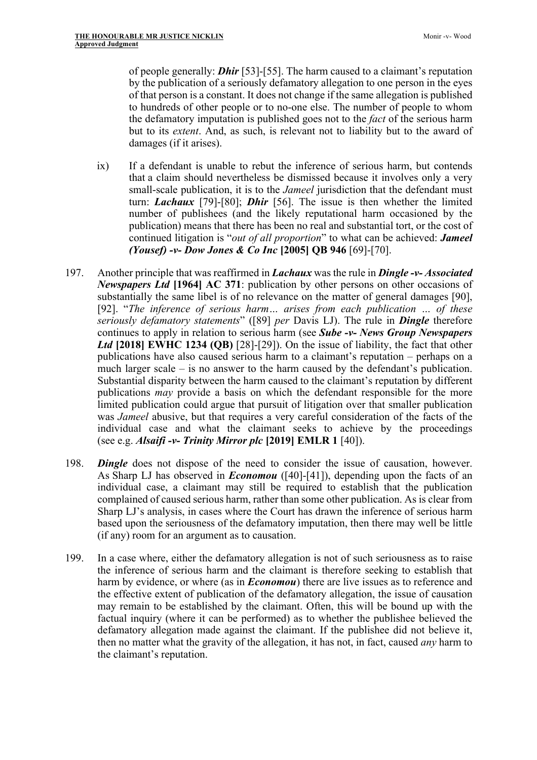of people generally: *Dhir* [53]-[55]. The harm caused to a claimant's reputation by the publication of a seriously defamatory allegation to one person in the eyes of that person is a constant. It does not change if the same allegation is published to hundreds of other people or to no-one else. The number of people to whom the defamatory imputation is published goes not to the *fact* of the serious harm but to its *extent*. And, as such, is relevant not to liability but to the award of damages (if it arises).

- ix) If a defendant is unable to rebut the inference of serious harm, but contends that a claim should nevertheless be dismissed because it involves only a very small-scale publication, it is to the *Jameel* jurisdiction that the defendant must turn: *Lachaux* [79]-[80]; *Dhir* [56]. The issue is then whether the limited number of publishees (and the likely reputational harm occasioned by the publication) means that there has been no real and substantial tort, or the cost of continued litigation is "*out of all proportion*" to what can be achieved: *Jameel (Yousef) -v- Dow Jones & Co Inc* **[2005] QB 946** [69]-[70].
- 197. Another principle that was reaffirmed in *Lachaux* was the rule in *Dingle -v- Associated Newspapers Ltd* **[1964] AC 371**: publication by other persons on other occasions of substantially the same libel is of no relevance on the matter of general damages [90], [92]. "*The inference of serious harm… arises from each publication … of these seriously defamatory statements*" ([89] *per* Davis LJ). The rule in *Dingle* therefore continues to apply in relation to serious harm (see *Sube -v- News Group Newspapers Ltd* **[2018] EWHC 1234 (QB)** [28]-[29]). On the issue of liability, the fact that other publications have also caused serious harm to a claimant's reputation – perhaps on a much larger scale – is no answer to the harm caused by the defendant's publication. Substantial disparity between the harm caused to the claimant's reputation by different publications *may* provide a basis on which the defendant responsible for the more limited publication could argue that pursuit of litigation over that smaller publication was *Jameel* abusive, but that requires a very careful consideration of the facts of the individual case and what the claimant seeks to achieve by the proceedings (see e.g. *Alsaifi -v- Trinity Mirror plc* **[2019] EMLR 1** [40]).
- 198. *Dingle* does not dispose of the need to consider the issue of causation, however. As Sharp LJ has observed in *Economou* ([40]-[41]), depending upon the facts of an individual case, a claimant may still be required to establish that the publication complained of caused serious harm, rather than some other publication. As is clear from Sharp LJ's analysis, in cases where the Court has drawn the inference of serious harm based upon the seriousness of the defamatory imputation, then there may well be little (if any) room for an argument as to causation.
- 199. In a case where, either the defamatory allegation is not of such seriousness as to raise the inference of serious harm and the claimant is therefore seeking to establish that harm by evidence, or where (as in *Economou*) there are live issues as to reference and the effective extent of publication of the defamatory allegation, the issue of causation may remain to be established by the claimant. Often, this will be bound up with the factual inquiry (where it can be performed) as to whether the publishee believed the defamatory allegation made against the claimant. If the publishee did not believe it, then no matter what the gravity of the allegation, it has not, in fact, caused *any* harm to the claimant's reputation.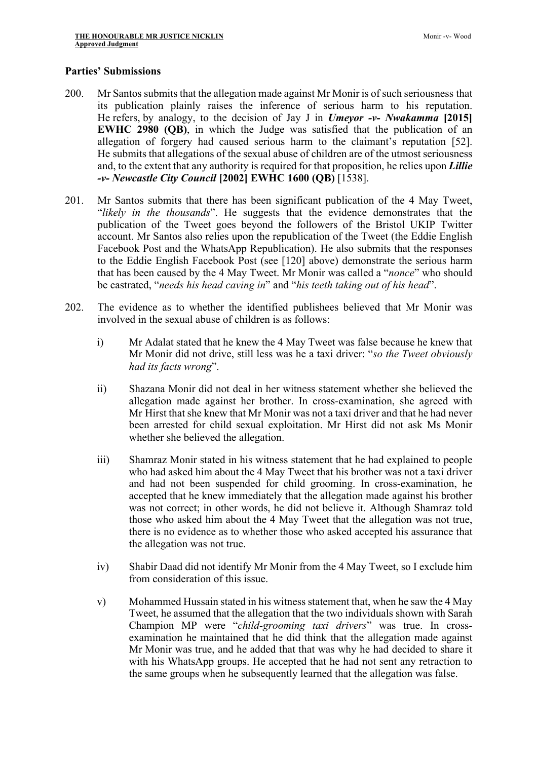### **Parties' Submissions**

- 200. Mr Santos submits that the allegation made against Mr Monir is of such seriousness that its publication plainly raises the inference of serious harm to his reputation. He refers, by analogy, to the decision of Jay J in *Umeyor -v- Nwakamma* **[2015] EWHC 2980 (QB)**, in which the Judge was satisfied that the publication of an allegation of forgery had caused serious harm to the claimant's reputation [52]. He submits that allegations of the sexual abuse of children are of the utmost seriousness and, to the extent that any authority is required for that proposition, he relies upon *Lillie -v- Newcastle City Council* **[2002] EWHC 1600 (QB)** [1538].
- 201. Mr Santos submits that there has been significant publication of the 4 May Tweet, "*likely in the thousands*". He suggests that the evidence demonstrates that the publication of the Tweet goes beyond the followers of the Bristol UKIP Twitter account. Mr Santos also relies upon the republication of the Tweet (the Eddie English Facebook Post and the WhatsApp Republication). He also submits that the responses to the Eddie English Facebook Post (see [120] above) demonstrate the serious harm that has been caused by the 4 May Tweet. Mr Monir was called a "*nonce*" who should be castrated, "*needs his head caving in*" and "*his teeth taking out of his head*".
- 202. The evidence as to whether the identified publishees believed that Mr Monir was involved in the sexual abuse of children is as follows:
	- i) Mr Adalat stated that he knew the 4 May Tweet was false because he knew that Mr Monir did not drive, still less was he a taxi driver: "*so the Tweet obviously had its facts wrong*".
	- ii) Shazana Monir did not deal in her witness statement whether she believed the allegation made against her brother. In cross-examination, she agreed with Mr Hirst that she knew that Mr Monir was not a taxi driver and that he had never been arrested for child sexual exploitation. Mr Hirst did not ask Ms Monir whether she believed the allegation.
	- iii) Shamraz Monir stated in his witness statement that he had explained to people who had asked him about the 4 May Tweet that his brother was not a taxi driver and had not been suspended for child grooming. In cross-examination, he accepted that he knew immediately that the allegation made against his brother was not correct; in other words, he did not believe it. Although Shamraz told those who asked him about the 4 May Tweet that the allegation was not true, there is no evidence as to whether those who asked accepted his assurance that the allegation was not true.
	- iv) Shabir Daad did not identify Mr Monir from the 4 May Tweet, so I exclude him from consideration of this issue.
	- v) Mohammed Hussain stated in his witness statement that, when he saw the 4 May Tweet, he assumed that the allegation that the two individuals shown with Sarah Champion MP were "*child-grooming taxi drivers*" was true. In crossexamination he maintained that he did think that the allegation made against Mr Monir was true, and he added that that was why he had decided to share it with his WhatsApp groups. He accepted that he had not sent any retraction to the same groups when he subsequently learned that the allegation was false.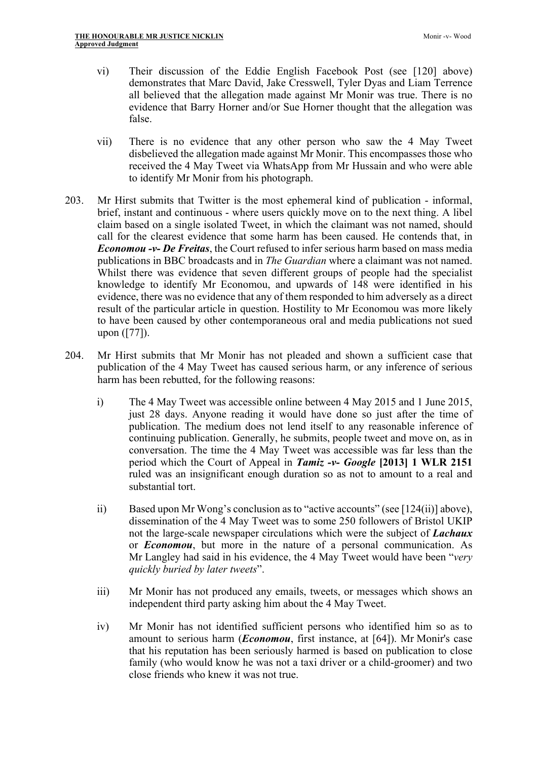- vi) Their discussion of the Eddie English Facebook Post (see [120] above) demonstrates that Marc David, Jake Cresswell, Tyler Dyas and Liam Terrence all believed that the allegation made against Mr Monir was true. There is no evidence that Barry Horner and/or Sue Horner thought that the allegation was false.
- vii) There is no evidence that any other person who saw the 4 May Tweet disbelieved the allegation made against Mr Monir. This encompasses those who received the 4 May Tweet via WhatsApp from Mr Hussain and who were able to identify Mr Monir from his photograph.
- 203. Mr Hirst submits that Twitter is the most ephemeral kind of publication informal, brief, instant and continuous - where users quickly move on to the next thing. A libel claim based on a single isolated Tweet, in which the claimant was not named, should call for the clearest evidence that some harm has been caused. He contends that, in *Economou -v- De Freitas*, the Court refused to infer serious harm based on mass media publications in BBC broadcasts and in *The Guardian* where a claimant was not named. Whilst there was evidence that seven different groups of people had the specialist knowledge to identify Mr Economou, and upwards of 148 were identified in his evidence, there was no evidence that any of them responded to him adversely as a direct result of the particular article in question. Hostility to Mr Economou was more likely to have been caused by other contemporaneous oral and media publications not sued upon ([77]).
- 204. Mr Hirst submits that Mr Monir has not pleaded and shown a sufficient case that publication of the 4 May Tweet has caused serious harm, or any inference of serious harm has been rebutted, for the following reasons:
	- i) The 4 May Tweet was accessible online between 4 May 2015 and 1 June 2015, just 28 days. Anyone reading it would have done so just after the time of publication. The medium does not lend itself to any reasonable inference of continuing publication. Generally, he submits, people tweet and move on, as in conversation. The time the 4 May Tweet was accessible was far less than the period which the Court of Appeal in *Tamiz -v- Google* **[2013] 1 WLR 2151** ruled was an insignificant enough duration so as not to amount to a real and substantial tort.
	- ii) Based upon Mr Wong's conclusion as to "active accounts" (see [124(ii)] above), dissemination of the 4 May Tweet was to some 250 followers of Bristol UKIP not the large-scale newspaper circulations which were the subject of *Lachaux*  or *Economou*, but more in the nature of a personal communication. As Mr Langley had said in his evidence, the 4 May Tweet would have been "*very quickly buried by later tweets*".
	- iii) Mr Monir has not produced any emails, tweets, or messages which shows an independent third party asking him about the 4 May Tweet.
	- iv) Mr Monir has not identified sufficient persons who identified him so as to amount to serious harm (*Economou*, first instance, at [64]). Mr Monir's case that his reputation has been seriously harmed is based on publication to close family (who would know he was not a taxi driver or a child-groomer) and two close friends who knew it was not true.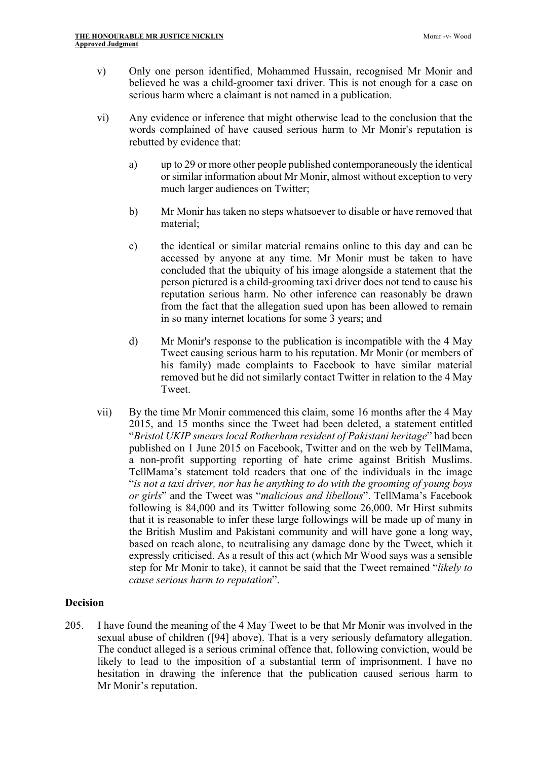- v) Only one person identified, Mohammed Hussain, recognised Mr Monir and believed he was a child-groomer taxi driver. This is not enough for a case on serious harm where a claimant is not named in a publication.
- vi) Any evidence or inference that might otherwise lead to the conclusion that the words complained of have caused serious harm to Mr Monir's reputation is rebutted by evidence that:
	- a) up to 29 or more other people published contemporaneously the identical or similar information about Mr Monir, almost without exception to very much larger audiences on Twitter;
	- b) Mr Monir has taken no steps whatsoever to disable or have removed that material;
	- c) the identical or similar material remains online to this day and can be accessed by anyone at any time. Mr Monir must be taken to have concluded that the ubiquity of his image alongside a statement that the person pictured is a child-grooming taxi driver does not tend to cause his reputation serious harm. No other inference can reasonably be drawn from the fact that the allegation sued upon has been allowed to remain in so many internet locations for some 3 years; and
	- d) Mr Monir's response to the publication is incompatible with the 4 May Tweet causing serious harm to his reputation. Mr Monir (or members of his family) made complaints to Facebook to have similar material removed but he did not similarly contact Twitter in relation to the 4 May Tweet.
- vii) By the time Mr Monir commenced this claim, some 16 months after the 4 May 2015, and 15 months since the Tweet had been deleted, a statement entitled "*Bristol UKIP smears local Rotherham resident of Pakistani heritage*" had been published on 1 June 2015 on Facebook, Twitter and on the web by TellMama, a non-profit supporting reporting of hate crime against British Muslims. TellMama's statement told readers that one of the individuals in the image "*is not a taxi driver, nor has he anything to do with the grooming of young boys or girls*" and the Tweet was "*malicious and libellous*". TellMama's Facebook following is 84,000 and its Twitter following some 26,000. Mr Hirst submits that it is reasonable to infer these large followings will be made up of many in the British Muslim and Pakistani community and will have gone a long way, based on reach alone, to neutralising any damage done by the Tweet, which it expressly criticised. As a result of this act (which Mr Wood says was a sensible step for Mr Monir to take), it cannot be said that the Tweet remained "*likely to cause serious harm to reputation*".

## **Decision**

205. I have found the meaning of the 4 May Tweet to be that Mr Monir was involved in the sexual abuse of children ([94] above). That is a very seriously defamatory allegation. The conduct alleged is a serious criminal offence that, following conviction, would be likely to lead to the imposition of a substantial term of imprisonment. I have no hesitation in drawing the inference that the publication caused serious harm to Mr Monir's reputation.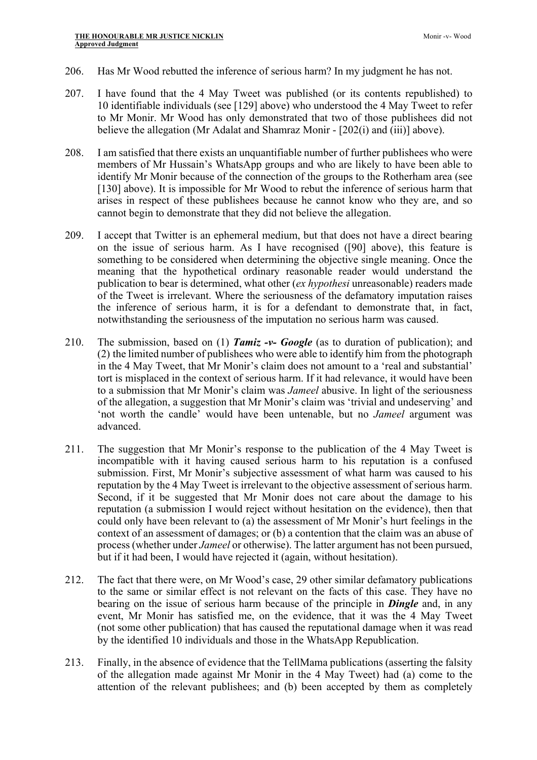- 206. Has Mr Wood rebutted the inference of serious harm? In my judgment he has not.
- 207. I have found that the 4 May Tweet was published (or its contents republished) to 10 identifiable individuals (see [129] above) who understood the 4 May Tweet to refer to Mr Monir. Mr Wood has only demonstrated that two of those publishees did not believe the allegation (Mr Adalat and Shamraz Monir - [202(i) and (iii)] above).
- 208. I am satisfied that there exists an unquantifiable number of further publishees who were members of Mr Hussain's WhatsApp groups and who are likely to have been able to identify Mr Monir because of the connection of the groups to the Rotherham area (see [130] above). It is impossible for Mr Wood to rebut the inference of serious harm that arises in respect of these publishees because he cannot know who they are, and so cannot begin to demonstrate that they did not believe the allegation.
- 209. I accept that Twitter is an ephemeral medium, but that does not have a direct bearing on the issue of serious harm. As I have recognised ([90] above), this feature is something to be considered when determining the objective single meaning. Once the meaning that the hypothetical ordinary reasonable reader would understand the publication to bear is determined, what other (*ex hypothesi* unreasonable) readers made of the Tweet is irrelevant. Where the seriousness of the defamatory imputation raises the inference of serious harm, it is for a defendant to demonstrate that, in fact, notwithstanding the seriousness of the imputation no serious harm was caused.
- 210. The submission, based on (1) *Tamiz -v- Google* (as to duration of publication); and (2) the limited number of publishees who were able to identify him from the photograph in the 4 May Tweet, that Mr Monir's claim does not amount to a 'real and substantial' tort is misplaced in the context of serious harm. If it had relevance, it would have been to a submission that Mr Monir's claim was *Jameel* abusive. In light of the seriousness of the allegation, a suggestion that Mr Monir's claim was 'trivial and undeserving' and 'not worth the candle' would have been untenable, but no *Jameel* argument was advanced.
- 211. The suggestion that Mr Monir's response to the publication of the 4 May Tweet is incompatible with it having caused serious harm to his reputation is a confused submission. First, Mr Monir's subjective assessment of what harm was caused to his reputation by the 4 May Tweet is irrelevant to the objective assessment of serious harm. Second, if it be suggested that Mr Monir does not care about the damage to his reputation (a submission I would reject without hesitation on the evidence), then that could only have been relevant to (a) the assessment of Mr Monir's hurt feelings in the context of an assessment of damages; or (b) a contention that the claim was an abuse of process (whether under *Jameel* or otherwise). The latter argument has not been pursued, but if it had been, I would have rejected it (again, without hesitation).
- 212. The fact that there were, on Mr Wood's case, 29 other similar defamatory publications to the same or similar effect is not relevant on the facts of this case. They have no bearing on the issue of serious harm because of the principle in *Dingle* and, in any event, Mr Monir has satisfied me, on the evidence, that it was the 4 May Tweet (not some other publication) that has caused the reputational damage when it was read by the identified 10 individuals and those in the WhatsApp Republication.
- 213. Finally, in the absence of evidence that the TellMama publications (asserting the falsity of the allegation made against Mr Monir in the 4 May Tweet) had (a) come to the attention of the relevant publishees; and (b) been accepted by them as completely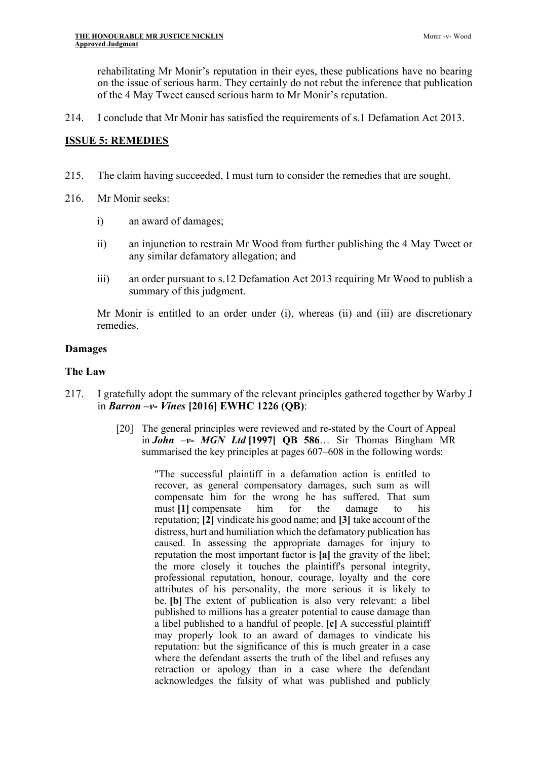Monir -v- Wood

rehabilitating Mr Monir's reputation in their eyes, these publications have no bearing on the issue of serious harm. They certainly do not rebut the inference that publication of the 4 May Tweet caused serious harm to Mr Monir's reputation.

214. I conclude that Mr Monir has satisfied the requirements of s.1 Defamation Act 2013.

# **ISSUE 5: REMEDIES**

- 215. The claim having succeeded, I must turn to consider the remedies that are sought.
- 216. Mr Monir seeks:
	- i) an award of damages;
	- ii) an injunction to restrain Mr Wood from further publishing the 4 May Tweet or any similar defamatory allegation; and
	- iii) an order pursuant to s.12 Defamation Act 2013 requiring Mr Wood to publish a summary of this judgment.

Mr Monir is entitled to an order under (i), whereas (ii) and (iii) are discretionary remedies.

## **Damages**

## **The Law**

- 217. I gratefully adopt the summary of the relevant principles gathered together by Warby J in *Barron –v- Vines* **[2016] EWHC 1226 (QB)**:
	- [20] The general principles were reviewed and re-stated by the Court of Appeal in *John –v- MGN Ltd* **[1997] QB 586**… Sir Thomas Bingham MR summarised the key principles at pages 607–608 in the following words:

"The successful plaintiff in a defamation action is entitled to recover, as general compensatory damages, such sum as will compensate him for the wrong he has suffered. That sum must **[1]** compensate him for the damage to his reputation; **[2]** vindicate his good name; and **[3]** take account of the distress, hurt and humiliation which the defamatory publication has caused. In assessing the appropriate damages for injury to reputation the most important factor is **[a]** the gravity of the libel; the more closely it touches the plaintiff's personal integrity, professional reputation, honour, courage, loyalty and the core attributes of his personality, the more serious it is likely to be. **[b]** The extent of publication is also very relevant: a libel published to millions has a greater potential to cause damage than a libel published to a handful of people. **[c]** A successful plaintiff may properly look to an award of damages to vindicate his reputation: but the significance of this is much greater in a case where the defendant asserts the truth of the libel and refuses any retraction or apology than in a case where the defendant acknowledges the falsity of what was published and publicly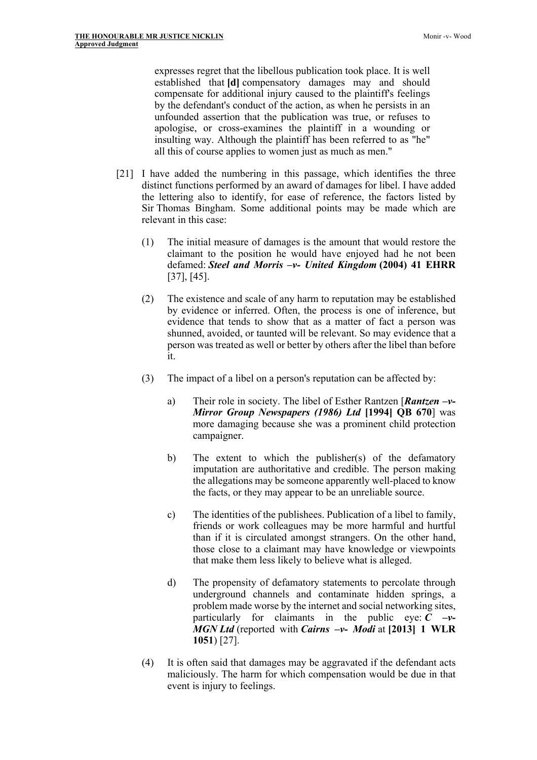expresses regret that the libellous publication took place. It is well established that **[d]** compensatory damages may and should compensate for additional injury caused to the plaintiff's feelings by the defendant's conduct of the action, as when he persists in an unfounded assertion that the publication was true, or refuses to apologise, or cross-examines the plaintiff in a wounding or insulting way. Although the plaintiff has been referred to as "he" all this of course applies to women just as much as men."

- [21] I have added the numbering in this passage, which identifies the three distinct functions performed by an award of damages for libel. I have added the lettering also to identify, for ease of reference, the factors listed by Sir Thomas Bingham. Some additional points may be made which are relevant in this case:
	- (1) The initial measure of damages is the amount that would restore the claimant to the position he would have enjoyed had he not been defamed: *Steel and Morris –v- United Kingdom* **(2004) 41 EHRR** [37], [45].
	- (2) The existence and scale of any harm to reputation may be established by evidence or inferred. Often, the process is one of inference, but evidence that tends to show that as a matter of fact a person was shunned, avoided, or taunted will be relevant. So may evidence that a person was treated as well or better by others after the libel than before it.
	- (3) The impact of a libel on a person's reputation can be affected by:
		- a) Their role in society. The libel of Esther Rantzen [*Rantzen –v-Mirror Group Newspapers (1986) Ltd* **[1994] QB 670**] was more damaging because she was a prominent child protection campaigner.
		- b) The extent to which the publisher(s) of the defamatory imputation are authoritative and credible. The person making the allegations may be someone apparently well-placed to know the facts, or they may appear to be an unreliable source.
		- c) The identities of the publishees. Publication of a libel to family, friends or work colleagues may be more harmful and hurtful than if it is circulated amongst strangers. On the other hand, those close to a claimant may have knowledge or viewpoints that make them less likely to believe what is alleged.
		- d) The propensity of defamatory statements to percolate through underground channels and contaminate hidden springs, a problem made worse by the internet and social networking sites, particularly for claimants in the public eye:  $C \rightarrow V$ *MGN Ltd* (reported with *Cairns –v- Modi* at **[2013] 1 WLR 1051**) [27].
	- (4) It is often said that damages may be aggravated if the defendant acts maliciously. The harm for which compensation would be due in that event is injury to feelings.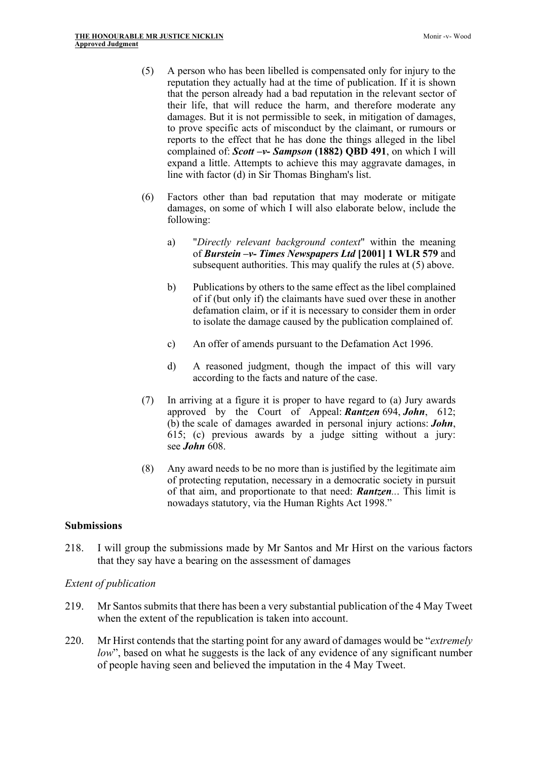- (5) A person who has been libelled is compensated only for injury to the reputation they actually had at the time of publication. If it is shown that the person already had a bad reputation in the relevant sector of their life, that will reduce the harm, and therefore moderate any damages. But it is not permissible to seek, in mitigation of damages, to prove specific acts of misconduct by the claimant, or rumours or reports to the effect that he has done the things alleged in the libel complained of: *Scott –v- Sampson* **(1882) QBD 491**, on which I will expand a little. Attempts to achieve this may aggravate damages, in line with factor (d) in Sir Thomas Bingham's list.
- (6) Factors other than bad reputation that may moderate or mitigate damages, on some of which I will also elaborate below, include the following:
	- a) "*Directly relevant background context*" within the meaning of *Burstein –v- Times Newspapers Ltd* **[2001] 1 WLR 579** and subsequent authorities. This may qualify the rules at (5) above.
	- b) Publications by others to the same effect as the libel complained of if (but only if) the claimants have sued over these in another defamation claim, or if it is necessary to consider them in order to isolate the damage caused by the publication complained of.
	- c) An offer of amends pursuant to the Defamation Act 1996.
	- d) A reasoned judgment, though the impact of this will vary according to the facts and nature of the case.
- (7) In arriving at a figure it is proper to have regard to (a) Jury awards approved by the Court of Appeal: *Rantzen* 694, *John*, 612; (b) the scale of damages awarded in personal injury actions: *John*, 615; (c) previous awards by a judge sitting without a jury: see *John* 608.
- (8) Any award needs to be no more than is justified by the legitimate aim of protecting reputation, necessary in a democratic society in pursuit of that aim, and proportionate to that need: *Rantzen..*. This limit is nowadays statutory, via the Human Rights Act 1998."

#### **Submissions**

218. I will group the submissions made by Mr Santos and Mr Hirst on the various factors that they say have a bearing on the assessment of damages

#### *Extent of publication*

- 219. Mr Santos submits that there has been a very substantial publication of the 4 May Tweet when the extent of the republication is taken into account.
- 220. Mr Hirst contends that the starting point for any award of damages would be "*extremely low*", based on what he suggests is the lack of any evidence of any significant number of people having seen and believed the imputation in the 4 May Tweet.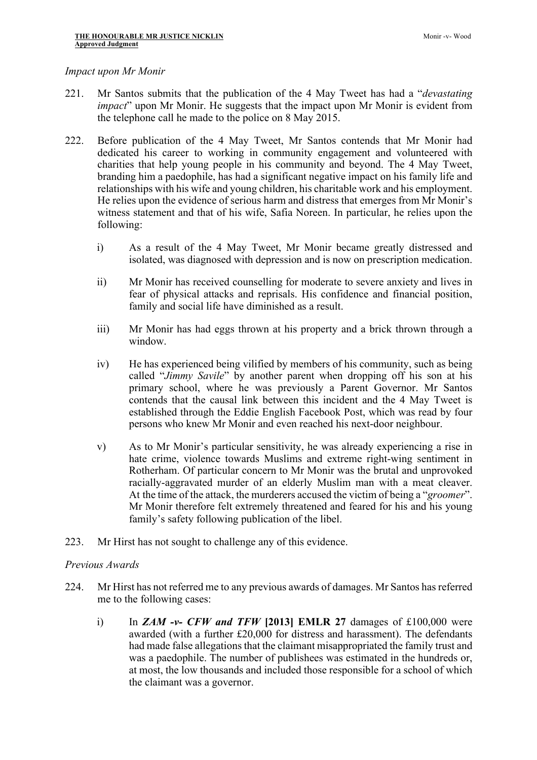### *Impact upon Mr Monir*

- 221. Mr Santos submits that the publication of the 4 May Tweet has had a "*devastating impact*" upon Mr Monir. He suggests that the impact upon Mr Monir is evident from the telephone call he made to the police on 8 May 2015.
- 222. Before publication of the 4 May Tweet, Mr Santos contends that Mr Monir had dedicated his career to working in community engagement and volunteered with charities that help young people in his community and beyond. The 4 May Tweet, branding him a paedophile, has had a significant negative impact on his family life and relationships with his wife and young children, his charitable work and his employment. He relies upon the evidence of serious harm and distress that emerges from Mr Monir's witness statement and that of his wife, Safia Noreen. In particular, he relies upon the following:
	- i) As a result of the 4 May Tweet, Mr Monir became greatly distressed and isolated, was diagnosed with depression and is now on prescription medication.
	- ii) Mr Monir has received counselling for moderate to severe anxiety and lives in fear of physical attacks and reprisals. His confidence and financial position, family and social life have diminished as a result.
	- iii) Mr Monir has had eggs thrown at his property and a brick thrown through a window.
	- iv) He has experienced being vilified by members of his community, such as being called "*Jimmy Savile*" by another parent when dropping off his son at his primary school, where he was previously a Parent Governor. Mr Santos contends that the causal link between this incident and the 4 May Tweet is established through the Eddie English Facebook Post, which was read by four persons who knew Mr Monir and even reached his next-door neighbour.
	- v) As to Mr Monir's particular sensitivity, he was already experiencing a rise in hate crime, violence towards Muslims and extreme right-wing sentiment in Rotherham. Of particular concern to Mr Monir was the brutal and unprovoked racially-aggravated murder of an elderly Muslim man with a meat cleaver. At the time of the attack, the murderers accused the victim of being a "*groomer*". Mr Monir therefore felt extremely threatened and feared for his and his young family's safety following publication of the libel.
- 223. Mr Hirst has not sought to challenge any of this evidence.

#### *Previous Awards*

- 224. Mr Hirst has not referred me to any previous awards of damages. Mr Santos has referred me to the following cases:
	- i) In *ZAM -v- CFW and TFW* **[2013] EMLR 27** damages of £100,000 were awarded (with a further £20,000 for distress and harassment). The defendants had made false allegations that the claimant misappropriated the family trust and was a paedophile. The number of publishees was estimated in the hundreds or, at most, the low thousands and included those responsible for a school of which the claimant was a governor.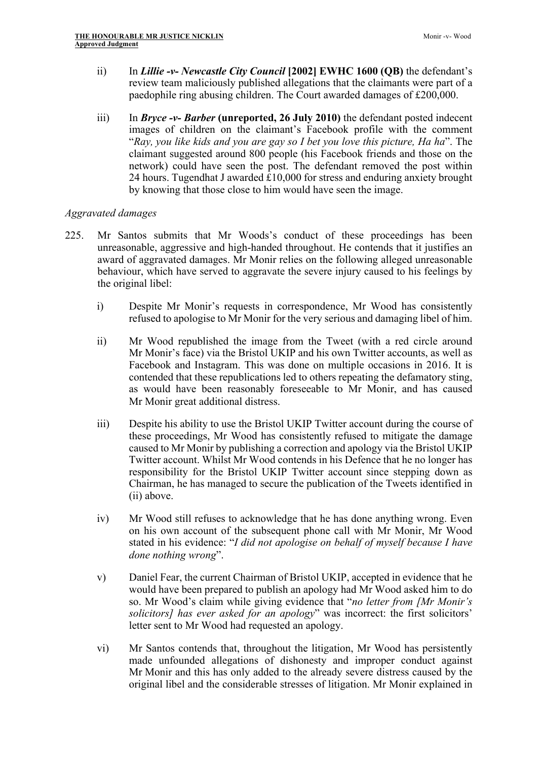- ii) In *Lillie -v- Newcastle City Council* **[2002] EWHC 1600 (QB)** the defendant's review team maliciously published allegations that the claimants were part of a paedophile ring abusing children. The Court awarded damages of £200,000.
- iii) In *Bryce -v- Barber* **(unreported, 26 July 2010)** the defendant posted indecent images of children on the claimant's Facebook profile with the comment "*Ray, you like kids and you are gay so I bet you love this picture, Ha ha*". The claimant suggested around 800 people (his Facebook friends and those on the network) could have seen the post. The defendant removed the post within 24 hours. Tugendhat J awarded £10,000 for stress and enduring anxiety brought by knowing that those close to him would have seen the image.

# *Aggravated damages*

- 225. Mr Santos submits that Mr Woods's conduct of these proceedings has been unreasonable, aggressive and high-handed throughout. He contends that it justifies an award of aggravated damages. Mr Monir relies on the following alleged unreasonable behaviour, which have served to aggravate the severe injury caused to his feelings by the original libel:
	- i) Despite Mr Monir's requests in correspondence, Mr Wood has consistently refused to apologise to Mr Monir for the very serious and damaging libel of him.
	- ii) Mr Wood republished the image from the Tweet (with a red circle around Mr Monir's face) via the Bristol UKIP and his own Twitter accounts, as well as Facebook and Instagram. This was done on multiple occasions in 2016. It is contended that these republications led to others repeating the defamatory sting, as would have been reasonably foreseeable to Mr Monir, and has caused Mr Monir great additional distress.
	- iii) Despite his ability to use the Bristol UKIP Twitter account during the course of these proceedings, Mr Wood has consistently refused to mitigate the damage caused to Mr Monir by publishing a correction and apology via the Bristol UKIP Twitter account. Whilst Mr Wood contends in his Defence that he no longer has responsibility for the Bristol UKIP Twitter account since stepping down as Chairman, he has managed to secure the publication of the Tweets identified in (ii) above.
	- iv) Mr Wood still refuses to acknowledge that he has done anything wrong. Even on his own account of the subsequent phone call with Mr Monir, Mr Wood stated in his evidence: "*I did not apologise on behalf of myself because I have done nothing wrong*".
	- v) Daniel Fear, the current Chairman of Bristol UKIP, accepted in evidence that he would have been prepared to publish an apology had Mr Wood asked him to do so. Mr Wood's claim while giving evidence that "*no letter from [Mr Monir's solicitors] has ever asked for an apology*" was incorrect: the first solicitors' letter sent to Mr Wood had requested an apology.
	- vi) Mr Santos contends that, throughout the litigation, Mr Wood has persistently made unfounded allegations of dishonesty and improper conduct against Mr Monir and this has only added to the already severe distress caused by the original libel and the considerable stresses of litigation. Mr Monir explained in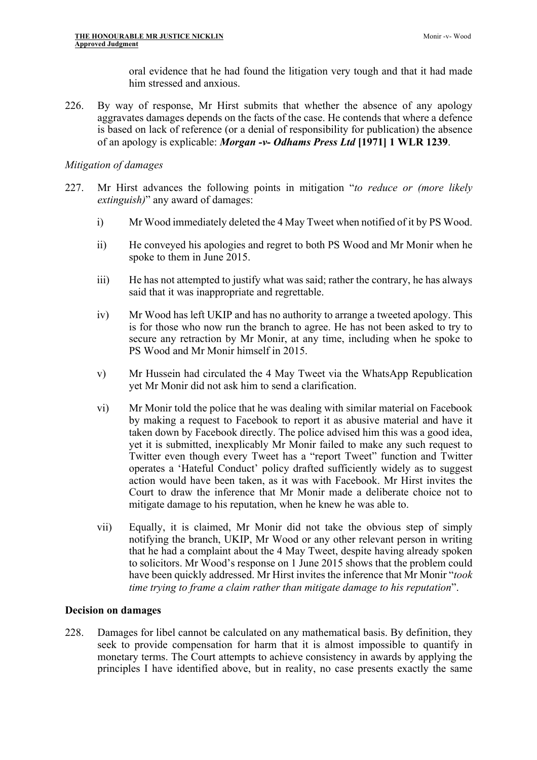oral evidence that he had found the litigation very tough and that it had made him stressed and anxious.

226. By way of response, Mr Hirst submits that whether the absence of any apology aggravates damages depends on the facts of the case. He contends that where a defence is based on lack of reference (or a denial of responsibility for publication) the absence of an apology is explicable: *Morgan -v- Odhams Press Ltd* **[1971] 1 WLR 1239**.

#### *Mitigation of damages*

- 227. Mr Hirst advances the following points in mitigation "*to reduce or (more likely extinguish)*" any award of damages:
	- i) Mr Wood immediately deleted the 4 May Tweet when notified of it by PS Wood.
	- ii) He conveyed his apologies and regret to both PS Wood and Mr Monir when he spoke to them in June 2015.
	- iii) He has not attempted to justify what was said; rather the contrary, he has always said that it was inappropriate and regrettable.
	- iv) Mr Wood has left UKIP and has no authority to arrange a tweeted apology. This is for those who now run the branch to agree. He has not been asked to try to secure any retraction by Mr Monir, at any time, including when he spoke to PS Wood and Mr Monir himself in 2015.
	- v) Mr Hussein had circulated the 4 May Tweet via the WhatsApp Republication yet Mr Monir did not ask him to send a clarification.
	- vi) Mr Monir told the police that he was dealing with similar material on Facebook by making a request to Facebook to report it as abusive material and have it taken down by Facebook directly. The police advised him this was a good idea, yet it is submitted, inexplicably Mr Monir failed to make any such request to Twitter even though every Tweet has a "report Tweet" function and Twitter operates a 'Hateful Conduct' policy drafted sufficiently widely as to suggest action would have been taken, as it was with Facebook. Mr Hirst invites the Court to draw the inference that Mr Monir made a deliberate choice not to mitigate damage to his reputation, when he knew he was able to.
	- vii) Equally, it is claimed, Mr Monir did not take the obvious step of simply notifying the branch, UKIP, Mr Wood or any other relevant person in writing that he had a complaint about the 4 May Tweet, despite having already spoken to solicitors. Mr Wood's response on 1 June 2015 shows that the problem could have been quickly addressed. Mr Hirst invites the inference that Mr Monir "*took time trying to frame a claim rather than mitigate damage to his reputation*".

#### **Decision on damages**

228. Damages for libel cannot be calculated on any mathematical basis. By definition, they seek to provide compensation for harm that it is almost impossible to quantify in monetary terms. The Court attempts to achieve consistency in awards by applying the principles I have identified above, but in reality, no case presents exactly the same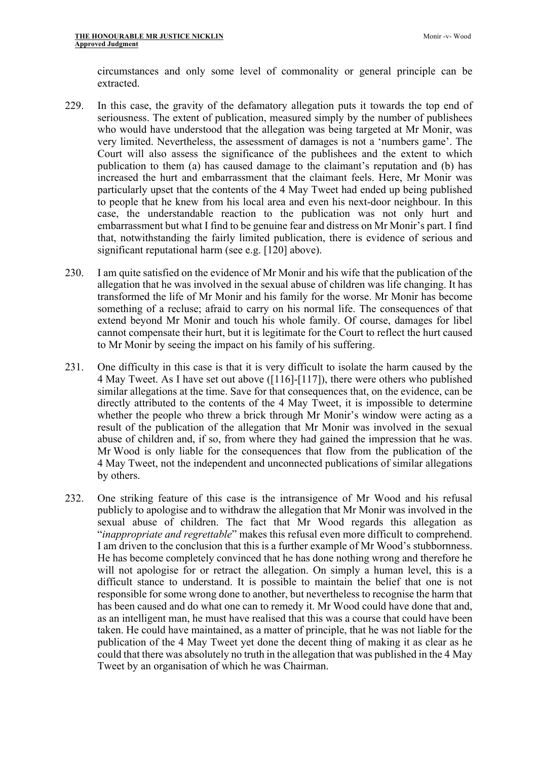circumstances and only some level of commonality or general principle can be extracted.

- 229. In this case, the gravity of the defamatory allegation puts it towards the top end of seriousness. The extent of publication, measured simply by the number of publishees who would have understood that the allegation was being targeted at Mr Monir, was very limited. Nevertheless, the assessment of damages is not a 'numbers game'. The Court will also assess the significance of the publishees and the extent to which publication to them (a) has caused damage to the claimant's reputation and (b) has increased the hurt and embarrassment that the claimant feels. Here, Mr Monir was particularly upset that the contents of the 4 May Tweet had ended up being published to people that he knew from his local area and even his next-door neighbour. In this case, the understandable reaction to the publication was not only hurt and embarrassment but what I find to be genuine fear and distress on Mr Monir's part. I find that, notwithstanding the fairly limited publication, there is evidence of serious and significant reputational harm (see e.g. [120] above).
- 230. I am quite satisfied on the evidence of Mr Monir and his wife that the publication of the allegation that he was involved in the sexual abuse of children was life changing. It has transformed the life of Mr Monir and his family for the worse. Mr Monir has become something of a recluse; afraid to carry on his normal life. The consequences of that extend beyond Mr Monir and touch his whole family. Of course, damages for libel cannot compensate their hurt, but it is legitimate for the Court to reflect the hurt caused to Mr Monir by seeing the impact on his family of his suffering.
- 231. One difficulty in this case is that it is very difficult to isolate the harm caused by the 4 May Tweet. As I have set out above ([116]-[117]), there were others who published similar allegations at the time. Save for that consequences that, on the evidence, can be directly attributed to the contents of the 4 May Tweet, it is impossible to determine whether the people who threw a brick through Mr Monir's window were acting as a result of the publication of the allegation that Mr Monir was involved in the sexual abuse of children and, if so, from where they had gained the impression that he was. Mr Wood is only liable for the consequences that flow from the publication of the 4 May Tweet, not the independent and unconnected publications of similar allegations by others.
- 232. One striking feature of this case is the intransigence of Mr Wood and his refusal publicly to apologise and to withdraw the allegation that Mr Monir was involved in the sexual abuse of children. The fact that Mr Wood regards this allegation as "*inappropriate and regrettable*" makes this refusal even more difficult to comprehend. I am driven to the conclusion that this is a further example of Mr Wood's stubbornness. He has become completely convinced that he has done nothing wrong and therefore he will not apologise for or retract the allegation. On simply a human level, this is a difficult stance to understand. It is possible to maintain the belief that one is not responsible for some wrong done to another, but nevertheless to recognise the harm that has been caused and do what one can to remedy it. Mr Wood could have done that and, as an intelligent man, he must have realised that this was a course that could have been taken. He could have maintained, as a matter of principle, that he was not liable for the publication of the 4 May Tweet yet done the decent thing of making it as clear as he could that there was absolutely no truth in the allegation that was published in the 4 May Tweet by an organisation of which he was Chairman.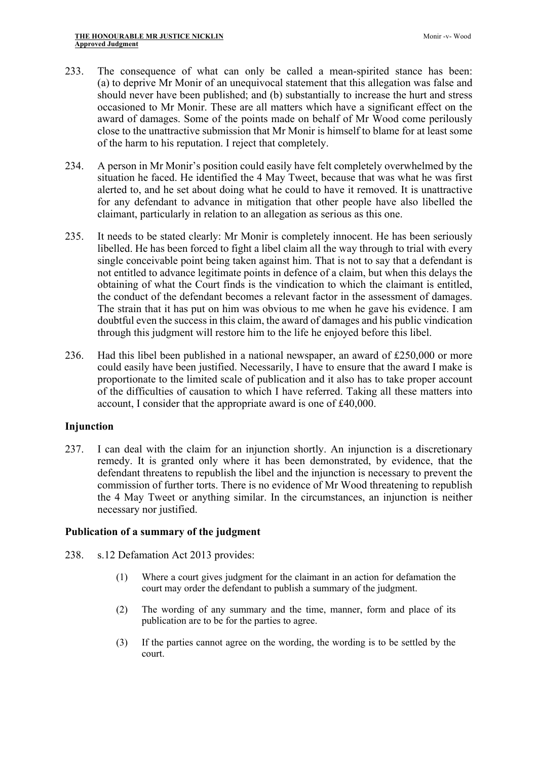- 233. The consequence of what can only be called a mean-spirited stance has been: (a) to deprive Mr Monir of an unequivocal statement that this allegation was false and should never have been published; and (b) substantially to increase the hurt and stress occasioned to Mr Monir. These are all matters which have a significant effect on the award of damages. Some of the points made on behalf of Mr Wood come perilously close to the unattractive submission that Mr Monir is himself to blame for at least some of the harm to his reputation. I reject that completely.
- 234. A person in Mr Monir's position could easily have felt completely overwhelmed by the situation he faced. He identified the 4 May Tweet, because that was what he was first alerted to, and he set about doing what he could to have it removed. It is unattractive for any defendant to advance in mitigation that other people have also libelled the claimant, particularly in relation to an allegation as serious as this one.
- 235. It needs to be stated clearly: Mr Monir is completely innocent. He has been seriously libelled. He has been forced to fight a libel claim all the way through to trial with every single conceivable point being taken against him. That is not to say that a defendant is not entitled to advance legitimate points in defence of a claim, but when this delays the obtaining of what the Court finds is the vindication to which the claimant is entitled, the conduct of the defendant becomes a relevant factor in the assessment of damages. The strain that it has put on him was obvious to me when he gave his evidence. I am doubtful even the success in this claim, the award of damages and his public vindication through this judgment will restore him to the life he enjoyed before this libel.
- 236. Had this libel been published in a national newspaper, an award of £250,000 or more could easily have been justified. Necessarily, I have to ensure that the award I make is proportionate to the limited scale of publication and it also has to take proper account of the difficulties of causation to which I have referred. Taking all these matters into account, I consider that the appropriate award is one of £40,000.

## **Injunction**

237. I can deal with the claim for an injunction shortly. An injunction is a discretionary remedy. It is granted only where it has been demonstrated, by evidence, that the defendant threatens to republish the libel and the injunction is necessary to prevent the commission of further torts. There is no evidence of Mr Wood threatening to republish the 4 May Tweet or anything similar. In the circumstances, an injunction is neither necessary nor justified.

## **Publication of a summary of the judgment**

- 238. s.12 Defamation Act 2013 provides:
	- (1) Where a court gives judgment for the claimant in an action for defamation the court may order the defendant to publish a summary of the judgment.
	- (2) The wording of any summary and the time, manner, form and place of its publication are to be for the parties to agree.
	- (3) If the parties cannot agree on the wording, the wording is to be settled by the court.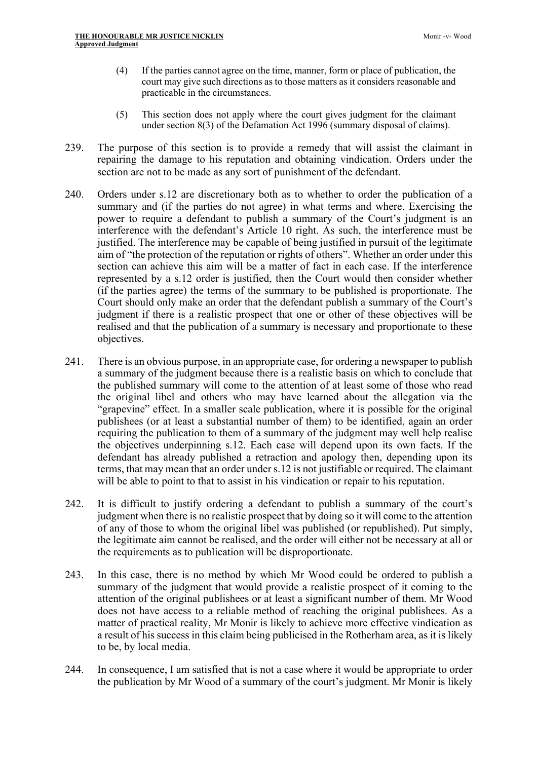- (4) If the parties cannot agree on the time, manner, form or place of publication, the court may give such directions as to those matters as it considers reasonable and practicable in the circumstances.
- (5) This section does not apply where the court gives judgment for the claimant under section 8(3) of the Defamation Act 1996 (summary disposal of claims).
- 239. The purpose of this section is to provide a remedy that will assist the claimant in repairing the damage to his reputation and obtaining vindication. Orders under the section are not to be made as any sort of punishment of the defendant.
- 240. Orders under s.12 are discretionary both as to whether to order the publication of a summary and (if the parties do not agree) in what terms and where. Exercising the power to require a defendant to publish a summary of the Court's judgment is an interference with the defendant's Article 10 right. As such, the interference must be justified. The interference may be capable of being justified in pursuit of the legitimate aim of "the protection of the reputation or rights of others". Whether an order under this section can achieve this aim will be a matter of fact in each case. If the interference represented by a s.12 order is justified, then the Court would then consider whether (if the parties agree) the terms of the summary to be published is proportionate. The Court should only make an order that the defendant publish a summary of the Court's judgment if there is a realistic prospect that one or other of these objectives will be realised and that the publication of a summary is necessary and proportionate to these objectives.
- 241. There is an obvious purpose, in an appropriate case, for ordering a newspaper to publish a summary of the judgment because there is a realistic basis on which to conclude that the published summary will come to the attention of at least some of those who read the original libel and others who may have learned about the allegation via the "grapevine" effect. In a smaller scale publication, where it is possible for the original publishees (or at least a substantial number of them) to be identified, again an order requiring the publication to them of a summary of the judgment may well help realise the objectives underpinning s.12. Each case will depend upon its own facts. If the defendant has already published a retraction and apology then, depending upon its terms, that may mean that an order under s.12 is not justifiable or required. The claimant will be able to point to that to assist in his vindication or repair to his reputation.
- 242. It is difficult to justify ordering a defendant to publish a summary of the court's judgment when there is no realistic prospect that by doing so it will come to the attention of any of those to whom the original libel was published (or republished). Put simply, the legitimate aim cannot be realised, and the order will either not be necessary at all or the requirements as to publication will be disproportionate.
- 243. In this case, there is no method by which Mr Wood could be ordered to publish a summary of the judgment that would provide a realistic prospect of it coming to the attention of the original publishees or at least a significant number of them. Mr Wood does not have access to a reliable method of reaching the original publishees. As a matter of practical reality, Mr Monir is likely to achieve more effective vindication as a result of his success in this claim being publicised in the Rotherham area, as it is likely to be, by local media.
- 244. In consequence, I am satisfied that is not a case where it would be appropriate to order the publication by Mr Wood of a summary of the court's judgment. Mr Monir is likely